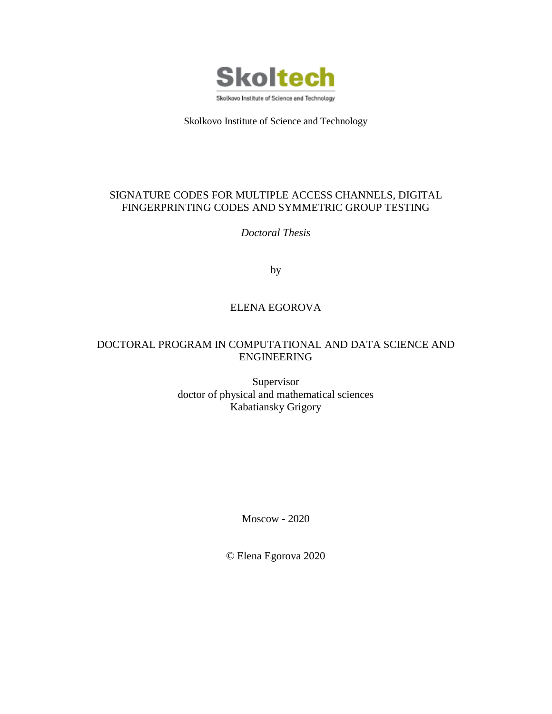

Skolkovo Institute of Science and Technology

### SIGNATURE CODES FOR MULTIPLE ACCESS CHANNELS, DIGITAL FINGERPRINTING CODES AND SYMMETRIC GROUP TESTING

*Doctoral Thesis*

by

### ELENA EGOROVA

### DOCTORAL PROGRAM IN COMPUTATIONAL AND DATA SCIENCE AND ENGINEERING

Supervisor doctor of physical and mathematical sciences Kabatiansky Grigory

Moscow - 2020

© Elena Egorova 2020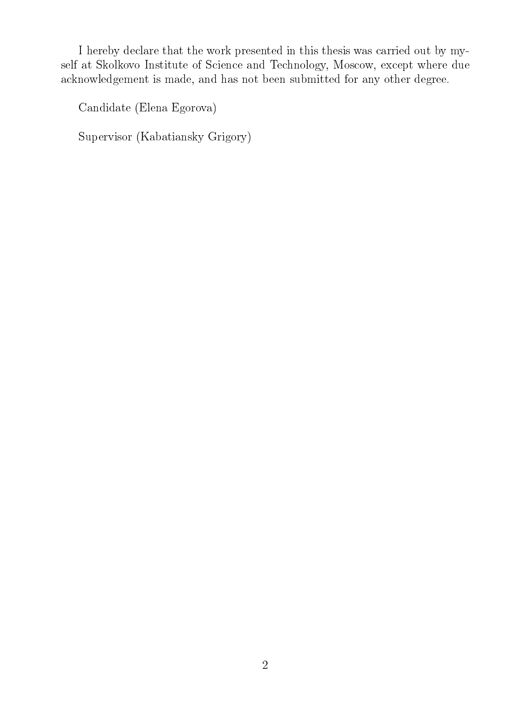I hereby declare that the work presented in this thesis was carried out by myself at Skolkovo Institute of Science and Technology, Moscow, except where due acknowledgement is made, and has not been submitted for any other degree.

Candidate (Elena Egorova)

Supervisor (Kabatiansky Grigory)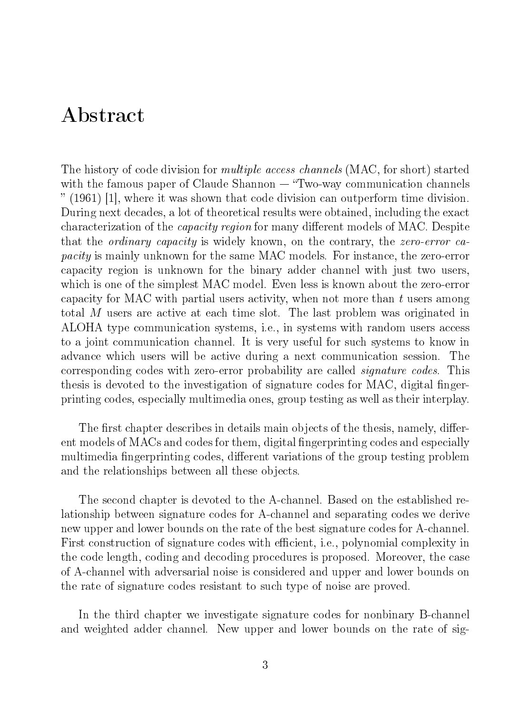## Abstract

The history of code division for *multiple access channels* (MAC, for short) started with the famous paper of Claude Shannon  $-$  "Two-way communication channels" (1961) [1], where it was shown that code division can outperform time division. During next decades, a lot of theoretical results were obtained, including the exact characterization of the *capacity region* for many different models of MAC. Despite that the ordinary capacity is widely known, on the contrary, the zero-error capacity is mainly unknown for the same MAC models. For instance, the zero-error capacity region is unknown for the binary adder channel with just two users, which is one of the simplest MAC model. Even less is known about the zero-error capacity for MAC with partial users activity, when not more than t users among total M users are active at each time slot. The last problem was originated in ALOHA type communication systems, i.e., in systems with random users access to a joint communication channel. It is very useful for such systems to know in advance which users will be active during a next communication session. The corresponding codes with zero-error probability are called signature codes. This thesis is devoted to the investigation of signature codes for MAC, digital fingerprinting codes, especially multimedia ones, group testing as well as their interplay.

The first chapter describes in details main objects of the thesis, namely, different models of MACs and codes for them, digital fingerprinting codes and especially multimedia fingerprinting codes, different variations of the group testing problem and the relationships between all these objects.

The second chapter is devoted to the A-channel. Based on the established relationship between signature codes for A-channel and separating codes we derive new upper and lower bounds on the rate of the best signature codes for A-channel. First construction of signature codes with efficient, i.e., polynomial complexity in the code length, coding and decoding procedures is proposed. Moreover, the case of A-channel with adversarial noise is considered and upper and lower bounds on the rate of signature codes resistant to such type of noise are proved.

In the third chapter we investigate signature codes for nonbinary B-channel and weighted adder channel. New upper and lower bounds on the rate of sig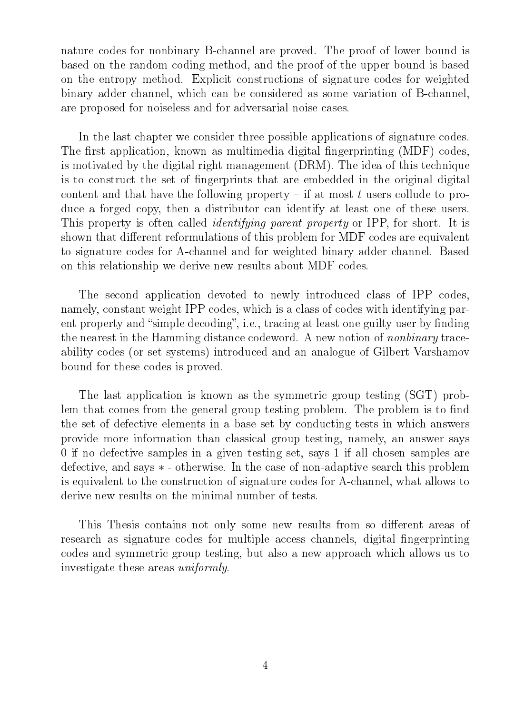nature codes for nonbinary B-channel are proved. The proof of lower bound is based on the random coding method, and the proof of the upper bound is based on the entropy method. Explicit constructions of signature codes for weighted binary adder channel, which can be considered as some variation of B-channel, are proposed for noiseless and for adversarial noise cases.

In the last chapter we consider three possible applications of signature codes. The first application, known as multimedia digital fingerprinting (MDF) codes, is motivated by the digital right management (DRM). The idea of this technique is to construct the set of fingerprints that are embedded in the original digital content and that have the following property  $-$  if at most t users collude to produce a forged copy, then a distributor can identify at least one of these users. This property is often called *identifying parent property* or IPP, for short. It is shown that different reformulations of this problem for MDF codes are equivalent to signature codes for A-channel and for weighted binary adder channel. Based on this relationship we derive new results about MDF codes.

The second application devoted to newly introduced class of IPP codes, namely, constant weight IPP codes, which is a class of codes with identifying parent property and "simple decoding", i.e., tracing at least one guilty user by finding the nearest in the Hamming distance codeword. A new notion of nonbinary traceability codes (or set systems) introduced and an analogue of Gilbert-Varshamov bound for these codes is proved.

The last application is known as the symmetric group testing (SGT) problem that comes from the general group testing problem. The problem is to find the set of defective elements in a base set by conducting tests in which answers provide more information than classical group testing, namely, an answer says 0 if no defective samples in a given testing set, says 1 if all chosen samples are defective, and says ∗ - otherwise. In the case of non-adaptive search this problem is equivalent to the construction of signature codes for A-channel, what allows to derive new results on the minimal number of tests.

This Thesis contains not only some new results from so different areas of research as signature codes for multiple access channels, digital fingerprinting codes and symmetric group testing, but also a new approach which allows us to investigate these areas uniformly.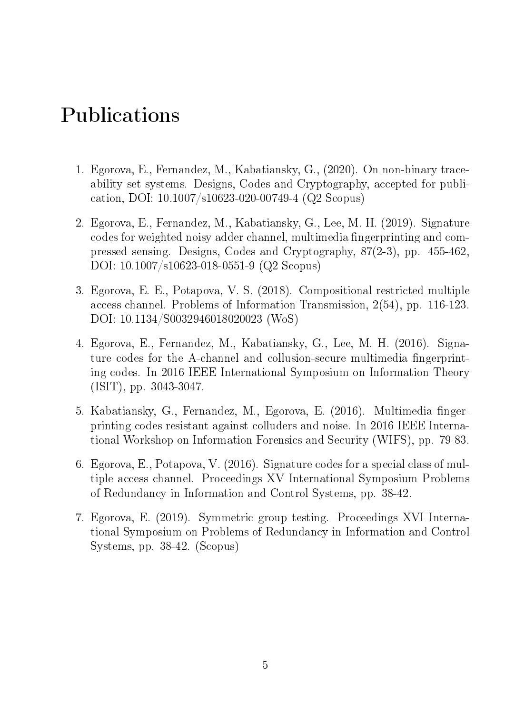# Publications

- 1. Egorova, E., Fernandez, M., Kabatiansky, G., (2020). On non-binary traceability set systems. Designs, Codes and Cryptography, accepted for publication, DOI: 10.1007/s10623-020-00749-4 (Q2 Scopus)
- 2. Egorova, E., Fernandez, M., Kabatiansky, G., Lee, M. H. (2019). Signature codes for weighted noisy adder channel, multimedia fingerprinting and compressed sensing. Designs, Codes and Cryptography, 87(2-3), pp. 455-462, DOI: 10.1007/s10623-018-0551-9 (Q2 Scopus)
- 3. Egorova, E. E., Potapova, V. S. (2018). Compositional restricted multiple access channel. Problems of Information Transmission, 2(54), pp. 116-123. DOI: 10.1134/S0032946018020023 (WoS)
- 4. Egorova, E., Fernandez, M., Kabatiansky, G., Lee, M. H. (2016). Signature codes for the A-channel and collusion-secure multimedia fingerprinting codes. In 2016 IEEE International Symposium on Information Theory (ISIT), pp. 3043-3047.
- 5. Kabatiansky, G., Fernandez, M., Egorova, E. (2016). Multimedia fingerprinting codes resistant against colluders and noise. In 2016 IEEE International Workshop on Information Forensics and Security (WIFS), pp. 79-83.
- 6. Egorova, E., Potapova, V. (2016). Signature codes for a special class of multiple access channel. Proceedings XV International Symposium Problems of Redundancy in Information and Control Systems, pp. 38-42.
- 7. Egorova, E. (2019). Symmetric group testing. Proceedings XVI International Symposium on Problems of Redundancy in Information and Control Systems, pp. 38-42. (Scopus)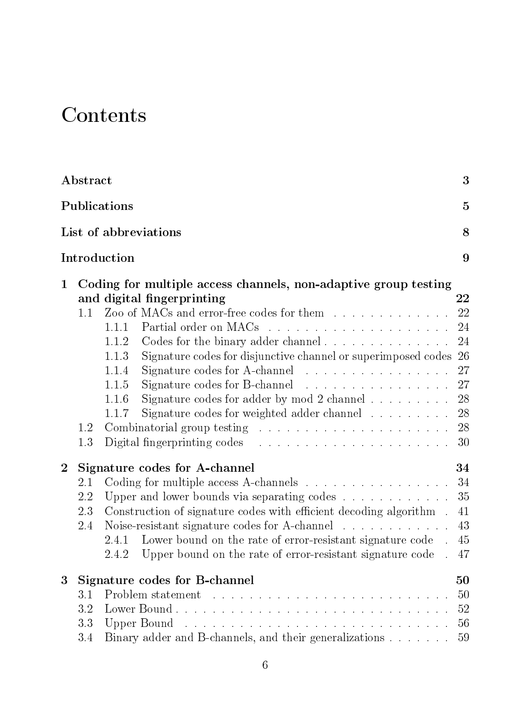# **Contents**

|                | Abstract<br>$\mathbf{3}$       |                                                                                                                                                                                                                                                                                                                                                                                                                                                                                                                                                                                                                                                       |                                                     |  |  |  |  |
|----------------|--------------------------------|-------------------------------------------------------------------------------------------------------------------------------------------------------------------------------------------------------------------------------------------------------------------------------------------------------------------------------------------------------------------------------------------------------------------------------------------------------------------------------------------------------------------------------------------------------------------------------------------------------------------------------------------------------|-----------------------------------------------------|--|--|--|--|
|                | Publications<br>$\overline{5}$ |                                                                                                                                                                                                                                                                                                                                                                                                                                                                                                                                                                                                                                                       |                                                     |  |  |  |  |
|                | List of abbreviations<br>8     |                                                                                                                                                                                                                                                                                                                                                                                                                                                                                                                                                                                                                                                       |                                                     |  |  |  |  |
|                | 9<br>Introduction              |                                                                                                                                                                                                                                                                                                                                                                                                                                                                                                                                                                                                                                                       |                                                     |  |  |  |  |
| $\mathbf 1$    | 1.1<br>1.2<br>1.3              | Coding for multiple access channels, non-adaptive group testing<br>and digital fingerprinting<br>Zoo of MACs and error-free codes for them<br>1.1.1<br>Codes for the binary adder channel $\ldots$ , $\ldots$ , $\ldots$ , $\ldots$<br>1.1.2<br>Signature codes for disjunctive channel or superimposed codes 26<br>1.1.3<br>Signature codes for A-channel $\ldots \ldots \ldots \ldots \ldots$<br>1.1.4<br>1.1.5<br>Signature codes for adder by mod 2 channel $\ldots$<br>1.1.6<br>Signature codes for weighted adder channel $\ldots \ldots \ldots$ 28<br>1.1.7<br>Digital fingerprinting codes $\ldots \ldots \ldots \ldots \ldots \ldots \ldots$ | $\bf{22}$<br>22<br>24<br>24<br>27<br>27<br>28<br>30 |  |  |  |  |
| $\overline{2}$ | 2.1<br>2.2<br>2.3<br>2.4       | Signature codes for A-channel<br>34<br>Coding for multiple access A-channels $\ldots \ldots \ldots \ldots \ldots$<br>34<br>Upper and lower bounds via separating codes $\dots \dots \dots \dots$<br>35<br>Construction of signature codes with efficient decoding algorithm.<br>41<br>Noise-resistant signature codes for A-channel<br>43<br>Lower bound on the rate of error-resistant signature code.<br>2.4.1<br>45<br>2.4.2 Upper bound on the rate of error-resistant signature code . 47                                                                                                                                                        |                                                     |  |  |  |  |
| 3              | 3.1<br>$3.2\,$<br>3.3<br>3.4   | Signature codes for B-channel<br>Upper Bound and account to the contract of the contract of the Upper Bound and account of the contract of the U<br>Binary adder and B-channels, and their generalizations                                                                                                                                                                                                                                                                                                                                                                                                                                            | 50<br>50<br>52<br>56<br>59                          |  |  |  |  |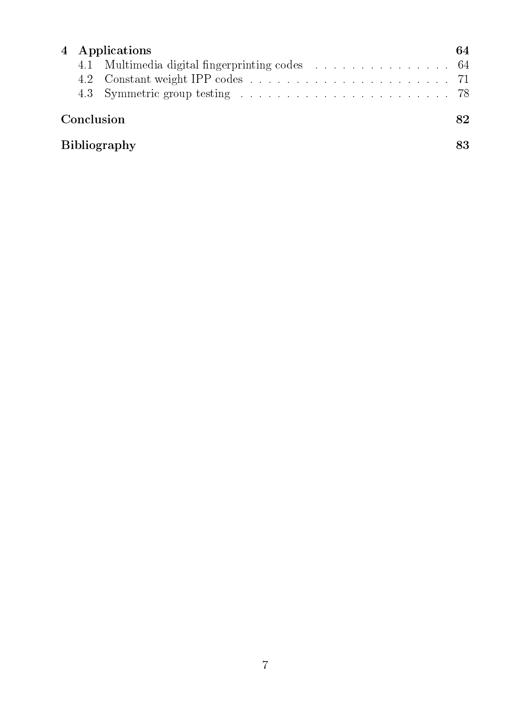|                     |  | 4 Applications<br>64                           |  |  |  |
|---------------------|--|------------------------------------------------|--|--|--|
|                     |  | 4.1 Multimedia digital fingerprinting codes 64 |  |  |  |
|                     |  |                                                |  |  |  |
|                     |  |                                                |  |  |  |
| Conclusion          |  |                                                |  |  |  |
| <b>Bibliography</b> |  |                                                |  |  |  |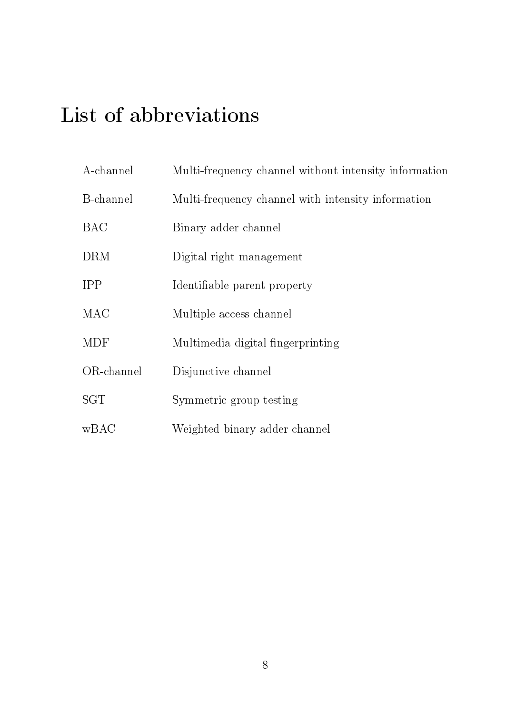# List of abbreviations

| A-channel  | Multi-frequency channel without intensity information |
|------------|-------------------------------------------------------|
| B-channel  | Multi-frequency channel with intensity information    |
| <b>BAC</b> | Binary adder channel                                  |
| <b>DRM</b> | Digital right management                              |
| <b>IPP</b> | Identifiable parent property                          |
| <b>MAC</b> | Multiple access channel                               |
| <b>MDF</b> | Multimedia digital fingerprinting                     |
| OR-channel | Disjunctive channel                                   |
| SGT        | Symmetric group testing                               |
| wBAC       | Weighted binary adder channel                         |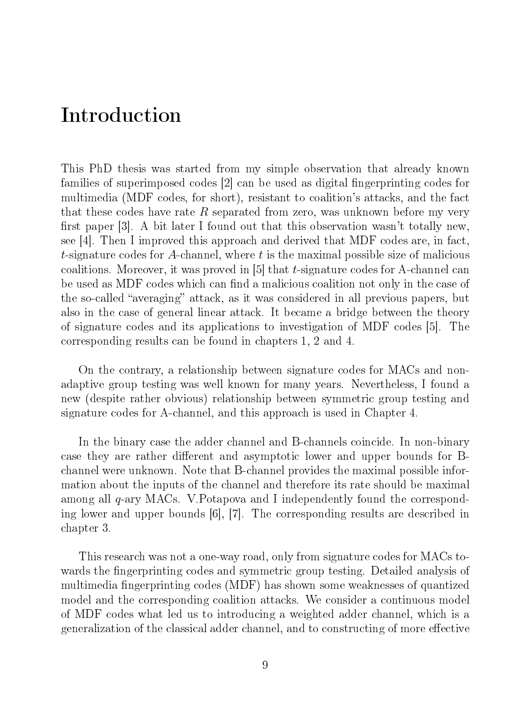## Introduction

This PhD thesis was started from my simple observation that already known families of superimposed codes [2] can be used as digital fingerprinting codes for multimedia (MDF codes, for short), resistant to coalition's attacks, and the fact that these codes have rate R separated from zero, was unknown before my very first paper  $|3|$ . A bit later I found out that this observation wasn't totally new, see [4]. Then I improved this approach and derived that MDF codes are, in fact, t-signature codes for A-channel, where  $t$  is the maximal possible size of malicious coalitions. Moreover, it was proved in [5] that t-signature codes for A-channel can be used as MDF codes which can find a malicious coalition not only in the case of the so-called "averaging" attack, as it was considered in all previous papers, but also in the case of general linear attack. It became a bridge between the theory of signature codes and its applications to investigation of MDF codes [5]. The corresponding results can be found in chapters 1, 2 and 4.

On the contrary, a relationship between signature codes for MACs and nonadaptive group testing was well known for many years. Nevertheless, I found a new (despite rather obvious) relationship between symmetric group testing and signature codes for A-channel, and this approach is used in Chapter 4.

In the binary case the adder channel and B-channels coincide. In non-binary case they are rather different and asymptotic lower and upper bounds for Bchannel were unknown. Note that B-channel provides the maximal possible information about the inputs of the channel and therefore its rate should be maximal among all q-ary MACs. V.Potapova and I independently found the corresponding lower and upper bounds [6], [7]. The corresponding results are described in chapter 3.

This research was not a one-way road, only from signature codes for MACs towards the fingerprinting codes and symmetric group testing. Detailed analysis of multimedia fingerprinting codes (MDF) has shown some weaknesses of quantized model and the corresponding coalition attacks. We consider a continuous model of MDF codes what led us to introducing a weighted adder channel, which is a generalization of the classical adder channel, and to constructing of more effective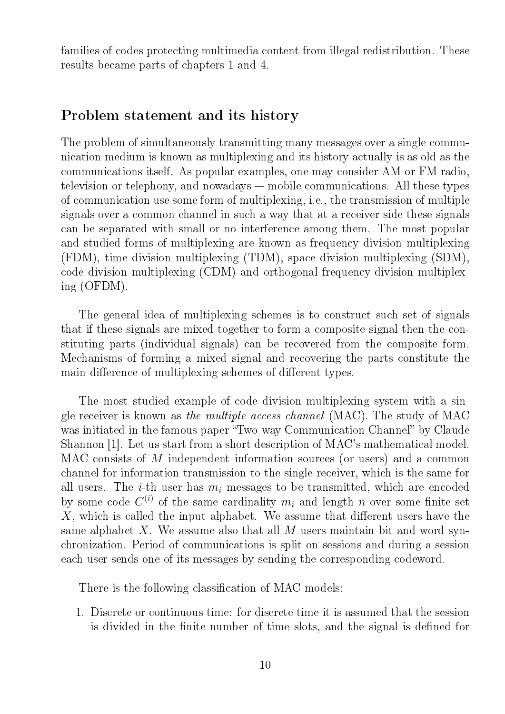families of codes protecting multimedia content from illegal redistribution. These results became parts of chapters 1 and 4.

### Problem statement and its history

The problem of simultaneously transmitting many messages over a single communication medium is known as multiplexing and its history actually is as old as the communications itself. As popular examples, one may consider AM or FM radio, television or telephony, and nowadays  $-$  mobile communications. All these types of communication use some form of multiplexing, i.e., the transmission of multiple signals over a common channel in such a way that at a receiver side these signals can be separated with small or no interference among them. The most popular and studied forms of multiplexing are known as frequency division multiplexing (FDM), time division multiplexing (TDM), space division multiplexing (SDM), code division multiplexing (CDM) and orthogonal frequency-division multiplexing (OFDM).

The general idea of multiplexing schemes is to construct such set of signals that if these signals are mixed together to form a composite signal then the constituting parts (individual signals) can be recovered from the composite form. Mechanisms of forming a mixed signal and recovering the parts constitute the main difference of multiplexing schemes of different types.

The most studied example of code division multiplexing system with a single receiver is known as the multiple access channel (MAC). The study of MAC was initiated in the famous paper "Two-way Communication Channel" by Claude Shannon [1]. Let us start from a short description of MAC's mathematical model. MAC consists of M independent information sources (or users) and a common channel for information transmission to the single receiver, which is the same for all users. The *i*-th user has  $m_i$  messages to be transmitted, which are encoded by some code  $C^{(i)}$  of the same cardinality  $m_i$  and length n over some finite set  $X$ , which is called the input alphabet. We assume that different users have the same alphabet X. We assume also that all  $M$  users maintain bit and word synchronization. Period of communications is split on sessions and during a session each user sends one of its messages by sending the corresponding codeword.

There is the following classification of MAC models:

1. Discrete or continuous time: for discrete time it is assumed that the session is divided in the finite number of time slots, and the signal is defined for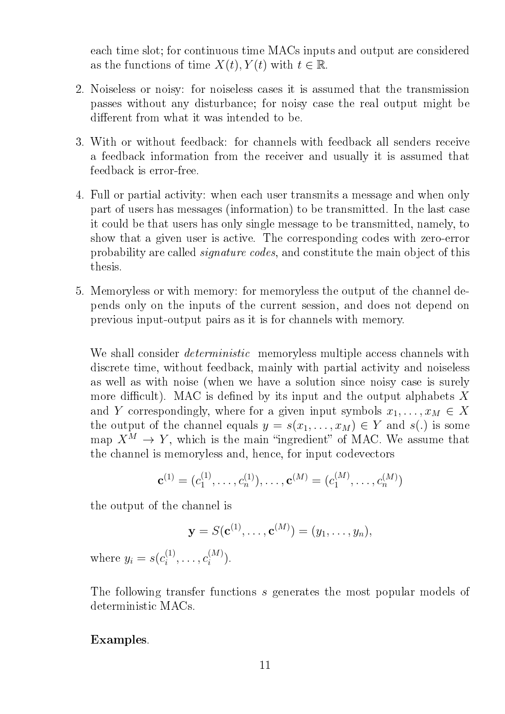each time slot; for continuous time MACs inputs and output are considered as the functions of time  $X(t)$ ,  $Y(t)$  with  $t \in \mathbb{R}$ .

- 2. Noiseless or noisy: for noiseless cases it is assumed that the transmission passes without any disturbance; for noisy case the real output might be different from what it was intended to be.
- 3. With or without feedback: for channels with feedback all senders receive a feedback information from the receiver and usually it is assumed that feedback is error-free.
- 4. Full or partial activity: when each user transmits a message and when only part of users has messages (information) to be transmitted. In the last case it could be that users has only single message to be transmitted, namely, to show that a given user is active. The corresponding codes with zero-error probability are called signature codes, and constitute the main object of this thesis.
- 5. Memoryless or with memory: for memoryless the output of the channel depends only on the inputs of the current session, and does not depend on previous input-output pairs as it is for channels with memory.

We shall consider *deterministic* memoryless multiple access channels with discrete time, without feedback, mainly with partial activity and noiseless as well as with noise (when we have a solution since noisy case is surely more difficult). MAC is defined by its input and the output alphabets  $X$ and Y correspondingly, where for a given input symbols  $x_1, \ldots, x_M \in X$ the output of the channel equals  $y = s(x_1, \ldots, x_M) \in Y$  and  $s(.)$  is some map  $X^M \to Y$ , which is the main "ingredient" of MAC. We assume that the channel is memoryless and, hence, for input codevectors

$$
\mathbf{c}^{(1)} = (c_1^{(1)}, \dots, c_n^{(1)}), \dots, \mathbf{c}^{(M)} = (c_1^{(M)}, \dots, c_n^{(M)})
$$

the output of the channel is

$$
\mathbf{y} = S(\mathbf{c}^{(1)}, \dots, \mathbf{c}^{(M)}) = (y_1, \dots, y_n),
$$

where  $y_i = s(c_i^{(1)})$  $c_i^{(1)},\ldots,c_i^{(M)}$  $\binom{[M]}{i}$ .

The following transfer functions s generates the most popular models of deterministic MACs.

### Examples.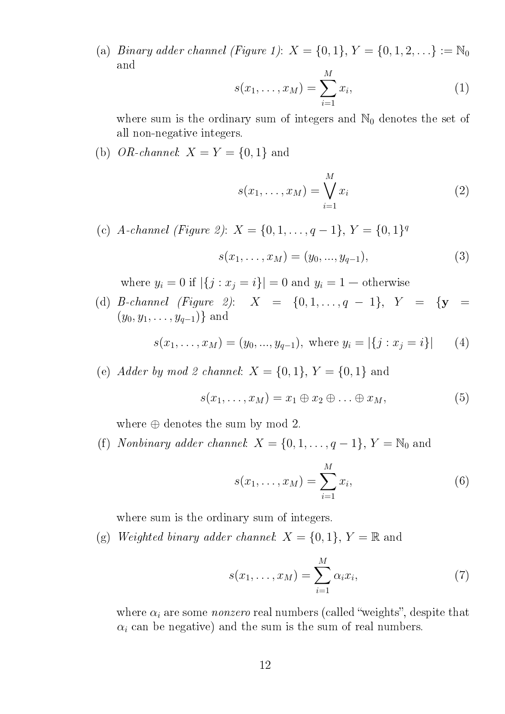(a) Binary adder channel (Figure 1):  $X = \{0, 1\}, Y = \{0, 1, 2, \ldots\} := \mathbb{N}_0$ and

$$
s(x_1, ..., x_M) = \sum_{i=1}^{M} x_i,
$$
 (1)

where sum is the ordinary sum of integers and  $\mathbb{N}_0$  denotes the set of all non-negative integers.

(b) OR-channel:  $X = Y = \{0, 1\}$  and

$$
s(x_1, \ldots, x_M) = \bigvee_{i=1}^M x_i \tag{2}
$$

(c) A-channel (Figure 2):  $X = \{0, 1, ..., q - 1\}, Y = \{0, 1\}^q$  $s(x_1, \ldots, x_M) = (y_0, \ldots, y_{q-1}),$  (3)

where  $y_i = 0$  if  $|\{j : x_j = i\}| = 0$  and  $y_i = 1$  – otherwise

(d) B-channel (Figure 2):  $X = \{0, 1, ..., q - 1\}, Y = \{y =$  $(y_0, y_1, \ldots, y_{q-1})$ } and

$$
s(x_1, \ldots, x_M) = (y_0, \ldots, y_{q-1}), \text{ where } y_i = |\{j : x_j = i\}| \qquad (4)
$$

(e) Adder by mod 2 channel:  $X = \{0, 1\}$ ,  $Y = \{0, 1\}$  and

$$
s(x_1,\ldots,x_M)=x_1\oplus x_2\oplus\ldots\oplus x_M,\qquad\qquad(5)
$$

where  $\oplus$  denotes the sum by mod 2.

(f) Nonbinary adder channel:  $X = \{0, 1, \ldots, q-1\}, Y = \mathbb{N}_0$  and

$$
s(x_1, ..., x_M) = \sum_{i=1}^{M} x_i,
$$
 (6)

where sum is the ordinary sum of integers.

(g) Weighted binary adder channel:  $X = \{0, 1\}$ ,  $Y = \mathbb{R}$  and

$$
s(x_1,\ldots,x_M)=\sum_{i=1}^M \alpha_i x_i,\qquad(7)
$$

where  $\alpha_i$  are some *nonzero* real numbers (called "weights", despite that  $\alpha_i$  can be negative) and the sum is the sum of real numbers.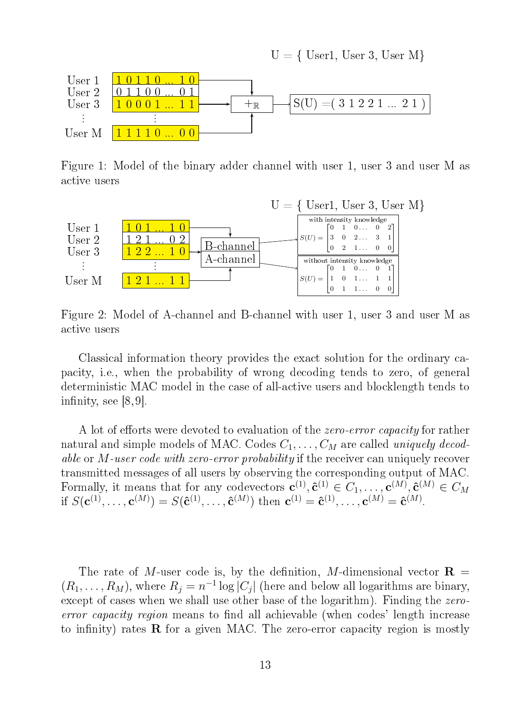

Figure 1: Model of the binary adder channel with user 1, user 3 and user M as active users



Figure 2: Model of A-channel and B-channel with user 1, user 3 and user M as active users

Classical information theory provides the exact solution for the ordinary capacity, i.e., when the probability of wrong decoding tends to zero, of general deterministic MAC model in the case of all-active users and blocklength tends to infinity, see  $[8, 9]$ .

A lot of efforts were devoted to evaluation of the zero-error capacity for rather natural and simple models of MAC. Codes  $C_1, \ldots, C_M$  are called uniquely decodable or M-user code with zero-error probability if the receiver can uniquely recover transmitted messages of all users by observing the corresponding output of MAC. Formally, it means that for any codevectors  $\mathbf{c}^{(1)}, \hat{\mathbf{c}}^{(1)} \in C_1, \ldots, \mathbf{c}^{(M)}, \hat{\mathbf{c}}^{(M)} \in C_M$ if  $S(\mathbf{c}^{(1)},\ldots,\mathbf{c}^{(M)})=S(\mathbf{\hat{c}}^{(1)},\ldots,\mathbf{\hat{c}}^{(M)})$  then  $\mathbf{c}^{(1)}=\mathbf{\hat{c}}^{(1)},\ldots,\mathbf{c}^{(M)}=\mathbf{\hat{c}}^{(M)}$ .

The rate of M-user code is, by the definition, M-dimensional vector  $\mathbf{R} =$  $(R_1, \ldots, R_M)$ , where  $R_j = n^{-1} \log |C_j|$  (here and below all logarithms are binary, except of cases when we shall use other base of the logarithm). Finding the zeroerror capacity region means to find all achievable (when codes' length increase to infinity) rates  $\bf{R}$  for a given MAC. The zero-error capacity region is mostly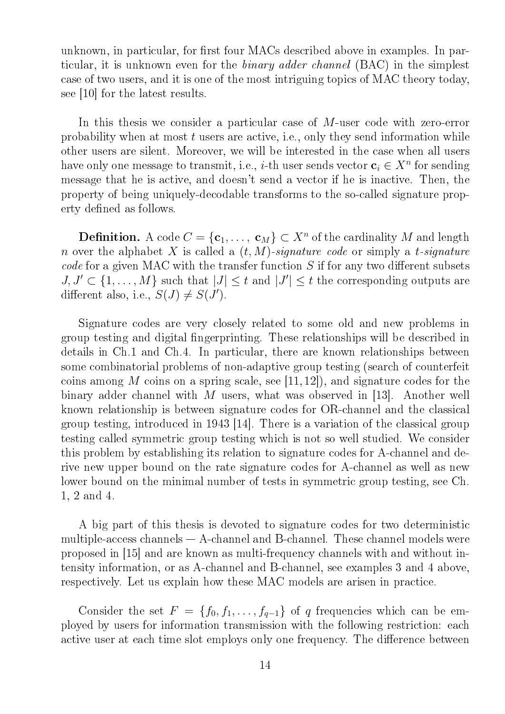unknown, in particular, for first four MACs described above in examples. In particular, it is unknown even for the binary adder channel (BAC) in the simplest case of two users, and it is one of the most intriguing topics of MAC theory today, see [10] for the latest results.

In this thesis we consider a particular case of M-user code with zero-error probability when at most  $t$  users are active, i.e., only they send information while other users are silent. Moreover, we will be interested in the case when all users have only one message to transmit, i.e., *i*-th user sends vector  $\mathbf{c}_i \in X^n$  for sending message that he is active, and doesn't send a vector if he is inactive. Then, the property of being uniquely-decodable transforms to the so-called signature property defined as follows.

**Definition.** A code  $C = \{c_1, \ldots, c_M\} \subset X^n$  of the cardinality  $M$  and length n over the alphabet X is called a  $(t, M)$ -signature code or simply a t-signature code for a given MAC with the transfer function  $S$  if for any two different subsets  $J, J' \subset \{1, \ldots, M\}$  such that  $|J| \leq t$  and  $|J'| \leq t$  the corresponding outputs are different also, i.e.,  $S(J) \neq S(J')$ .

Signature codes are very closely related to some old and new problems in group testing and digital fingerprinting. These relationships will be described in details in Ch.1 and Ch.4. In particular, there are known relationships between some combinatorial problems of non-adaptive group testing (search of counterfeit coins among M coins on a spring scale, see  $[11, 12]$ , and signature codes for the binary adder channel with M users, what was observed in [13]. Another well known relationship is between signature codes for OR-channel and the classical group testing, introduced in 1943 [14]. There is a variation of the classical group testing called symmetric group testing which is not so well studied. We consider this problem by establishing its relation to signature codes for A-channel and derive new upper bound on the rate signature codes for A-channel as well as new lower bound on the minimal number of tests in symmetric group testing, see Ch. 1, 2 and 4.

A big part of this thesis is devoted to signature codes for two deterministic multiple-access channels  $-$  A-channel and B-channel. These channel models were proposed in [15] and are known as multi-frequency channels with and without intensity information, or as A-channel and B-channel, see examples 3 and 4 above, respectively. Let us explain how these MAC models are arisen in practice.

Consider the set  $F = \{f_0, f_1, \ldots, f_{q-1}\}\$ of q frequencies which can be employed by users for information transmission with the following restriction: each active user at each time slot employs only one frequency. The difference between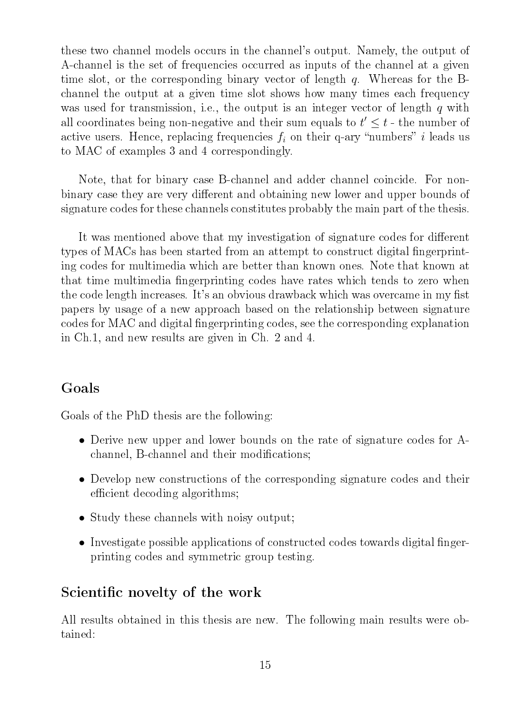these two channel models occurs in the channel's output. Namely, the output of A-channel is the set of frequencies occurred as inputs of the channel at a given time slot, or the corresponding binary vector of length q. Whereas for the Bchannel the output at a given time slot shows how many times each frequency was used for transmission, i.e., the output is an integer vector of length  $q$  with all coordinates being non-negative and their sum equals to  $t' \leq t$  - the number of active users. Hence, replacing frequencies  $f_i$  on their q-ary "numbers" i leads us to MAC of examples 3 and 4 correspondingly.

Note, that for binary case B-channel and adder channel coincide. For nonbinary case they are very different and obtaining new lower and upper bounds of signature codes for these channels constitutes probably the main part of the thesis.

It was mentioned above that my investigation of signature codes for different types of MACs has been started from an attempt to construct digital fingerprinting codes for multimedia which are better than known ones. Note that known at that time multimedia fingerprinting codes have rates which tends to zero when the code length increases. It's an obvious drawback which was overcame in my fist papers by usage of a new approach based on the relationship between signature codes for MAC and digital fingerprinting codes, see the corresponding explanation in Ch.1, and new results are given in Ch. 2 and 4.

## Goals

Goals of the PhD thesis are the following:

- Derive new upper and lower bounds on the rate of signature codes for Achannel, B-channel and their modifications;
- Develop new constructions of the corresponding signature codes and their efficient decoding algorithms;
- Study these channels with noisy output;
- Investigate possible applications of constructed codes towards digital fingerprinting codes and symmetric group testing.

## Scientific novelty of the work

All results obtained in this thesis are new. The following main results were obtained: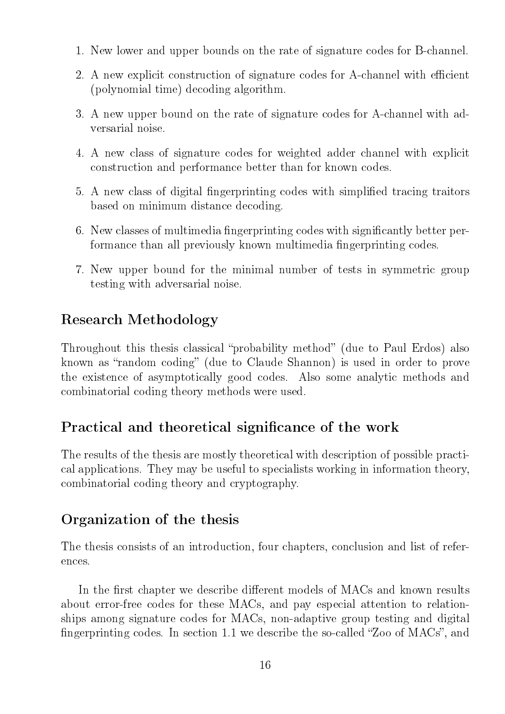- 1. New lower and upper bounds on the rate of signature codes for B-channel.
- 2. A new explicit construction of signature codes for A-channel with efficient (polynomial time) decoding algorithm.
- 3. A new upper bound on the rate of signature codes for A-channel with adversarial noise.
- 4. A new class of signature codes for weighted adder channel with explicit construction and performance better than for known codes.
- 5. A new class of digital fingerprinting codes with simplified tracing traitors based on minimum distance decoding.
- 6. New classes of multimedia fingerprinting codes with significantly better performance than all previously known multimedia fingerprinting codes.
- 7. New upper bound for the minimal number of tests in symmetric group testing with adversarial noise.

## Research Methodology

Throughout this thesis classical "probability method" (due to Paul Erdos) also known as "random coding" (due to Claude Shannon) is used in order to prove the existence of asymptotically good codes. Also some analytic methods and combinatorial coding theory methods were used.

## Practical and theoretical significance of the work

The results of the thesis are mostly theoretical with description of possible practical applications. They may be useful to specialists working in information theory, combinatorial coding theory and cryptography.

## Organization of the thesis

The thesis consists of an introduction, four chapters, conclusion and list of references.

In the first chapter we describe different models of MACs and known results about error-free codes for these MACs, and pay especial attention to relationships among signature codes for MACs, non-adaptive group testing and digital fingerprinting codes. In section 1.1 we describe the so-called "Zoo of MACs", and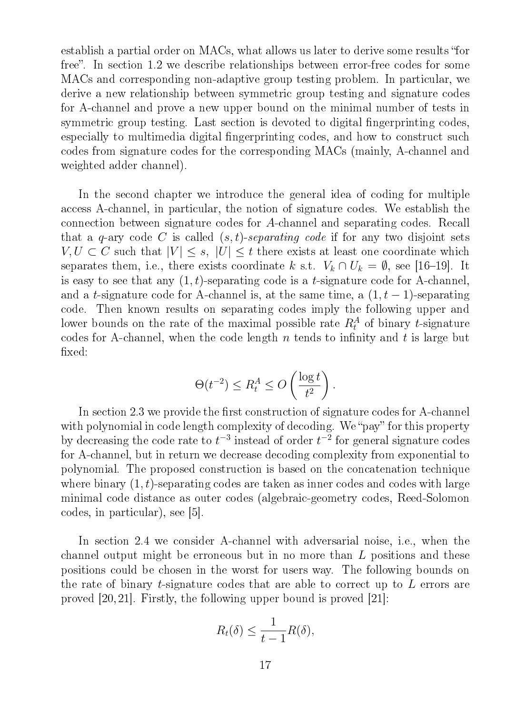establish a partial order on MACs, what allows us later to derive some results "for free". In section 1.2 we describe relationships between error-free codes for some MACs and corresponding non-adaptive group testing problem. In particular, we derive a new relationship between symmetric group testing and signature codes for A-channel and prove a new upper bound on the minimal number of tests in symmetric group testing. Last section is devoted to digital fingerprinting codes, especially to multimedia digital fingerprinting codes, and how to construct such codes from signature codes for the corresponding MACs (mainly, A-channel and weighted adder channel).

In the second chapter we introduce the general idea of coding for multiple access A-channel, in particular, the notion of signature codes. We establish the connection between signature codes for A-channel and separating codes. Recall that a q-ary code C is called  $(s, t)$ -separating code if for any two disjoint sets  $V, U \subset C$  such that  $|V| \leq s$ ,  $|U| \leq t$  there exists at least one coordinate which separates them, i.e., there exists coordinate k s.t.  $V_k \cap U_k = \emptyset$ , see [16-19]. It is easy to see that any  $(1, t)$ -separating code is a t-signature code for A-channel, and a t-signature code for A-channel is, at the same time, a  $(1, t - 1)$ -separating code. Then known results on separating codes imply the following upper and lower bounds on the rate of the maximal possible rate  $R_t^A$  of binary t-signature codes for A-channel, when the code length n tends to infinity and t is large but xed:

$$
\Theta(t^{-2}) \le R_t^A \le O\left(\frac{\log t}{t^2}\right).
$$

In section 2.3 we provide the first construction of signature codes for A-channel with polynomial in code length complexity of decoding. We "pay" for this property by decreasing the code rate to  $t^{-3}$  instead of order  $t^{-2}$  for general signature codes for A-channel, but in return we decrease decoding complexity from exponential to polynomial. The proposed construction is based on the concatenation technique where binary  $(1, t)$ -separating codes are taken as inner codes and codes with large minimal code distance as outer codes (algebraic-geometry codes, Reed-Solomon codes, in particular), see [5].

In section 2.4 we consider A-channel with adversarial noise, i.e., when the channel output might be erroneous but in no more than L positions and these positions could be chosen in the worst for users way. The following bounds on the rate of binary t-signature codes that are able to correct up to L errors are proved [20, 21]. Firstly, the following upper bound is proved [21]:

$$
R_t(\delta) \le \frac{1}{t-1}R(\delta),
$$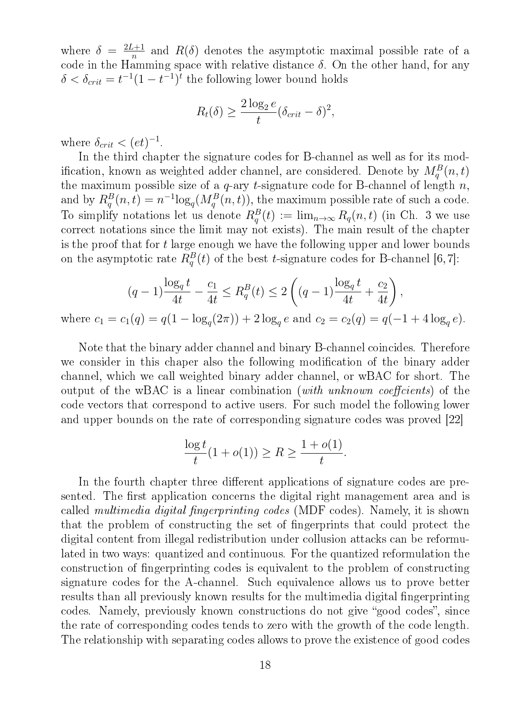where  $\delta = \frac{2L+1}{n}$  $\frac{a+1}{n}$  and  $R(\delta)$  denotes the asymptotic maximal possible rate of a code in the Hamming space with relative distance  $\delta$ . On the other hand, for any  $\delta < \delta_{crit} = t^{-1}(1 - t^{-1})^t$  the following lower bound holds

$$
R_t(\delta) \ge \frac{2\log_2 e}{t} (\delta_{crit} - \delta)^2,
$$

where  $\delta_{crit} < (et)^{-1}$ .

In the third chapter the signature codes for B-channel as well as for its modification, known as weighted adder channel, are considered. Denote by  $M_q^B(n,t)$ the maximum possible size of a  $q$ -ary t-signature code for B-channel of length  $n$ , and by  $R_q^B(n,t) = n^{-1} \log_q(M_q^B(n,t))$ , the maximum possible rate of such a code. To simplify notations let us denote  $R_q^B(t) := \lim_{n\to\infty} R_q(n,t)$  (in Ch. 3 we use correct notations since the limit may not exists). The main result of the chapter is the proof that for t large enough we have the following upper and lower bounds on the asymptotic rate  $R_q^B(t)$  of the best t-signature codes for B-channel [6,7]:

$$
(q-1)\frac{\log_q t}{4t} - \frac{c_1}{4t} \le R_q^B(t) \le 2\left((q-1)\frac{\log_q t}{4t} + \frac{c_2}{4t}\right),
$$
  
=  $c_1(q) = q(1 - \log_q(2\pi)) + 2\log_q e$  and  $c_2 = c_2(q) = q(-1 + 4\log_q e).$ 

where  $c_1$  $(2\pi)$ ) +  $2\log_q$ e and  $c_2 = c_2(q) = q(-1 + 4\log_q$  $log$   $\sim$ 

Note that the binary adder channel and binary B-channel coincides. Therefore we consider in this chaper also the following modification of the binary adder channel, which we call weighted binary adder channel, or wBAC for short. The output of the wBAC is a linear combination (with unknown coefficients) of the code vectors that correspond to active users. For such model the following lower and upper bounds on the rate of corresponding signature codes was proved [22]

$$
\frac{\log t}{t}(1 + o(1)) \ge R \ge \frac{1 + o(1)}{t}.
$$

In the fourth chapter three different applications of signature codes are presented. The first application concerns the digital right management area and is called *multimedia digital fingerprinting codes* (MDF codes). Namely, it is shown that the problem of constructing the set of ngerprints that could protect the digital content from illegal redistribution under collusion attacks can be reformulated in two ways: quantized and continuous. For the quantized reformulation the construction of ngerprinting codes is equivalent to the problem of constructing signature codes for the A-channel. Such equivalence allows us to prove better results than all previously known results for the multimedia digital fingerprinting codes. Namely, previously known constructions do not give "good codes", since the rate of corresponding codes tends to zero with the growth of the code length. The relationship with separating codes allows to prove the existence of good codes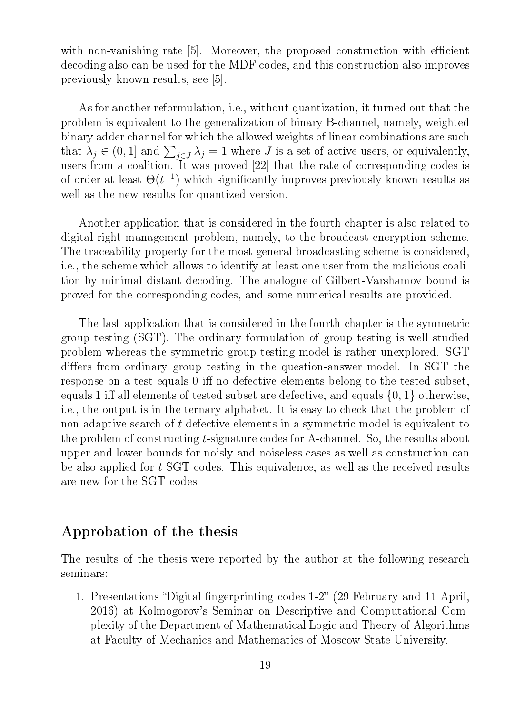with non-vanishing rate [5]. Moreover, the proposed construction with efficient decoding also can be used for the MDF codes, and this construction also improves previously known results, see [5].

As for another reformulation, i.e., without quantization, it turned out that the problem is equivalent to the generalization of binary B-channel, namely, weighted binary adder channel for which the allowed weights of linear combinations are such that  $\lambda_j \in (0,1]$  and  $\sum_{j\in J} \lambda_j = 1$  where J is a set of active users, or equivalently, users from a coalition. It was proved [22] that the rate of corresponding codes is of order at least  $\Theta(t^{-1})$  which significantly improves previously known results as well as the new results for quantized version.

Another application that is considered in the fourth chapter is also related to digital right management problem, namely, to the broadcast encryption scheme. The traceability property for the most general broadcasting scheme is considered, i.e., the scheme which allows to identify at least one user from the malicious coalition by minimal distant decoding. The analogue of Gilbert-Varshamov bound is proved for the corresponding codes, and some numerical results are provided.

The last application that is considered in the fourth chapter is the symmetric group testing (SGT). The ordinary formulation of group testing is well studied problem whereas the symmetric group testing model is rather unexplored. SGT differs from ordinary group testing in the question-answer model. In SGT the response on a test equals 0 iff no defective elements belong to the tested subset, equals 1 iff all elements of tested subset are defective, and equals  $\{0, 1\}$  otherwise, i.e., the output is in the ternary alphabet. It is easy to check that the problem of non-adaptive search of t defective elements in a symmetric model is equivalent to the problem of constructing t-signature codes for A-channel. So, the results about upper and lower bounds for noisly and noiseless cases as well as construction can be also applied for t-SGT codes. This equivalence, as well as the received results are new for the SGT codes.

### Approbation of the thesis

The results of the thesis were reported by the author at the following research seminars:

1. Presentations "Digital fingerprinting codes 1-2" (29 February and 11 April, 2016) at Kolmogorov's Seminar on Descriptive and Computational Complexity of the Department of Mathematical Logic and Theory of Algorithms at Faculty of Mechanics and Mathematics of Moscow State University.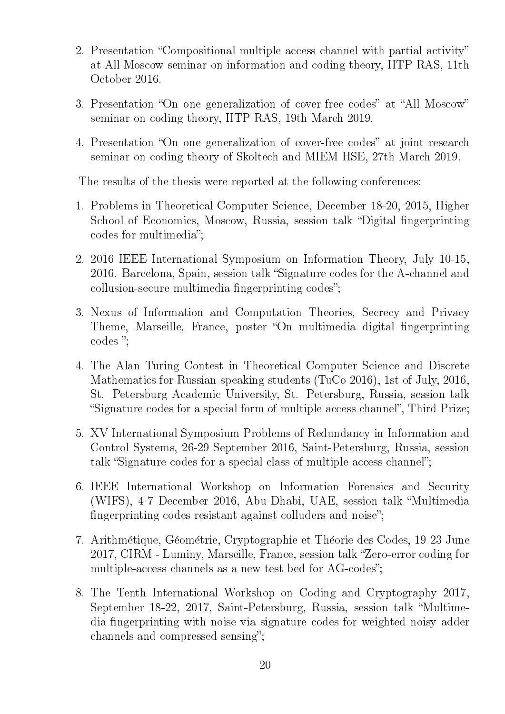- 2. Presentation "Compositional multiple access channel with partial activity" at All-Moscow seminar on information and coding theory, IITP RAS, 11th October 2016.
- 3. Presentation "On one generalization of cover-free codes" at "All Moscow" seminar on coding theory, IITP RAS, 19th March 2019.
- 4. Presentation "On one generalization of cover-free codes" at joint research seminar on coding theory of Skoltech and MIEM HSE, 27th March 2019.

The results of the thesis were reported at the following conferences:

- 1. Problems in Theoretical Computer Science, December 18-20, 2015, Higher School of Economics, Moscow, Russia, session talk "Digital fingerprinting" codes for multimedia";
- 2. 2016 IEEE International Symposium on Information Theory, July 10-15, 2016. Barcelona, Spain, session talk "Signature codes for the A-channel and collusion-secure multimedia fingerprinting codes";
- 3. Nexus of Information and Computation Theories, Secrecy and Privacy Theme, Marseille, France, poster "On multimedia digital fingerprinting codes ";
- 4. The Alan Turing Contest in Theoretical Computer Science and Discrete Mathematics for Russian-speaking students (TuCo 2016), 1st of July, 2016, St. Petersburg Academic University, St. Petersburg, Russia, session talk "Signature codes for a special form of multiple access channel", Third Prize;
- 5. XV International Symposium Problems of Redundancy in Information and Control Systems, 26-29 September 2016, Saint-Petersburg, Russia, session talk "Signature codes for a special class of multiple access channel";
- 6. IEEE International Workshop on Information Forensics and Security (WIFS), 4-7 December 2016, Abu-Dhabi, UAE, session talk "Multimedia" fingerprinting codes resistant against colluders and noise":
- 7. Arithmetique, Geometrie, Cryptographie et Theorie des Codes, 19-23 June 2017, CIRM - Luminy, Marseille, France, session talk "Zero-error coding for multiple-access channels as a new test bed for AG-codes";
- 8. The Tenth International Workshop on Coding and Cryptography 2017, September 18-22, 2017, Saint-Petersburg, Russia, session talk "Multimedia fingerprinting with noise via signature codes for weighted noisy adder channels and compressed sensing";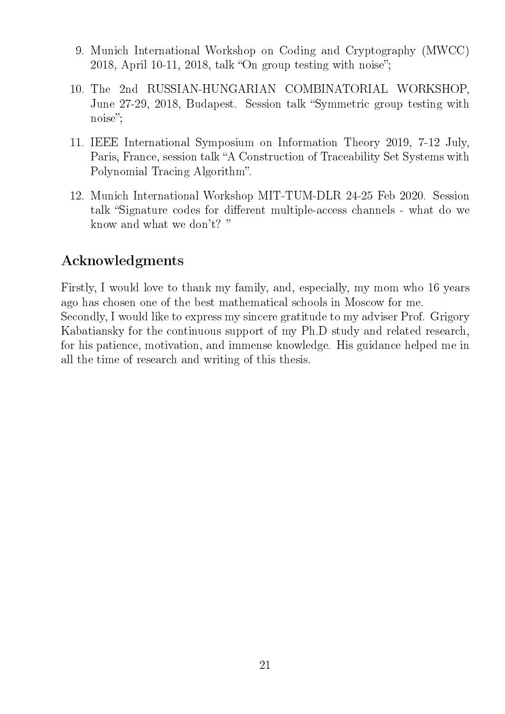- 9. Munich International Workshop on Coding and Cryptography (MWCC) 2018, April 10-11, 2018, talk "On group testing with noise";
- 10. The 2nd RUSSIAN-HUNGARIAN COMBINATORIAL WORKSHOP, June 27-29, 2018, Budapest. Session talk "Symmetric group testing with noise";
- 11. IEEE International Symposium on Information Theory 2019, 7-12 July, Paris, France, session talk "A Construction of Traceability Set Systems with Polynomial Tracing Algorithm".
- 12. Munich International Workshop MIT-TUM-DLR 24-25 Feb 2020. Session talk "Signature codes for different multiple-access channels - what do we know and what we don't?

## Acknowledgments

Firstly, I would love to thank my family, and, especially, my mom who 16 years ago has chosen one of the best mathematical schools in Moscow for me. Secondly, I would like to express my sincere gratitude to my adviser Prof. Grigory Kabatiansky for the continuous support of my Ph.D study and related research, for his patience, motivation, and immense knowledge. His guidance helped me in all the time of research and writing of this thesis.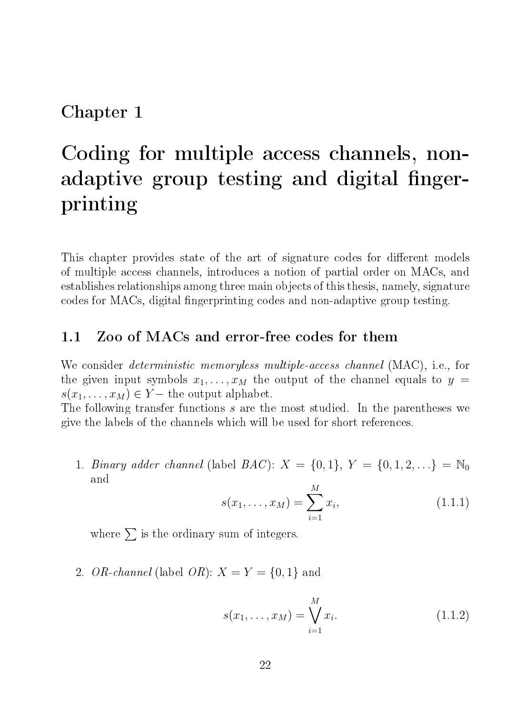## Chapter 1

# Coding for multiple access channels, nonadaptive group testing and digital fingerprinting

This chapter provides state of the art of signature codes for different models of multiple access channels, introduces a notion of partial order on MACs, and establishes relationships among three main objects of this thesis, namely, signature codes for MACs, digital fingerprinting codes and non-adaptive group testing.

### 1.1 Zoo of MACs and error-free codes for them

We consider deterministic memoryless multiple-access channel (MAC), i.e., for the given input symbols  $x_1, \ldots, x_M$  the output of the channel equals to  $y =$  $s(x_1, \ldots, x_M) \in Y$  – the output alphabet.

The following transfer functions s are the most studied. In the parentheses we give the labels of the channels which will be used for short references.

1. Binary adder channel (label  $BAC$ ):  $X = \{0, 1\}, Y = \{0, 1, 2, ...\} = \mathbb{N}_0$ and

$$
s(x_1, \dots, x_M) = \sum_{i=1}^{M} x_i,
$$
\n(1.1.1)

where  $\sum$  is the ordinary sum of integers.

2. OR-channel (label OR):  $X = Y = \{0, 1\}$  and

$$
s(x_1, ..., x_M) = \bigvee_{i=1}^{M} x_i.
$$
 (1.1.2)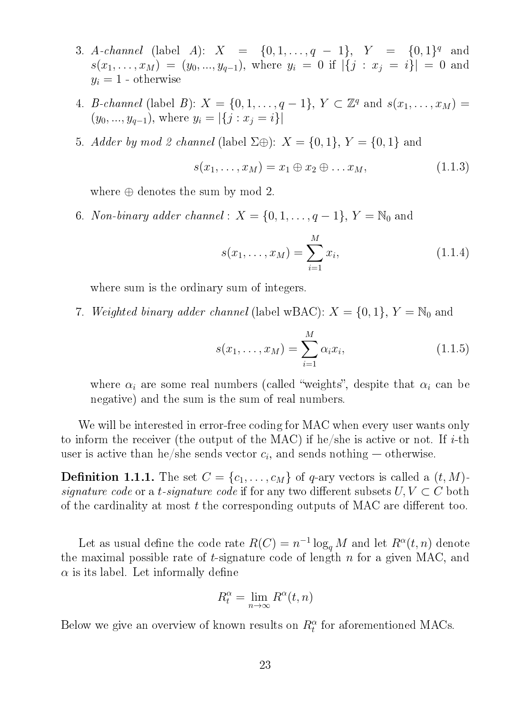- 3. A-channel (label A):  $X = \{0, 1, ..., q 1\}$ ,  $Y = \{0, 1\}^q$  and  $s(x_1, \ldots, x_M) = (y_0, \ldots, y_{q-1}), \text{ where } y_i = 0 \text{ if } |\{j : x_j = i\}| = 0 \text{ and }$  $y_i = 1$  - otherwise
- 4. *B-channel* (label *B*):  $X = \{0, 1, ..., q 1\}$ ,  $Y \subset \mathbb{Z}^q$  and  $s(x_1, ..., x_M) =$  $(y_0, ..., y_{q-1}),$  where  $y_i = |\{j : x_j = i\}|$
- 5. Adder by mod 2 channel (label  $\Sigma \oplus$ ):  $X = \{0,1\}$ ,  $Y = \{0,1\}$  and

$$
s(x_1, \ldots, x_M) = x_1 \oplus x_2 \oplus \ldots x_M, \qquad (1.1.3)
$$

where  $\oplus$  denotes the sum by mod 2.

6. Non-binary adder channel :  $X = \{0, 1, \ldots, q-1\}, Y = \mathbb{N}_0$  and

$$
s(x_1, \dots, x_M) = \sum_{i=1}^{M} x_i,
$$
 (1.1.4)

where sum is the ordinary sum of integers.

7. Weighted binary adder channel (label wBAC):  $X = \{0, 1\}$ ,  $Y = \mathbb{N}_0$  and

$$
s(x_1, ..., x_M) = \sum_{i=1}^{M} \alpha_i x_i,
$$
 (1.1.5)

where  $\alpha_i$  are some real numbers (called "weights", despite that  $\alpha_i$  can be negative) and the sum is the sum of real numbers.

We will be interested in error-free coding for MAC when every user wants only to inform the receiver (the output of the MAC) if he/she is active or not. If  $i$ -th user is active than he/she sends vector  $c_i$ , and sends nothing  $-$  otherwise.

**Definition 1.1.1.** The set  $C = \{c_1, \ldots, c_M\}$  of q-ary vectors is called a  $(t, M)$ signature code or a t-signature code if for any two different subsets  $U, V \subset C$  both of the cardinality at most  $t$  the corresponding outputs of MAC are different too.

Let as usual define the code rate  $R(C) = n^{-1} \log_q M$  and let  $R^{\alpha}(t, n)$  denote the maximal possible rate of  $t$ -signature code of length  $n$  for a given MAC, and  $\alpha$  is its label. Let informally define

$$
R_t^{\alpha} = \lim_{n \to \infty} R^{\alpha}(t, n)
$$

Below we give an overview of known results on  $R_t^{\alpha}$  for aforementioned MACs.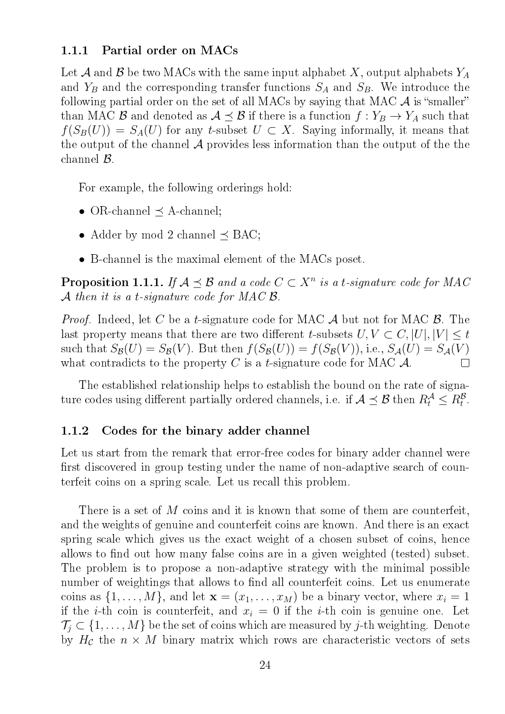### 1.1.1 Partial order on MACs

Let A and B be two MACs with the same input alphabet X, output alphabets  $Y_A$ and  $Y_B$  and the corresponding transfer functions  $S_A$  and  $S_B$ . We introduce the following partial order on the set of all MACs by saying that MAC  $\mathcal A$  is "smaller" than MAC B and denoted as  $A \preceq B$  if there is a function  $f: Y_B \to Y_A$  such that  $f(S_B(U)) = S_A(U)$  for any t-subset  $U \subset X$ . Saying informally, it means that the output of the channel  $\mathcal A$  provides less information than the output of the the channel B.

For example, the following orderings hold:

- OR-channel  $\preceq$  A-channel;
- Adder by mod 2 channel  $\preceq$  BAC;
- B-channel is the maximal element of the MACs poset.

**Proposition 1.1.1.** If  $A \preceq B$  and a code  $C \subset X^n$  is a t-signature code for MAC A then it is a t-signature code for MAC  $\beta$ .

*Proof.* Indeed, let C be a t-signature code for MAC  $\mathcal A$  but not for MAC  $\mathcal B$ . The last property means that there are two different t-subsets  $U, V \subset C, |U|, |V| \leq t$ such that  $S_{\mathcal{B}}(U) = S_{\mathcal{B}}(V)$ . But then  $f(S_{\mathcal{B}}(U)) = f(S_{\mathcal{B}}(V))$ , i.e.,  $S_{\mathcal{A}}(U) = S_{\mathcal{A}}(V)$ what contradicts to the property C is a t-signature code for MAC  $\mathcal{A}$ .  $\Box$ 

The established relationship helps to establish the bound on the rate of signature codes using different partially ordered channels, i.e. if  $\mathcal{A} \preceq \mathcal{B}$  then  $R_t^{\mathcal{A}} \leq R_t^{\mathcal{B}}$ .

### 1.1.2 Codes for the binary adder channel

Let us start from the remark that error-free codes for binary adder channel were first discovered in group testing under the name of non-adaptive search of counterfeit coins on a spring scale. Let us recall this problem.

There is a set of M coins and it is known that some of them are counterfeit, and the weights of genuine and counterfeit coins are known. And there is an exact spring scale which gives us the exact weight of a chosen subset of coins, hence allows to find out how many false coins are in a given weighted (tested) subset. The problem is to propose a non-adaptive strategy with the minimal possible number of weightings that allows to find all counterfeit coins. Let us enumerate coins as  $\{1, \ldots, M\}$ , and let  $\mathbf{x} = (x_1, \ldots, x_M)$  be a binary vector, where  $x_i = 1$ if the *i*-th coin is counterfeit, and  $x_i = 0$  if the *i*-th coin is genuine one. Let  $\mathcal{T}_j \subset \{1, \ldots, M\}$  be the set of coins which are measured by j-th weighting. Denote by  $H_{\mathcal{C}}$  the  $n \times M$  binary matrix which rows are characteristic vectors of sets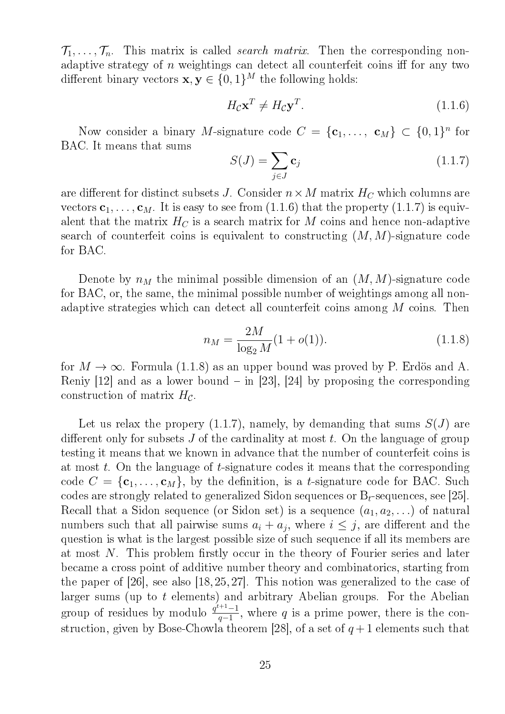$\mathcal{T}_1, \ldots, \mathcal{T}_n$ . This matrix is called *search matrix*. Then the corresponding nonadaptive strategy of  $n$  weightings can detect all counterfeit coins iff for any two different binary vectors  $\mathbf{x}, \mathbf{y} \in \{0, 1\}^M$  the following holds:

$$
H_{\mathcal{C}} \mathbf{x}^T \neq H_{\mathcal{C}} \mathbf{y}^T. \tag{1.1.6}
$$

Now consider a binary M-signature code  $C = {\mathbf{c}_1, \ldots, \mathbf{c}_M} \subset \{0,1\}^n$  for BAC. It means that sums

$$
S(J) = \sum_{j \in J} \mathbf{c}_j \tag{1.1.7}
$$

are different for distinct subsets J. Consider  $n \times M$  matrix  $H_C$  which columns are vectors  $c_1, \ldots, c_M$ . It is easy to see from (1.1.6) that the property (1.1.7) is equivalent that the matrix  $H_C$  is a search matrix for M coins and hence non-adaptive search of counterfeit coins is equivalent to constructing  $(M, M)$ -signature code for BAC.

Denote by  $n_M$  the minimal possible dimension of an  $(M, M)$ -signature code for BAC, or, the same, the minimal possible number of weightings among all nonadaptive strategies which can detect all counterfeit coins among M coins. Then

$$
n_M = \frac{2M}{\log_2 M} (1 + o(1)).
$$
\n(1.1.8)

for  $M \to \infty$ . Formula (1.1.8) as an upper bound was proved by P. Erdös and A. Reniy  $[12]$  and as a lower bound  $-$  in  $[23]$ ,  $[24]$  by proposing the corresponding construction of matrix  $H_{\mathcal{C}}$ .

Let us relax the propery  $(1.1.7)$ , namely, by demanding that sums  $S(J)$  are different only for subsets  $J$  of the cardinality at most  $t$ . On the language of group testing it means that we known in advance that the number of counterfeit coins is at most t. On the language of t-signature codes it means that the corresponding code  $C = \{c_1, \ldots, c_M\}$ , by the definition, is a *t*-signature code for BAC. Such codes are strongly related to generalized Sidon sequences or  $B_t$ -sequences, see [25]. Recall that a Sidon sequence (or Sidon set) is a sequence  $(a_1, a_2, \ldots)$  of natural numbers such that all pairwise sums  $a_i + a_j$ , where  $i \leq j$ , are different and the question is what is the largest possible size of such sequence if all its members are at most  $N$ . This problem firstly occur in the theory of Fourier series and later became a cross point of additive number theory and combinatorics, starting from the paper of  $[26]$ , see also  $[18, 25, 27]$ . This notion was generalized to the case of larger sums (up to t elements) and arbitrary Abelian groups. For the Abelian group of residues by modulo  $\frac{q^{t+1}-1}{q-1}$  $\frac{q+1}{q-1}$ , where q is a prime power, there is the construction, given by Bose-Chowla theorem [28], of a set of  $q+1$  elements such that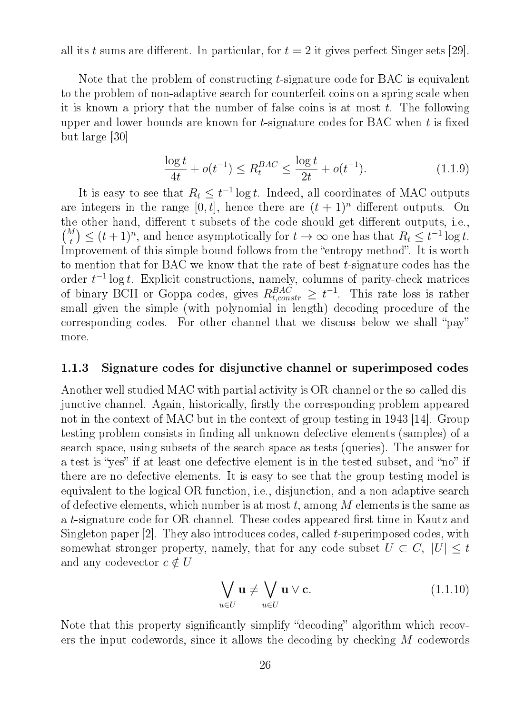all its t sums are different. In particular, for  $t = 2$  it gives perfect Singer sets [29].

Note that the problem of constructing t-signature code for BAC is equivalent to the problem of non-adaptive search for counterfeit coins on a spring scale when it is known a priory that the number of false coins is at most  $t$ . The following upper and lower bounds are known for  $t$ -signature codes for BAC when  $t$  is fixed but large [30]

$$
\frac{\log t}{4t} + o(t^{-1}) \le R_t^{BAC} \le \frac{\log t}{2t} + o(t^{-1}).\tag{1.1.9}
$$

It is easy to see that  $R_t \leq t^{-1} \log t$ . Indeed, all coordinates of MAC outputs are integers in the range  $[0, t]$ , hence there are  $(t + 1)^n$  different outputs. On the other hand, different t-subsets of the code should get different outputs, i.e.,  $\binom{M}{t} \leq (t+1)^n$ , and hence asymptotically for  $t \to \infty$  one has that  $R_t \leq t^{-1} \log t$ . Improvement of this simple bound follows from the "entropy method". It is worth to mention that for BAC we know that the rate of best t-signature codes has the order  $t^{-1}$  log t. Explicit constructions, namely, columns of parity-check matrices of binary BCH or Goppa codes, gives  $R_{t,constr}^{BAC} \geq t^{-1}$ . This rate loss is rather small given the simple (with polynomial in length) decoding procedure of the corresponding codes. For other channel that we discuss below we shall "pay" more.

#### 1.1.3 Signature codes for disjunctive channel or superimposed codes

Another well studied MAC with partial activity is OR-channel or the so-called disjunctive channel. Again, historically, firstly the corresponding problem appeared not in the context of MAC but in the context of group testing in 1943 [14]. Group testing problem consists in finding all unknown defective elements (samples) of a search space, using subsets of the search space as tests (queries). The answer for a test is "yes" if at least one defective element is in the tested subset, and "no" if there are no defective elements. It is easy to see that the group testing model is equivalent to the logical OR function, i.e., disjunction, and a non-adaptive search of defective elements, which number is at most t, among M elements is the same as a t-signature code for OR channel. These codes appeared first time in Kautz and Singleton paper [2]. They also introduces codes, called t-superimposed codes, with somewhat stronger property, namely, that for any code subset  $U \subset C$ ,  $|U| \leq t$ and any codevector  $c \notin U$ 

$$
\bigvee_{u \in U} \mathbf{u} \neq \bigvee_{u \in U} \mathbf{u} \vee \mathbf{c}.\tag{1.1.10}
$$

Note that this property significantly simplify "decoding" algorithm which recovers the input codewords, since it allows the decoding by checking M codewords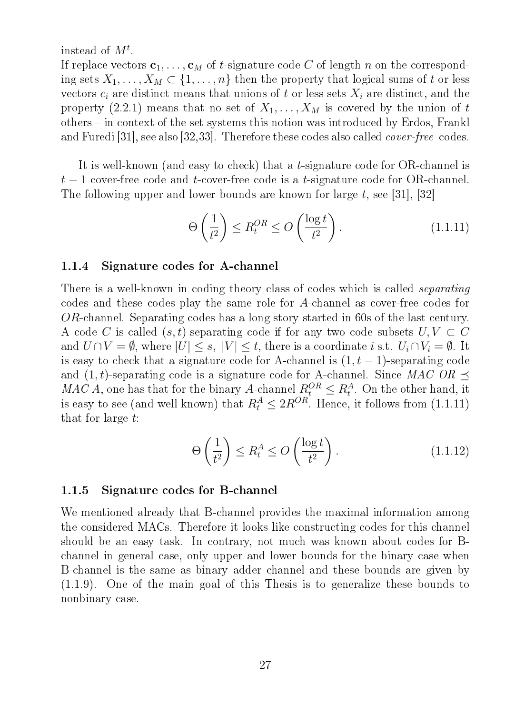### instead of  $M^t$ .

If replace vectors  $c_1, \ldots, c_M$  of t-signature code C of length n on the corresponding sets  $X_1, \ldots, X_M \subset \{1, \ldots, n\}$  then the property that logical sums of t or less vectors  $c_i$  are distinct means that unions of t or less sets  $X_i$  are distinct, and the property (2.2.1) means that no set of  $X_1, \ldots, X_M$  is covered by the union of t others – in context of the set systems this notion was introduced by Erdos, Frankl and Furedi [31], see also [32,33]. Therefore these codes also called cover-free codes.

It is well-known (and easy to check) that a t-signature code for OR-channel is  $t-1$  cover-free code and t-cover-free code is a t-signature code for OR-channel. The following upper and lower bounds are known for large  $t$ , see [31], [32]

$$
\Theta\left(\frac{1}{t^2}\right) \le R_t^{OR} \le O\left(\frac{\log t}{t^2}\right). \tag{1.1.11}
$$

### 1.1.4 Signature codes for A-channel

There is a well-known in coding theory class of codes which is called *separating* codes and these codes play the same role for A-channel as cover-free codes for OR-channel. Separating codes has a long story started in 60s of the last century. A code C is called  $(s, t)$ -separating code if for any two code subsets  $U, V \subset C$ and  $U \cap V = \emptyset$ , where  $|U| \leq s$ ,  $|V| \leq t$ , there is a coordinate i s.t.  $U_i \cap V_i = \emptyset$ . It is easy to check that a signature code for A-channel is  $(1, t - 1)$ -separating code and  $(1, t)$ -separating code is a signature code for A-channel. Since MAC OR  $\preceq$ MAC A, one has that for the binary A-channel  $R_t^{OR} \leq R_t^A$ . On the other hand, it is easy to see (and well known) that  $R_t^A \leq 2R^{OR}$ . Hence, it follows from  $(1.1.11)$ that for large t:

$$
\Theta\left(\frac{1}{t^2}\right) \le R_t^A \le O\left(\frac{\log t}{t^2}\right). \tag{1.1.12}
$$

### 1.1.5 Signature codes for B-channel

We mentioned already that B-channel provides the maximal information among the considered MACs. Therefore it looks like constructing codes for this channel should be an easy task. In contrary, not much was known about codes for Bchannel in general case, only upper and lower bounds for the binary case when B-channel is the same as binary adder channel and these bounds are given by (1.1.9). One of the main goal of this Thesis is to generalize these bounds to nonbinary case.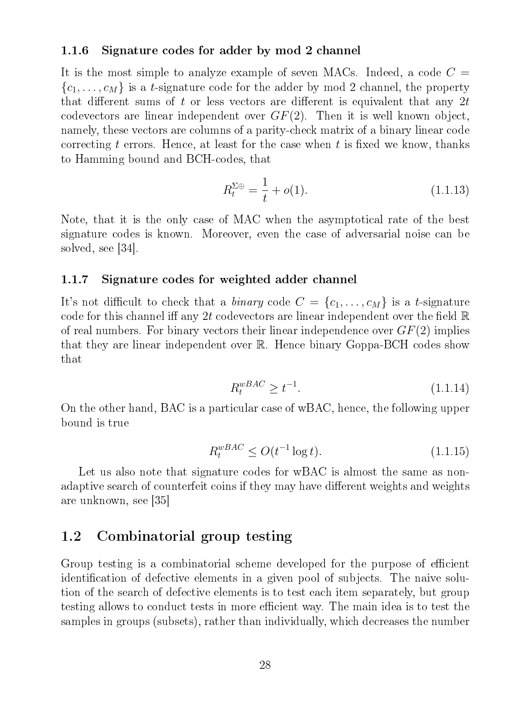### 1.1.6 Signature codes for adder by mod 2 channel

It is the most simple to analyze example of seven MACs. Indeed, a code  $C =$  ${c_1, \ldots, c_M}$  is a *t*-signature code for the adder by mod 2 channel, the property that different sums of t or less vectors are different is equivalent that any  $2t$ codevectors are linear independent over  $GF(2)$ . Then it is well known object, namely, these vectors are columns of a parity-check matrix of a binary linear code correcting t errors. Hence, at least for the case when t is fixed we know, thanks to Hamming bound and BCH-codes, that

$$
R_t^{\Sigma \oplus} = \frac{1}{t} + o(1). \tag{1.1.13}
$$

Note, that it is the only case of MAC when the asymptotical rate of the best signature codes is known. Moreover, even the case of adversarial noise can be solved, see [34].

#### 1.1.7 Signature codes for weighted adder channel

It's not difficult to check that a *binary* code  $C = \{c_1, \ldots, c_M\}$  is a *t*-signature code for this channel iff any 2t codevectors are linear independent over the field  $\mathbb R$ of real numbers. For binary vectors their linear independence over  $GF(2)$  implies that they are linear independent over R. Hence binary Goppa-BCH codes show that

$$
R_t^{wBAC} \ge t^{-1}.\tag{1.1.14}
$$

On the other hand, BAC is a particular case of wBAC, hence, the following upper bound is true

$$
R_t^{wBAC} \le O(t^{-1}\log t). \tag{1.1.15}
$$

Let us also note that signature codes for wBAC is almost the same as nonadaptive search of counterfeit coins if they may have different weights and weights are unknown, see [35]

### 1.2 Combinatorial group testing

Group testing is a combinatorial scheme developed for the purpose of efficient identification of defective elements in a given pool of subjects. The naive solution of the search of defective elements is to test each item separately, but group testing allows to conduct tests in more efficient way. The main idea is to test the samples in groups (subsets), rather than individually, which decreases the number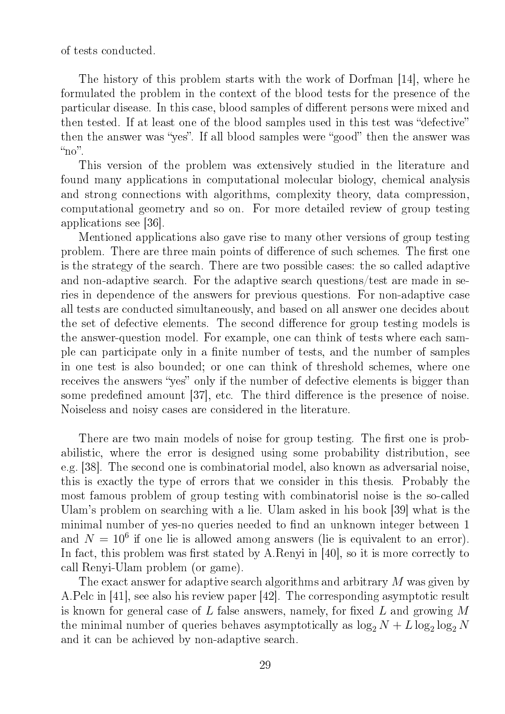of tests conducted.

The history of this problem starts with the work of Dorfman [14], where he formulated the problem in the context of the blood tests for the presence of the particular disease. In this case, blood samples of different persons were mixed and then tested. If at least one of the blood samples used in this test was "defective" then the answer was "yes". If all blood samples were "good" then the answer was " $no$ ".

This version of the problem was extensively studied in the literature and found many applications in computational molecular biology, chemical analysis and strong connections with algorithms, complexity theory, data compression, computational geometry and so on. For more detailed review of group testing applications see [36].

Mentioned applications also gave rise to many other versions of group testing problem. There are three main points of difference of such schemes. The first one is the strategy of the search. There are two possible cases: the so called adaptive and non-adaptive search. For the adaptive search questions/test are made in series in dependence of the answers for previous questions. For non-adaptive case all tests are conducted simultaneously, and based on all answer one decides about the set of defective elements. The second difference for group testing models is the answer-question model. For example, one can think of tests where each sample can participate only in a finite number of tests, and the number of samples in one test is also bounded; or one can think of threshold schemes, where one receives the answers "yes" only if the number of defective elements is bigger than some predefined amount  $[37]$ , etc. The third difference is the presence of noise. Noiseless and noisy cases are considered in the literature.

There are two main models of noise for group testing. The first one is probabilistic, where the error is designed using some probability distribution, see e.g. [38]. The second one is combinatorial model, also known as adversarial noise, this is exactly the type of errors that we consider in this thesis. Probably the most famous problem of group testing with combinatorisl noise is the so-called Ulam's problem on searching with a lie. Ulam asked in his book [39] what is the minimal number of yes-no queries needed to find an unknown integer between 1 and  $N = 10^6$  if one lie is allowed among answers (lie is equivalent to an error). In fact, this problem was first stated by A.Renyi in  $[40]$ , so it is more correctly to call Renyi-Ulam problem (or game).

The exact answer for adaptive search algorithms and arbitrary M was given by A.Pelc in [41], see also his review paper [42]. The corresponding asymptotic result is known for general case of L false answers, namely, for fixed L and growing  $M$ the minimal number of queries behaves asymptotically as  $\log_2 N + L \log_2 \log_2 N$ and it can be achieved by non-adaptive search.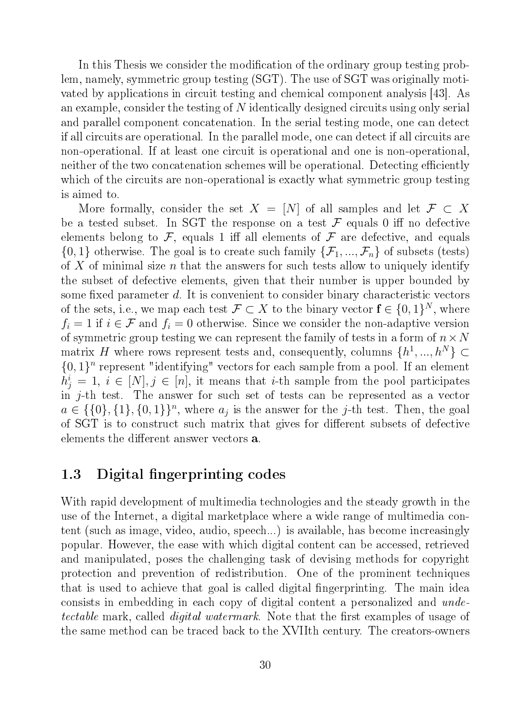In this Thesis we consider the modification of the ordinary group testing problem, namely, symmetric group testing (SGT). The use of SGT was originally motivated by applications in circuit testing and chemical component analysis [43]. As an example, consider the testing of N identically designed circuits using only serial and parallel component concatenation. In the serial testing mode, one can detect if all circuits are operational. In the parallel mode, one can detect if all circuits are non-operational. If at least one circuit is operational and one is non-operational, neither of the two concatenation schemes will be operational. Detecting efficiently which of the circuits are non-operational is exactly what symmetric group testing is aimed to.

More formally, consider the set  $X = [N]$  of all samples and let  $\mathcal{F} \subset X$ be a tested subset. In SGT the response on a test  $\mathcal F$  equals 0 iff no defective elements belong to  $\mathcal F$ , equals 1 iff all elements of  $\mathcal F$  are defective, and equals  $\{0,1\}$  otherwise. The goal is to create such family  $\{\mathcal{F}_1, ..., \mathcal{F}_n\}$  of subsets (tests) of X of minimal size n that the answers for such tests allow to uniquely identify the subset of defective elements, given that their number is upper bounded by some fixed parameter  $d$ . It is convenient to consider binary characteristic vectors of the sets, i.e., we map each test  $\mathcal{F} \subset X$  to the binary vector  $\mathbf{f} \in \{0,1\}^N$ , where  $f_i = 1$  if  $i \in \mathcal{F}$  and  $f_i = 0$  otherwise. Since we consider the non-adaptive version of symmetric group testing we can represent the family of tests in a form of  $n \times N$ matrix H where rows represent tests and, consequently, columns  $\{h^1, ..., h^N\} \subset$  $\{0,1\}^n$  represent "identifying" vectors for each sample from a pool. If an element  $h_j^i = 1, i \in [N], j \in [n]$ , it means that *i*-th sample from the pool participates in j-th test. The answer for such set of tests can be represented as a vector  $a \in \{\{0\}, \{1\}, \{0,1\}\}^n$ , where  $a_j$  is the answer for the j-th test. Then, the goal of SGT is to construct such matrix that gives for different subsets of defective elements the different answer vectors **a**.

### 1.3 Digital fingerprinting codes

With rapid development of multimedia technologies and the steady growth in the use of the Internet, a digital marketplace where a wide range of multimedia content (such as image, video, audio, speech...) is available, has become increasingly popular. However, the ease with which digital content can be accessed, retrieved and manipulated, poses the challenging task of devising methods for copyright protection and prevention of redistribution. One of the prominent techniques that is used to achieve that goal is called digital fingerprinting. The main idea consists in embedding in each copy of digital content a personalized and undetectable mark, called *digital watermark*. Note that the first examples of usage of the same method can be traced back to the XVIIth century. The creators-owners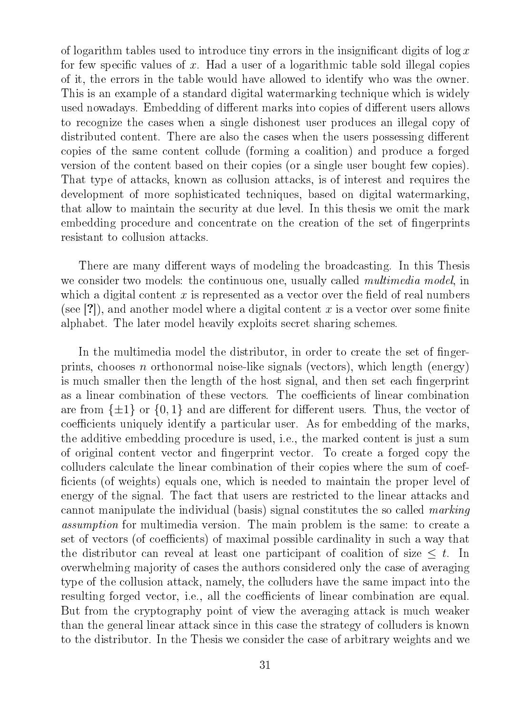of logarithm tables used to introduce tiny errors in the insignificant digits of  $\log x$ for few specific values of x. Had a user of a logarithmic table sold illegal copies of it, the errors in the table would have allowed to identify who was the owner. This is an example of a standard digital watermarking technique which is widely used nowadays. Embedding of different marks into copies of different users allows to recognize the cases when a single dishonest user produces an illegal copy of distributed content. There are also the cases when the users possessing different copies of the same content collude (forming a coalition) and produce a forged version of the content based on their copies (or a single user bought few copies). That type of attacks, known as collusion attacks, is of interest and requires the development of more sophisticated techniques, based on digital watermarking, that allow to maintain the security at due level. In this thesis we omit the mark embedding procedure and concentrate on the creation of the set of fingerprints resistant to collusion attacks.

There are many different ways of modeling the broadcasting. In this Thesis we consider two models: the continuous one, usually called *multimedia model*, in which a digital content x is represented as a vector over the field of real numbers (see [?]), and another model where a digital content x is a vector over some finite alphabet. The later model heavily exploits secret sharing schemes.

In the multimedia model the distributor, in order to create the set of fingerprints, chooses n orthonormal noise-like signals (vectors), which length (energy) is much smaller then the length of the host signal, and then set each fingerprint as a linear combination of these vectors. The coefficients of linear combination are from  $\{\pm 1\}$  or  $\{0,1\}$  and are different for different users. Thus, the vector of coefficients uniquely identify a particular user. As for embedding of the marks, the additive embedding procedure is used, i.e., the marked content is just a sum of original content vector and ngerprint vector. To create a forged copy the colluders calculate the linear combination of their copies where the sum of coef ficients (of weights) equals one, which is needed to maintain the proper level of energy of the signal. The fact that users are restricted to the linear attacks and cannot manipulate the individual (basis) signal constitutes the so called marking assumption for multimedia version. The main problem is the same: to create a set of vectors (of coefficients) of maximal possible cardinality in such a way that the distributor can reveal at least one participant of coalition of size  $\leq t$ . In overwhelming majority of cases the authors considered only the case of averaging type of the collusion attack, namely, the colluders have the same impact into the resulting forged vector, i.e., all the coefficients of linear combination are equal. But from the cryptography point of view the averaging attack is much weaker than the general linear attack since in this case the strategy of colluders is known to the distributor. In the Thesis we consider the case of arbitrary weights and we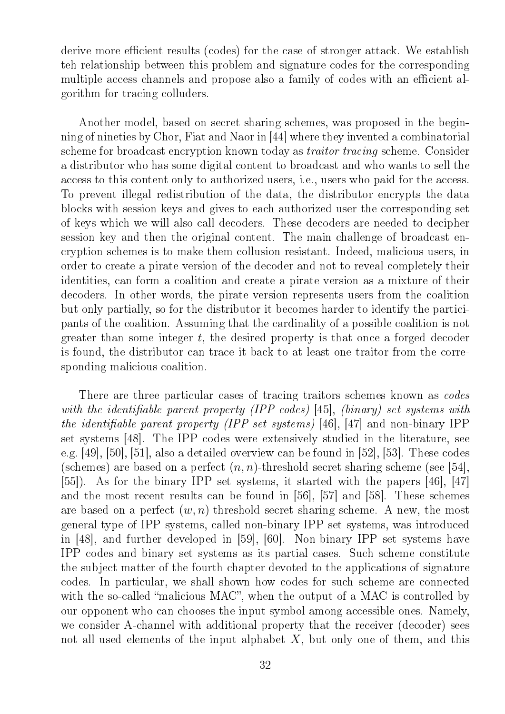derive more efficient results (codes) for the case of stronger attack. We establish teh relationship between this problem and signature codes for the corresponding multiple access channels and propose also a family of codes with an efficient algorithm for tracing colluders.

Another model, based on secret sharing schemes, was proposed in the beginning of nineties by Chor, Fiat and Naor in [44] where they invented a combinatorial scheme for broadcast encryption known today as traitor tracing scheme. Consider a distributor who has some digital content to broadcast and who wants to sell the access to this content only to authorized users, i.e., users who paid for the access. To prevent illegal redistribution of the data, the distributor encrypts the data blocks with session keys and gives to each authorized user the corresponding set of keys which we will also call decoders. These decoders are needed to decipher session key and then the original content. The main challenge of broadcast encryption schemes is to make them collusion resistant. Indeed, malicious users, in order to create a pirate version of the decoder and not to reveal completely their identities, can form a coalition and create a pirate version as a mixture of their decoders. In other words, the pirate version represents users from the coalition but only partially, so for the distributor it becomes harder to identify the participants of the coalition. Assuming that the cardinality of a possible coalition is not greater than some integer t, the desired property is that once a forged decoder is found, the distributor can trace it back to at least one traitor from the corresponding malicious coalition.

There are three particular cases of tracing traitors schemes known as *codes* with the identifiable parent property (IPP codes) [45], (binary) set systems with the identifiable parent property (IPP set systems) [46], [47] and non-binary IPP set systems [48]. The IPP codes were extensively studied in the literature, see e.g. [49], [50], [51], also a detailed overview can be found in [52], [53]. These codes (schemes) are based on a perfect  $(n, n)$ -threshold secret sharing scheme (see [54], [55]). As for the binary IPP set systems, it started with the papers [46], [47] and the most recent results can be found in [56], [57] and [58]. These schemes are based on a perfect  $(w, n)$ -threshold secret sharing scheme. A new, the most general type of IPP systems, called non-binary IPP set systems, was introduced in [48], and further developed in [59], [60]. Non-binary IPP set systems have IPP codes and binary set systems as its partial cases. Such scheme constitute the subject matter of the fourth chapter devoted to the applications of signature codes. In particular, we shall shown how codes for such scheme are connected with the so-called "malicious  $MAC$ ", when the output of a  $MAC$  is controlled by our opponent who can chooses the input symbol among accessible ones. Namely, we consider A-channel with additional property that the receiver (decoder) sees not all used elements of the input alphabet  $X$ , but only one of them, and this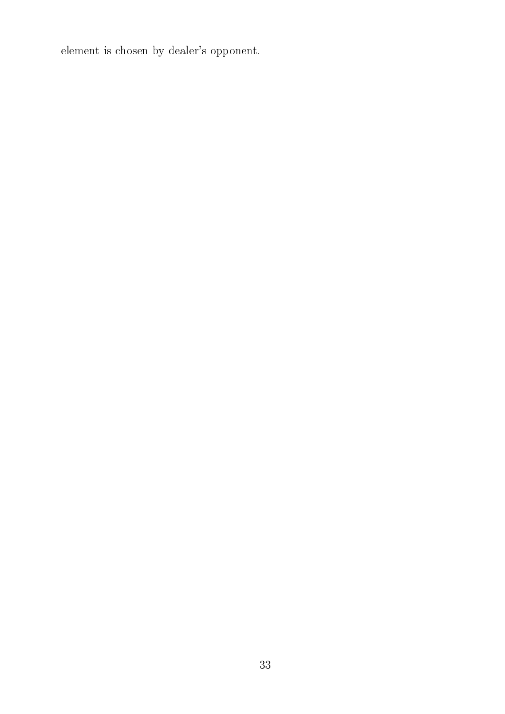element is chosen by dealer's opponent.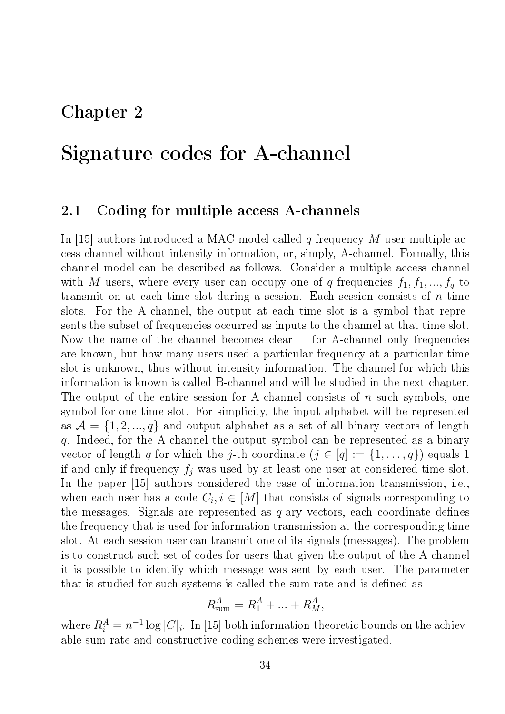## Chapter 2

## Signature codes for A-channel

### 2.1 Coding for multiple access A-channels

In [15] authors introduced a MAC model called  $q$ -frequency M-user multiple access channel without intensity information, or, simply, A-channel. Formally, this channel model can be described as follows. Consider a multiple access channel with M users, where every user can occupy one of q frequencies  $f_1, f_1, ..., f_q$  to transmit on at each time slot during a session. Each session consists of  $n$  time slots. For the A-channel, the output at each time slot is a symbol that represents the subset of frequencies occurred as inputs to the channel at that time slot. Now the name of the channel becomes clear  $-$  for A-channel only frequencies are known, but how many users used a particular frequency at a particular time slot is unknown, thus without intensity information. The channel for which this information is known is called B-channel and will be studied in the next chapter. The output of the entire session for A-channel consists of  $n$  such symbols, one symbol for one time slot. For simplicity, the input alphabet will be represented as  $A = \{1, 2, ..., q\}$  and output alphabet as a set of all binary vectors of length q. Indeed, for the A-channel the output symbol can be represented as a binary vector of length q for which the j-th coordinate  $(j \in [q] := \{1, \ldots, q\})$  equals 1 if and only if frequency  $f_i$  was used by at least one user at considered time slot. In the paper [15] authors considered the case of information transmission, i.e., when each user has a code  $C_i, i \in [M]$  that consists of signals corresponding to the messages. Signals are represented as  $q$ -ary vectors, each coordinate defines the frequency that is used for information transmission at the corresponding time slot. At each session user can transmit one of its signals (messages). The problem is to construct such set of codes for users that given the output of the A-channel it is possible to identify which message was sent by each user. The parameter that is studied for such systems is called the sum rate and is defined as

$$
R_{\text{sum}}^A = R_1^A + \dots + R_M^A,
$$

where  $R_i^A = n^{-1} \log |C_i|$ . In [15] both information-theoretic bounds on the achievable sum rate and constructive coding schemes were investigated.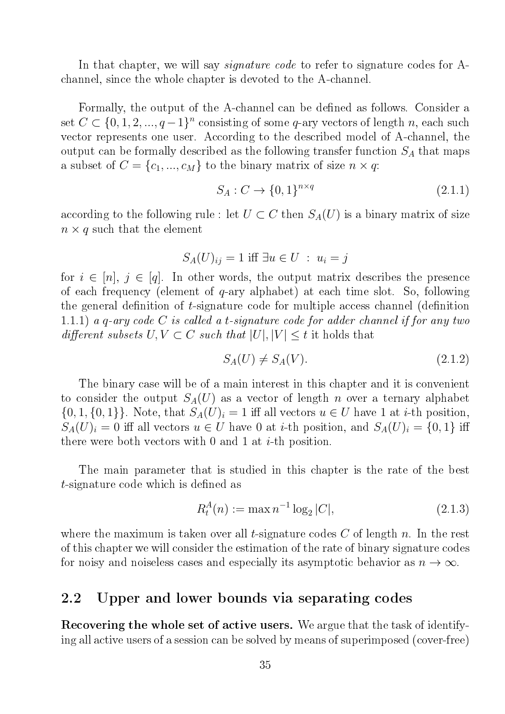In that chapter, we will say *signature code* to refer to signature codes for Achannel, since the whole chapter is devoted to the A-channel.

Formally, the output of the A-channel can be defined as follows. Consider a set  $C \subset \{0, 1, 2, ..., q-1\}^n$  consisting of some q-ary vectors of length n, each such vector represents one user. According to the described model of A-channel, the output can be formally described as the following transfer function  $S_A$  that maps a subset of  $C = \{c_1, ..., c_M\}$  to the binary matrix of size  $n \times q$ :

$$
S_A: C \to \{0, 1\}^{n \times q} \tag{2.1.1}
$$

according to the following rule : let  $U \subset C$  then  $S<sub>A</sub>(U)$  is a binary matrix of size  $n \times q$  such that the element

$$
S_A(U)_{ij} = 1 \text{ iff } \exists u \in U : u_i = j
$$

for  $i \in [n], j \in [q]$ . In other words, the output matrix describes the presence of each frequency (element of q-ary alphabet) at each time slot. So, following the general definition of  $t$ -signature code for multiple access channel (definition 1.1.1) a q-ary code  $C$  is called a t-signature code for adder channel if for any two different subsets  $U, V \subset C$  such that  $|U|, |V| \leq t$  it holds that

$$
S_A(U) \neq S_A(V). \tag{2.1.2}
$$

The binary case will be of a main interest in this chapter and it is convenient to consider the output  $S_A(U)$  as a vector of length n over a ternary alphabet  $\{0, 1, \{0, 1\}\}\.$  Note, that  $S_A(U)_i = 1$  iff all vectors  $u \in U$  have 1 at *i*-th position,  $S_A(U)_i = 0$  iff all vectors  $u \in U$  have 0 at *i*-th position, and  $S_A(U)_i = \{0,1\}$  iff there were both vectors with 0 and 1 at  $i$ -th position.

The main parameter that is studied in this chapter is the rate of the best t-signature code which is defined as

$$
R_t^A(n) := \max n^{-1} \log_2 |C|,\tag{2.1.3}
$$

where the maximum is taken over all *t*-signature codes  $C$  of length  $n$ . In the rest of this chapter we will consider the estimation of the rate of binary signature codes for noisy and noiseless cases and especially its asymptotic behavior as  $n \to \infty$ .

### 2.2 Upper and lower bounds via separating codes

Recovering the whole set of active users. We argue that the task of identifying all active users of a session can be solved by means of superimposed (cover-free)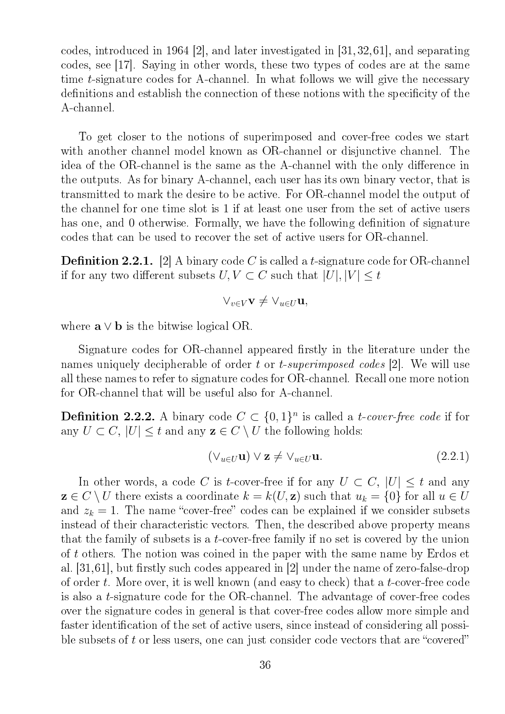codes, introduced in 1964 [2], and later investigated in [31,32,61], and separating codes, see [17]. Saying in other words, these two types of codes are at the same time t-signature codes for A-channel. In what follows we will give the necessary definitions and establish the connection of these notions with the specificity of the A-channel.

To get closer to the notions of superimposed and cover-free codes we start with another channel model known as OR-channel or disjunctive channel. The idea of the OR-channel is the same as the A-channel with the only difference in the outputs. As for binary A-channel, each user has its own binary vector, that is transmitted to mark the desire to be active. For OR-channel model the output of the channel for one time slot is 1 if at least one user from the set of active users has one, and 0 otherwise. Formally, we have the following definition of signature codes that can be used to recover the set of active users for OR-channel.

**Definition 2.2.1.** [2] A binary code C is called a t-signature code for OR-channel if for any two different subsets  $U, V \subset C$  such that  $|U|, |V| \leq t$ 

$$
\vee_{v\in V} \mathbf{v} \neq \vee_{u\in U} \mathbf{u},
$$

where  $\mathbf{a} \vee \mathbf{b}$  is the bitwise logical OR.

Signature codes for OR-channel appeared firstly in the literature under the names uniquely decipherable of order t or t-superimposed codes [2]. We will use all these names to refer to signature codes for OR-channel. Recall one more notion for OR-channel that will be useful also for A-channel.

**Definition 2.2.2.** A binary code  $C \subset \{0,1\}^n$  is called a *t-cover-free code* if for any  $U \subset C$ ,  $|U| \leq t$  and any  $z \in C \setminus U$  the following holds:

$$
(\vee_{u\in U}\mathbf{u})\vee\mathbf{z}\neq\vee_{u\in U}\mathbf{u}.\tag{2.2.1}
$$

In other words, a code C is t-cover-free if for any  $U \subset C$ ,  $|U| \leq t$  and any  $z \in C \setminus U$  there exists a coordinate  $k = k(U, z)$  such that  $u_k = \{0\}$  for all  $u \in U$ and  $z_k = 1$ . The name "cover-free" codes can be explained if we consider subsets instead of their characteristic vectors. Then, the described above property means that the family of subsets is a *t*-cover-free family if no set is covered by the union of t others. The notion was coined in the paper with the same name by Erdos et al.  $[31,61]$ , but firstly such codes appeared in  $[2]$  under the name of zero-false-drop of order t. More over, it is well known (and easy to check) that a t-cover-free code is also a t-signature code for the OR-channel. The advantage of cover-free codes over the signature codes in general is that cover-free codes allow more simple and faster identification of the set of active users, since instead of considering all possible subsets of  $t$  or less users, one can just consider code vectors that are "covered"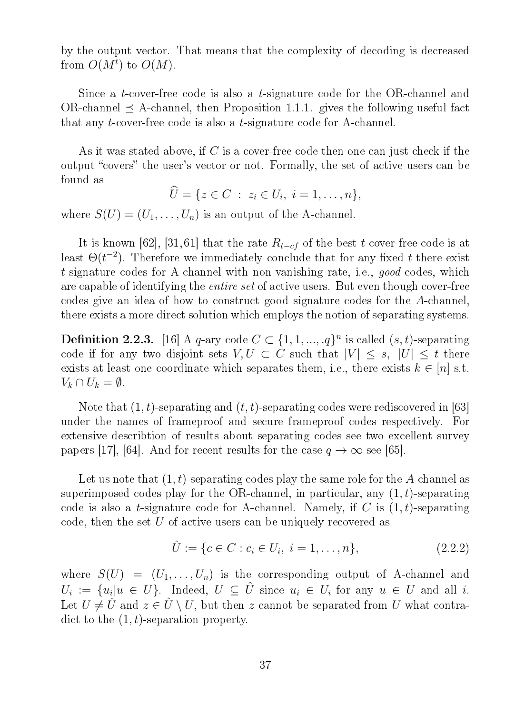by the output vector. That means that the complexity of decoding is decreased from  $O(M^t)$  to  $O(M)$ .

Since a t-cover-free code is also a t-signature code for the OR-channel and OR-channel  $\prec$  A-channel, then Proposition 1.1.1. gives the following useful fact that any t-cover-free code is also a t-signature code for A-channel.

As it was stated above, if C is a cover-free code then one can just check if the output "covers" the user's vector or not. Formally, the set of active users can be found as

$$
\hat{U} = \{ z \in C \; : \; z_i \in U_i, \; i = 1, \ldots, n \},
$$

where  $S(U) = (U_1, \ldots, U_n)$  is an output of the A-channel.

It is known [62], [31, 61] that the rate  $R_{t-cf}$  of the best t-cover-free code is at least  $\Theta(t^{-2})$ . Therefore we immediately conclude that for any fixed t there exist t-signature codes for A-channel with non-vanishing rate, i.e., good codes, which are capable of identifying the entire set of active users. But even though cover-free codes give an idea of how to construct good signature codes for the A-channel, there exists a more direct solution which employs the notion of separating systems.

**Definition 2.2.3.** [16] A q-ary code  $C \subset \{1, 1, ..., q\}^n$  is called  $(s, t)$ -separating code if for any two disjoint sets  $V, U \subset C$  such that  $|V| \leq s, |U| \leq t$  there exists at least one coordinate which separates them, i.e., there exists  $k \in [n]$  s.t.  $V_k \cap U_k = \emptyset.$ 

Note that  $(1, t)$ -separating and  $(t, t)$ -separating codes were rediscovered in [63] under the names of frameproof and secure frameproof codes respectively. For extensive describtion of results about separating codes see two excellent survey papers [17], [64]. And for recent results for the case  $q \to \infty$  see [65].

Let us note that  $(1, t)$ -separating codes play the same role for the A-channel as superimposed codes play for the OR-channel, in particular, any  $(1, t)$ -separating code is also a t-signature code for A-channel. Namely, if C is  $(1, t)$ -separating code, then the set U of active users can be uniquely recovered as

$$
\hat{U} := \{c \in C : c_i \in U_i, \ i = 1, \dots, n\},\tag{2.2.2}
$$

where  $S(U) = (U_1, \ldots, U_n)$  is the corresponding output of A-channel and  $U_i := \{u_i | u \in U\}$ . Indeed,  $U \subseteq \hat{U}$  since  $u_i \in U_i$  for any  $u \in U$  and all i. Let  $U \neq \hat{U}$  and  $z \in \hat{U} \setminus U$ , but then z cannot be separated from U what contradict to the  $(1, t)$ -separation property.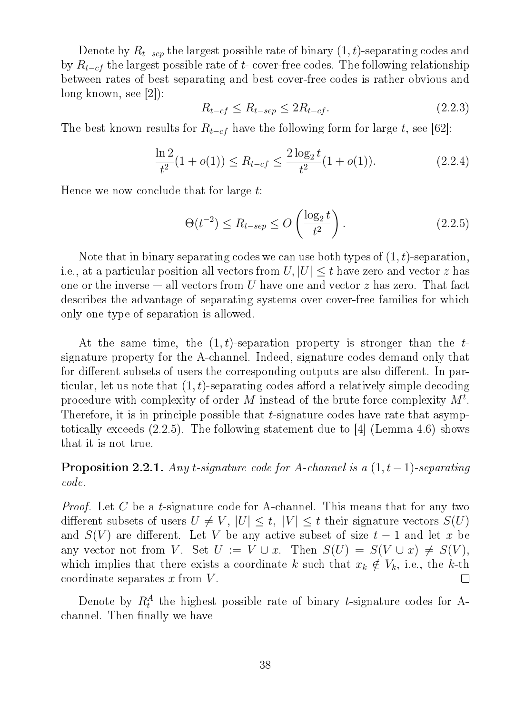Denote by  $R_{t-sep}$  the largest possible rate of binary  $(1, t)$ -separating codes and by  $R_{t-cf}$  the largest possible rate of t- cover-free codes. The following relationship between rates of best separating and best cover-free codes is rather obvious and long known, see [2]):

$$
R_{t-cf} \le R_{t-sep} \le 2R_{t-cf}.\tag{2.2.3}
$$

The best known results for  $R_{t-cf}$  have the following form for large t, see [62]:

$$
\frac{\ln 2}{t^2} (1 + o(1)) \le R_{t-cf} \le \frac{2 \log_2 t}{t^2} (1 + o(1)). \tag{2.2.4}
$$

Hence we now conclude that for large t:

$$
\Theta(t^{-2}) \le R_{t-sep} \le O\left(\frac{\log_2 t}{t^2}\right). \tag{2.2.5}
$$

Note that in binary separating codes we can use both types of  $(1, t)$ -separation, i.e., at a particular position all vectors from  $U, |U| \leq t$  have zero and vector z has one or the inverse  $-$  all vectors from U have one and vector z has zero. That fact describes the advantage of separating systems over cover-free families for which only one type of separation is allowed.

At the same time, the  $(1, t)$ -separation property is stronger than the tsignature property for the A-channel. Indeed, signature codes demand only that for different subsets of users the corresponding outputs are also different. In particular, let us note that  $(1, t)$ -separating codes afford a relatively simple decoding procedure with complexity of order M instead of the brute-force complexity  $M^t$ . Therefore, it is in principle possible that  $t$ -signature codes have rate that asymptotically exceeds (2.2.5). The following statement due to [4] (Lemma 4.6) shows that it is not true.

**Proposition 2.2.1.** Any t-signature code for A-channel is a  $(1, t-1)$ -separating code.

*Proof.* Let C be a t-signature code for A-channel. This means that for any two different subsets of users  $U \neq V$ ,  $|U| \leq t$ ,  $|V| \leq t$  their signature vectors  $S(U)$ and  $S(V)$  are different. Let V be any active subset of size  $t-1$  and let x be any vector not from V. Set  $U := V \cup x$ . Then  $S(U) = S(V \cup x) \neq S(V)$ , which implies that there exists a coordinate k such that  $x_k \notin V_k$ , i.e., the k-th coordinate separates  $x$  from  $V$ .  $\Box$ 

Denote by  $R_t^A$  the highest possible rate of binary t-signature codes for Achannel. Then finally we have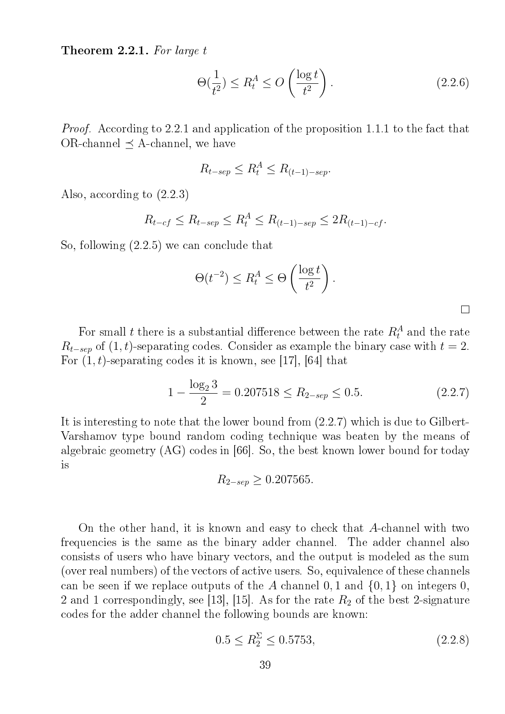Theorem 2.2.1. For large t

$$
\Theta(\frac{1}{t^2}) \le R_t^A \le O\left(\frac{\log t}{t^2}\right). \tag{2.2.6}
$$

Proof. According to 2.2.1 and application of the proposition 1.1.1 to the fact that  $OR$ -channel  $\prec$  A-channel, we have

$$
R_{t-sep} \le R_t^A \le R_{(t-1)-sep}.
$$

Also, according to (2.2.3)

$$
R_{t-cf} \le R_{t-sep} \le R_t^A \le R_{(t-1)-sep} \le 2R_{(t-1)-cf}.
$$

So, following (2.2.5) we can conclude that

$$
\Theta(t^{-2}) \le R_t^A \le \Theta\left(\frac{\log t}{t^2}\right).
$$

For small t there is a substantial difference between the rate  $R_t^A$  and the rate  $R_{t-sep}$  of  $(1, t)$ -separating codes. Consider as example the binary case with  $t = 2$ . For  $(1, t)$ -separating codes it is known, see [17], [64] that

$$
1 - \frac{\log_2 3}{2} = 0.207518 \le R_{2-sep} \le 0.5. \tag{2.2.7}
$$

It is interesting to note that the lower bound from (2.2.7) which is due to Gilbert-Varshamov type bound random coding technique was beaten by the means of algebraic geometry (AG) codes in [66]. So, the best known lower bound for today is

$$
R_{2-sep} \geq 0.207565.
$$

On the other hand, it is known and easy to check that A-channel with two frequencies is the same as the binary adder channel. The adder channel also consists of users who have binary vectors, and the output is modeled as the sum (over real numbers) of the vectors of active users. So, equivalence of these channels can be seen if we replace outputs of the A channel  $0, 1$  and  $\{0, 1\}$  on integers  $0$ , 2 and 1 correspondingly, see [13], [15]. As for the rate  $R_2$  of the best 2-signature codes for the adder channel the following bounds are known:

$$
0.5 \le R_2^{\Sigma} \le 0.5753,\tag{2.2.8}
$$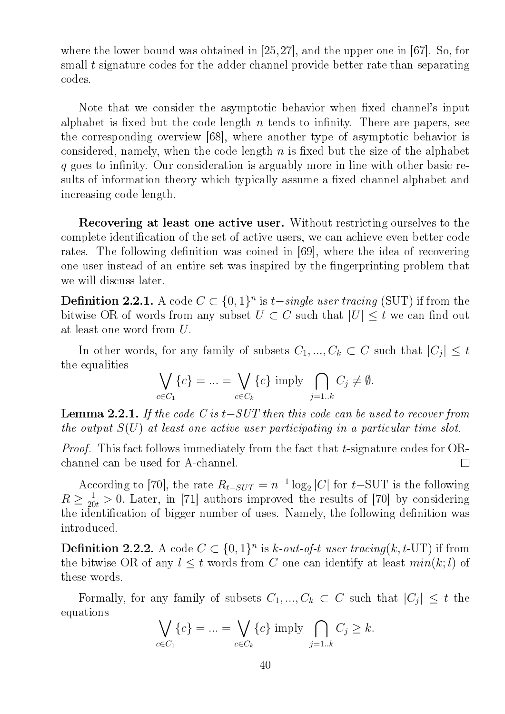where the lower bound was obtained in [25,27], and the upper one in [67]. So, for small t signature codes for the adder channel provide better rate than separating codes.

Note that we consider the asymptotic behavior when fixed channel's input alphabet is fixed but the code length  $n$  tends to infinity. There are papers, see the corresponding overview [68], where another type of asymptotic behavior is considered, namely, when the code length  $n$  is fixed but the size of the alphabet q goes to infinity. Our consideration is arguably more in line with other basic results of information theory which typically assume a fixed channel alphabet and increasing code length.

Recovering at least one active user. Without restricting ourselves to the complete identification of the set of active users, we can achieve even better code rates. The following definition was coined in  $|69|$ , where the idea of recovering one user instead of an entire set was inspired by the fingerprinting problem that we will discuss later.

**Definition 2.2.1.** A code  $C \subset \{0,1\}^n$  is  $t-single$  user tracing (SUT) if from the bitwise OR of words from any subset  $U \subset C$  such that  $|U| \leq t$  we can find out at least one word from U.

In other words, for any family of subsets  $C_1, ..., C_k \subset C$  such that  $|C_j| \leq t$ the equalities

$$
\bigvee_{c \in C_1} \{c\} = \dots = \bigvee_{c \in C_k} \{c\} \text{ imply } \bigcap_{j=1..k} C_j \neq \emptyset.
$$

**Lemma 2.2.1.** If the code C is  $t-SUT$  then this code can be used to recover from the output  $S(U)$  at least one active user participating in a particular time slot.

Proof. This fact follows immediately from the fact that t-signature codes for ORchannel can be used for A-channel.  $\Box$ 

According to [70], the rate  $R_{t-SUT} = n^{-1} \log_2 |C|$  for  $t-\text{SUT}$  is the following  $R \geq \frac{1}{20t} > 0$ . Later, in [71] authors improved the results of [70] by considering the identification of bigger number of uses. Namely, the following definition was introduced.

**Definition 2.2.2.** A code  $C \subset \{0,1\}^n$  is k-out-of-t user tracing(k, t-UT) if from the bitwise OR of any  $l \leq t$  words from C one can identify at least  $min(k; l)$  of these words.

Formally, for any family of subsets  $C_1, ..., C_k \subset C$  such that  $|C_j| \leq t$  the equations

$$
\bigvee_{c \in C_1} \{c\} = \dots = \bigvee_{c \in C_k} \{c\} \text{ imply } \bigcap_{j=1..k} C_j \ge k.
$$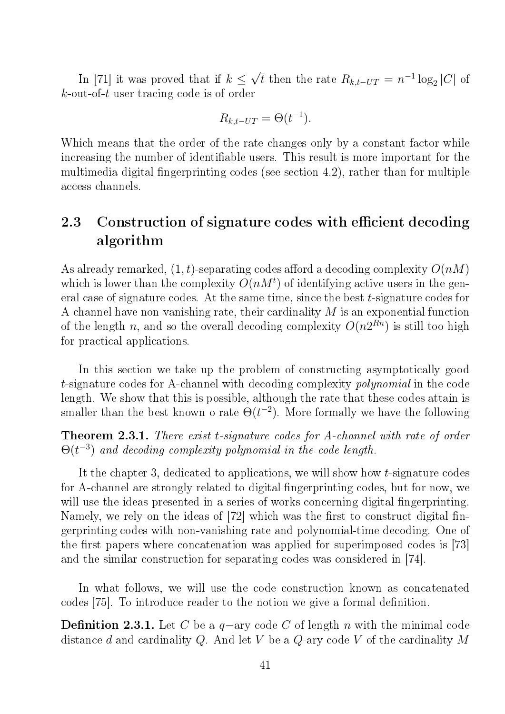In [71] it was proved that if  $k \leq$ √  $\overline{t}$  then the rate  $R_{k,t-UT} = n^{-1} \log_2 |C|$  of  $k$ -out-of-t user tracing code is of order

$$
R_{k,t-UT} = \Theta(t^{-1}).
$$

Which means that the order of the rate changes only by a constant factor while increasing the number of identifiable users. This result is more important for the multimedia digital fingerprinting codes (see section 4.2), rather than for multiple access channels.

## 2.3 Construction of signature codes with efficient decoding algorithm

As already remarked,  $(1, t)$ -separating codes afford a decoding complexity  $O(nM)$ which is lower than the complexity  $O(nM^t)$  of identifying active users in the general case of signature codes. At the same time, since the best t-signature codes for A-channel have non-vanishing rate, their cardinality M is an exponential function of the length n, and so the overall decoding complexity  $O(n2^{Rn})$  is still too high for practical applications.

In this section we take up the problem of constructing asymptotically good t-signature codes for A-channel with decoding complexity polynomial in the code length. We show that this is possible, although the rate that these codes attain is smaller than the best known o rate  $\Theta(t^{-2})$ . More formally we have the following

Theorem 2.3.1. There exist t-signature codes for A-channel with rate of order  $\Theta(t^{-3})$  and decoding complexity polynomial in the code length.

It the chapter 3, dedicated to applications, we will show how t-signature codes for A-channel are strongly related to digital fingerprinting codes, but for now, we will use the ideas presented in a series of works concerning digital fingerprinting. Namely, we rely on the ideas of  $[72]$  which was the first to construct digital fingerprinting codes with non-vanishing rate and polynomial-time decoding. One of the first papers where concatenation was applied for superimposed codes is [73] and the similar construction for separating codes was considered in [74].

In what follows, we will use the code construction known as concatenated codes [75]. To introduce reader to the notion we give a formal definition.

**Definition 2.3.1.** Let C be a  $q$ -ary code C of length n with the minimal code distance  $d$  and cardinality  $Q$ . And let  $V$  be a  $Q$ -ary code  $V$  of the cardinality  $M$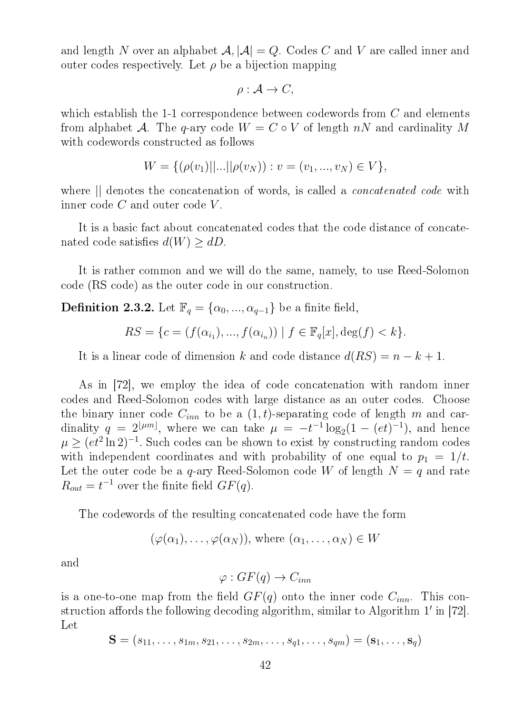and length N over an alphabet  $\mathcal{A}, |\mathcal{A}| = Q$ . Codes C and V are called inner and outer codes respectively. Let  $\rho$  be a bijection mapping

$$
\rho: \mathcal{A} \to C,
$$

which establish the 1-1 correspondence between codewords from  $C$  and elements from alphabet A. The q-ary code  $W = C \circ V$  of length nN and cardinality M with codewords constructed as follows

$$
W = \{(\rho(v_1)||...||\rho(v_N)): v = (v_1, ..., v_N) \in V\},\
$$

where  $\parallel$  denotes the concatenation of words, is called a *concatenated code* with inner code  $C$  and outer code  $V$ .

It is a basic fact about concatenated codes that the code distance of concatenated code satisfies  $d(W) \geq dD$ .

It is rather common and we will do the same, namely, to use Reed-Solomon code (RS code) as the outer code in our construction.

**Definition 2.3.2.** Let  $\mathbb{F}_q = {\alpha_0, ..., \alpha_{q-1}}$  be a finite field,

$$
RS = \{c = (f(\alpha_{i_1}), ..., f(\alpha_{i_n})) \mid f \in \mathbb{F}_q[x], \deg(f) < k\}.
$$

It is a linear code of dimension k and code distance  $d(RS) = n - k + 1$ .

As in [72], we employ the idea of code concatenation with random inner codes and Reed-Solomon codes with large distance as an outer codes. Choose the binary inner code  $C_{inn}$  to be a  $(1, t)$ -separating code of length m and cardinality  $q = 2^{\lfloor \mu m \rfloor}$ , where we can take  $\mu = -t^{-1} \log_2(1 - (et)^{-1})$ , and hence  $\mu \geq (et^2 \ln 2)^{-1}$ . Such codes can be shown to exist by constructing random codes with independent coordinates and with probability of one equal to  $p_1 = 1/t$ . Let the outer code be a  $q$ -ary Reed-Solomon code W of length  $N = q$  and rate  $R_{out} = t^{-1}$  over the finite field  $GF(q)$ .

The codewords of the resulting concatenated code have the form

$$
(\varphi(\alpha_1), \ldots, \varphi(\alpha_N)),
$$
 where  $(\alpha_1, \ldots, \alpha_N) \in W$ 

and

$$
\varphi: GF(q) \to C_{inn}
$$

is a one-to-one map from the field  $GF(q)$  onto the inner code  $C_{inn}$ . This construction affords the following decoding algorithm, similar to Algorithm  $1'$  in [72]. Let

$$
\mathbf{S} = (s_{11},\ldots,s_{1m},s_{21},\ldots,s_{2m},\ldots,s_{q1},\ldots,s_{qm}) = (\mathbf{s}_1,\ldots,\mathbf{s}_q)
$$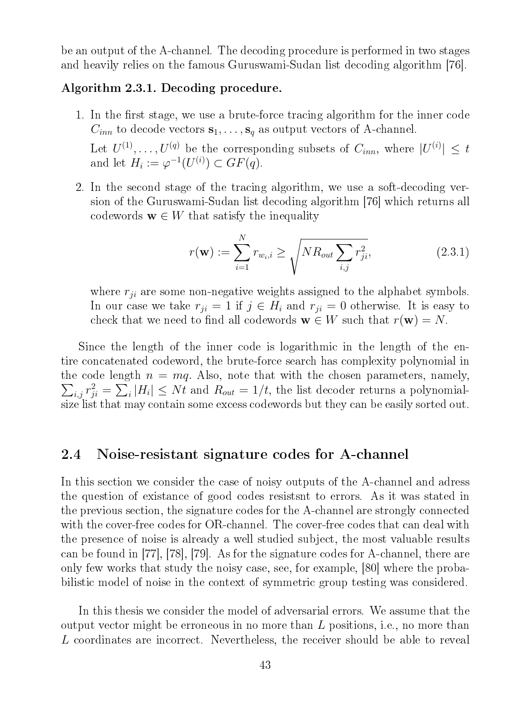be an output of the A-channel. The decoding procedure is performed in two stages and heavily relies on the famous Guruswami-Sudan list decoding algorithm [76].

#### Algorithm 2.3.1. Decoding procedure.

1. In the first stage, we use a brute-force tracing algorithm for the inner code  $C_{inn}$  to decode vectors  $\mathbf{s}_1, \ldots, \mathbf{s}_q$  as output vectors of A-channel.

Let  $U^{(1)}, \ldots, U^{(q)}$  be the corresponding subsets of  $C_{inn}$ , where  $|U^{(i)}| \leq t$ and let  $H_i := \varphi^{-1}(U^{(i)}) \subset GF(q)$ .

2. In the second stage of the tracing algorithm, we use a soft-decoding version of the Guruswami-Sudan list decoding algorithm [76] which returns all codewords  $\mathbf{w} \in W$  that satisfy the inequality

$$
r(\mathbf{w}) := \sum_{i=1}^{N} r_{w_i, i} \ge \sqrt{N R_{out} \sum_{i,j} r_{ji}^2},
$$
\n(2.3.1)

where  $r_{ii}$  are some non-negative weights assigned to the alphabet symbols. In our case we take  $r_{ji} = 1$  if  $j \in H_i$  and  $r_{ji} = 0$  otherwise. It is easy to check that we need to find all codewords  $\mathbf{w} \in W$  such that  $r(\mathbf{w}) = N$ .

Since the length of the inner code is logarithmic in the length of the entire concatenated codeword, the brute-force search has complexity polynomial in  $\sum_{i,j} r_{ji}^2 = \sum_i |H_i| \leq Nt$  and  $R_{out} = 1/t$ , the list decoder returns a polynomialthe code length  $n = mq$ . Also, note that with the chosen parameters, namely, size list that may contain some excess codewords but they can be easily sorted out.

## 2.4 Noise-resistant signature codes for A-channel

In this section we consider the case of noisy outputs of the A-channel and adress the question of existance of good codes resistsnt to errors. As it was stated in the previous section, the signature codes for the A-channel are strongly connected with the cover-free codes for OR-channel. The cover-free codes that can deal with the presence of noise is already a well studied subject, the most valuable results can be found in [77], [78], [79]. As for the signature codes for A-channel, there are only few works that study the noisy case, see, for example, [80] where the probabilistic model of noise in the context of symmetric group testing was considered.

In this thesis we consider the model of adversarial errors. We assume that the output vector might be erroneous in no more than L positions, i.e., no more than L coordinates are incorrect. Nevertheless, the receiver should be able to reveal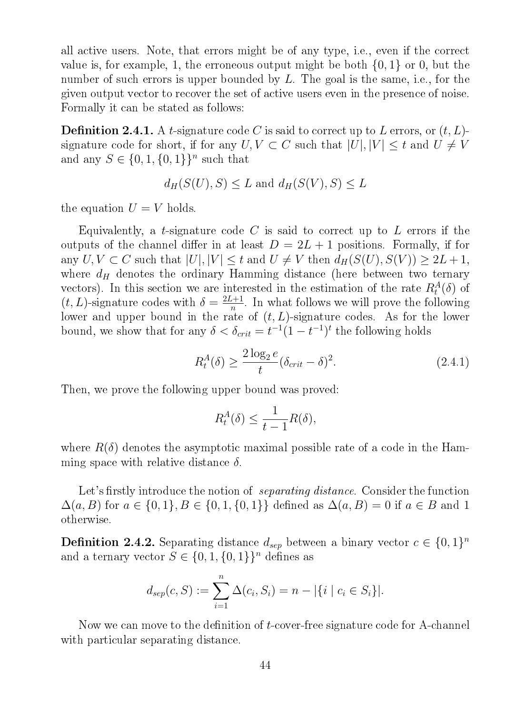all active users. Note, that errors might be of any type, i.e., even if the correct value is, for example, 1, the erroneous output might be both  $\{0, 1\}$  or 0, but the number of such errors is upper bounded by L. The goal is the same, i.e., for the given output vector to recover the set of active users even in the presence of noise. Formally it can be stated as follows:

**Definition 2.4.1.** A t-signature code C is said to correct up to L errors, or  $(t, L)$ signature code for short, if for any  $U, V \subset C$  such that  $|U|, |V| \leq t$  and  $U \neq V$ and any  $S \in \{0, 1, \{0, 1\}\}^n$  such that

$$
d_H(S(U), S) \le L \text{ and } d_H(S(V), S) \le L
$$

the equation  $U = V$  holds.

Equivalently, a t-signature code  $C$  is said to correct up to  $L$  errors if the outputs of the channel differ in at least  $D = 2L + 1$  positions. Formally, if for any  $U, V \subset C$  such that  $|U|, |V| \leq t$  and  $U \neq V$  then  $d_H(S(U), S(V)) \geq 2L + 1$ , where  $d_H$  denotes the ordinary Hamming distance (here between two ternary vectors). In this section we are interested in the estimation of the rate  $R_t^A(\delta)$  of  $(t, L)$ -signature codes with  $\delta = \frac{2L+1}{n}$  $\frac{a+1}{n}$ . In what follows we will prove the following lower and upper bound in the rate of  $(t, L)$ -signature codes. As for the lower bound, we show that for any  $\delta < \delta_{crit} = t^{-1}(1-t^{-1})^t$  the following holds

$$
R_t^A(\delta) \ge \frac{2\log_2 e}{t} (\delta_{crit} - \delta)^2. \tag{2.4.1}
$$

Then, we prove the following upper bound was proved:

$$
R_t^A(\delta) \le \frac{1}{t-1}R(\delta),
$$

where  $R(\delta)$  denotes the asymptotic maximal possible rate of a code in the Hamming space with relative distance  $\delta$ .

Let's firstly introduce the notion of *separating distance*. Consider the function  $\Delta(a, B)$  for  $a \in \{0, 1\}, B \in \{0, 1, \{0, 1\}\}\$  defined as  $\Delta(a, B) = 0$  if  $a \in B$  and 1 otherwise.

**Definition 2.4.2.** Separating distance  $d_{sep}$  between a binary vector  $c \in \{0,1\}^n$ and a ternary vector  $S \in \{0, 1, \{0, 1\}\}^n$  defines as

$$
d_{sep}(c, S) := \sum_{i=1}^{n} \Delta(c_i, S_i) = n - |\{i \mid c_i \in S_i\}|.
$$

Now we can move to the definition of  $t$ -cover-free signature code for A-channel with particular separating distance.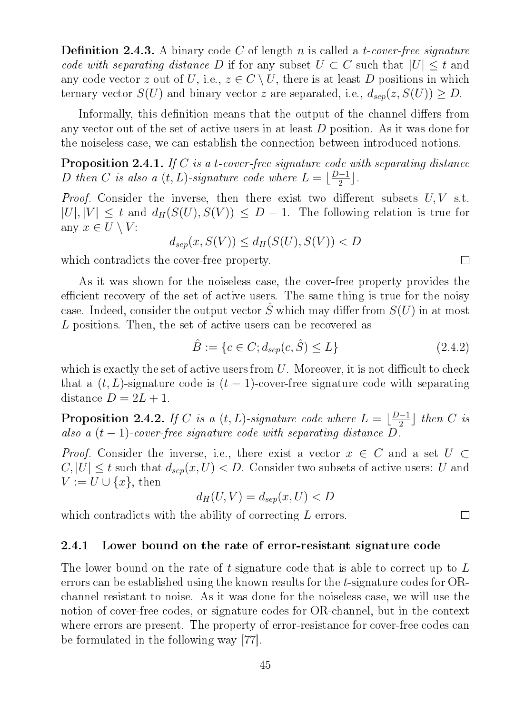**Definition 2.4.3.** A binary code C of length n is called a t-cover-free signature code with separating distance D if for any subset  $U \subset C$  such that  $|U| \leq t$  and any code vector z out of U, i.e.,  $z \in C \setminus U$ , there is at least D positions in which ternary vector  $S(U)$  and binary vector z are separated, i.e.,  $d_{sep}(z, S(U)) \geq D$ .

Informally, this definition means that the output of the channel differs from any vector out of the set of active users in at least D position. As it was done for the noiseless case, we can establish the connection between introduced notions.

**Proposition 2.4.1.** If  $C$  is a t-cover-free signature code with separating distance D then C is also a  $(t, L)$ -signature code where  $L = \lfloor \frac{D-1}{2} \rfloor$  $\frac{1}{2}$ .

*Proof.* Consider the inverse, then there exist two different subsets  $U, V$  s.t.  $|U|, |V| \leq t$  and  $d_H(S(U), S(V)) \leq D - 1$ . The following relation is true for any  $x \in U \setminus V$ :

$$
d_{sep}(x, S(V)) \le d_H(S(U), S(V)) < D
$$

which contradicts the cover-free property.

As it was shown for the noiseless case, the cover-free property provides the efficient recovery of the set of active users. The same thing is true for the noisy case. Indeed, consider the output vector  $\hat{S}$  which may differ from  $S(U)$  in at most L positions. Then, the set of active users can be recovered as

$$
\hat{B} := \{c \in C; d_{sep}(c, \hat{S}) \le L\}
$$
\n(2.4.2)

which is exactly the set of active users from  $U$ . Moreover, it is not difficult to check that a  $(t, L)$ -signature code is  $(t - 1)$ -cover-free signature code with separating distance  $D = 2L + 1$ .

**Proposition 2.4.2.** If C is a  $(t, L)$ -signature code where  $L = \lfloor \frac{D-1}{2} \rfloor$  $\frac{C-1}{2}$  then C is also a  $(t-1)$ -cover-free signature code with separating distance  $D$ .

*Proof.* Consider the inverse, i.e., there exist a vector  $x \in C$  and a set  $U \subset$  $C, |U| \leq t$  such that  $d_{sep}(x, U) < D$ . Consider two subsets of active users: U and  $V := U \cup \{x\}$ , then

$$
d_H(U, V) = d_{sep}(x, U) < D
$$

which contradicts with the ability of correcting L errors.

#### 2.4.1 Lower bound on the rate of error-resistant signature code

The lower bound on the rate of t-signature code that is able to correct up to L errors can be established using the known results for the t-signature codes for ORchannel resistant to noise. As it was done for the noiseless case, we will use the notion of cover-free codes, or signature codes for OR-channel, but in the context where errors are present. The property of error-resistance for cover-free codes can be formulated in the following way [77].

 $\Box$ 

 $\Box$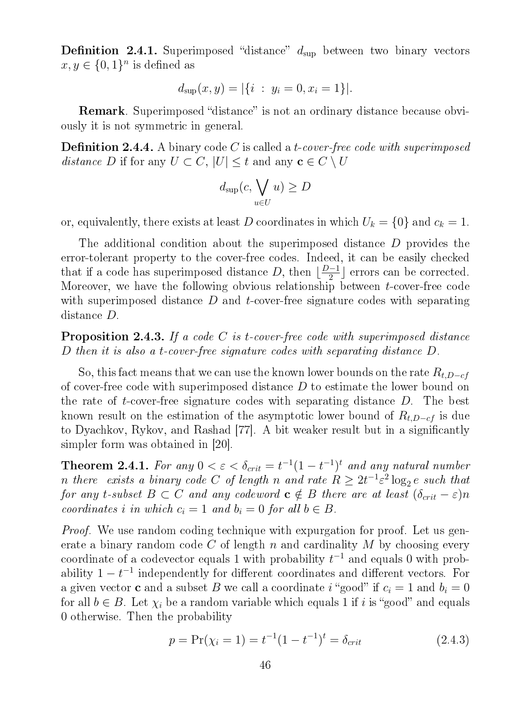**Definition 2.4.1.** Superimposed "distance"  $d_{\text{sup}}$  between two binary vectors  $x, y \in \{0, 1\}^n$  is defined as

$$
d_{\sup}(x, y) = |\{i : y_i = 0, x_i = 1\}|.
$$

**Remark**. Superimposed "distance" is not an ordinary distance because obviously it is not symmetric in general.

**Definition 2.4.4.** A binary code C is called a *t*-cover-free code with superimposed distance D if for any  $U \subset C$ ,  $|U| \leq t$  and any  $\mathbf{c} \in C \setminus U$ 

$$
d_{\sup}(c, \bigvee_{u \in U} u) \ge D
$$

or, equivalently, there exists at least D coordinates in which  $U_k = \{0\}$  and  $c_k = 1$ .

The additional condition about the superimposed distance D provides the error-tolerant property to the cover-free codes. Indeed, it can be easily checked that if a code has superimposed distance D, then  $\frac{D-1}{2}$  $\frac{(-1)}{2}$  errors can be corrected. Moreover, we have the following obvious relationship between t-cover-free code with superimposed distance  $D$  and  $t$ -cover-free signature codes with separating distance D.

**Proposition 2.4.3.** If a code C is t-cover-free code with superimposed distance D then it is also a t-cover-free signature codes with separating distance D.

So, this fact means that we can use the known lower bounds on the rate  $R_{t,D-cf}$ of cover-free code with superimposed distance D to estimate the lower bound on the rate of t-cover-free signature codes with separating distance D. The best known result on the estimation of the asymptotic lower bound of  $R_{t,D-cf}$  is due to Dyachkov, Rykov, and Rashad [77]. A bit weaker result but in a signicantly simpler form was obtained in [20].

**Theorem 2.4.1.** For any  $0 < \varepsilon < \delta_{crit} = t^{-1}(1-t^{-1})^t$  and any natural number n there exists a binary code C of length n and rate  $R \geq 2t^{-1} \varepsilon^2 \log_2 e$  such that for any t-subset  $B \subset C$  and any codeword  $c \notin B$  there are at least  $(\delta_{crit} - \varepsilon)n$ coordinates i in which  $c_i = 1$  and  $b_i = 0$  for all  $b \in B$ .

*Proof.* We use random coding technique with expurgation for proof. Let us generate a binary random code C of length n and cardinality  $M$  by choosing every coordinate of a codevector equals 1 with probability  $t^{-1}$  and equals 0 with probability  $1-t^{-1}$  independently for different coordinates and different vectors. For a given vector **c** and a subset B we call a coordinate i "good" if  $c_i = 1$  and  $b_i = 0$ for all  $b \in B$ . Let  $\chi_i$  be a random variable which equals 1 if i is "good" and equals 0 otherwise. Then the probability

$$
p = \Pr(\chi_i = 1) = t^{-1}(1 - t^{-1})^t = \delta_{crit}
$$
\n(2.4.3)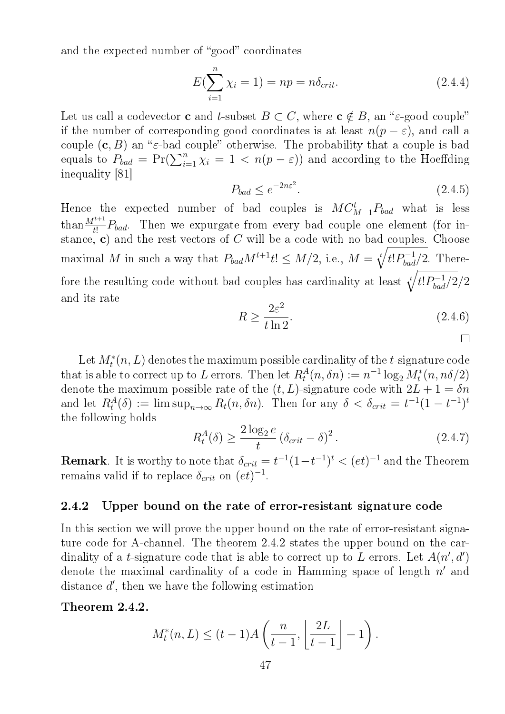and the expected number of "good" coordinates

$$
E(\sum_{i=1}^{n} \chi_i = 1) = np = n\delta_{crit}.
$$
 (2.4.4)

Let us call a codevector **c** and *t*-subset  $B \subset C$ , where  $c \notin B$ , an " $\varepsilon$ -good couple" if the number of corresponding good coordinates is at least  $n(p - \varepsilon)$ , and call a couple  $(c, B)$  an " $\varepsilon$ -bad couple" otherwise. The probability that a couple is bad equals to  $P_{bad} = Pr(\sum_{i=1}^{n} \chi_i = 1 \langle n(p-\varepsilon) \rangle)$  and according to the Hoeffding inequality [81]

$$
P_{bad} \le e^{-2n\varepsilon^2}.\tag{2.4.5}
$$

Hence the expected number of bad couples is  $MC_{M-1}^tP_{bad}$  what is less than  $\frac{M^{t+1}}{t!}P_{bad}$ . Then we expurgate from every bad couple one element (for instance, c) and the rest vectors of  $C$  will be a code with no bad couples. Choose maximal M in such a way that  $P_{bad}M^{t+1}t! \leq M/2$ , i.e.,  $M = \sqrt[t]{t!P_{bad}^{-1}/2}$ . Therefore the resulting code without bad couples has cardinality at least  $\sqrt[t]{t!P_{bad}^{-1}/2}/2$ and its rate

$$
R \ge \frac{2\varepsilon^2}{t\ln 2}.\tag{2.4.6}
$$

Let  $M_t^*(n, L)$  denotes the maximum possible cardinality of the t-signature code that is able to correct up to L errors. Then let  $R_t^A(n, \delta n) := n^{-1} \log_2 M_t^*(n, n\delta/2)$ denote the maximum possible rate of the  $(t, L)$ -signature code with  $2L + 1 = \delta n$ and let  $R_t^A(\delta) := \limsup_{n \to \infty} R_t(n, \delta n)$ . Then for any  $\delta < \delta_{crit} = t^{-1}(1 - t^{-1})^t$ the following holds

$$
R_t^A(\delta) \ge \frac{2\log_2 e}{t} \left(\delta_{crit} - \delta\right)^2. \tag{2.4.7}
$$

**Remark**. It is worthy to note that  $\delta_{crit} = t^{-1}(1-t^{-1})^t < (et)^{-1}$  and the Theorem remains valid if to replace  $\delta_{crit}$  on  $(e_t)^{-1}$ .

#### 2.4.2 Upper bound on the rate of error-resistant signature code

In this section we will prove the upper bound on the rate of error-resistant signature code for A-channel. The theorem 2.4.2 states the upper bound on the cardinality of a *t*-signature code that is able to correct up to L errors. Let  $A(n', d')$ denote the maximal cardinality of a code in Hamming space of length  $n'$  and distance  $d'$ , then we have the following estimation

Theorem 2.4.2.

$$
M_t^*(n, L) \le (t - 1)A\left(\frac{n}{t - 1}, \left\lfloor \frac{2L}{t - 1} \right\rfloor + 1\right).
$$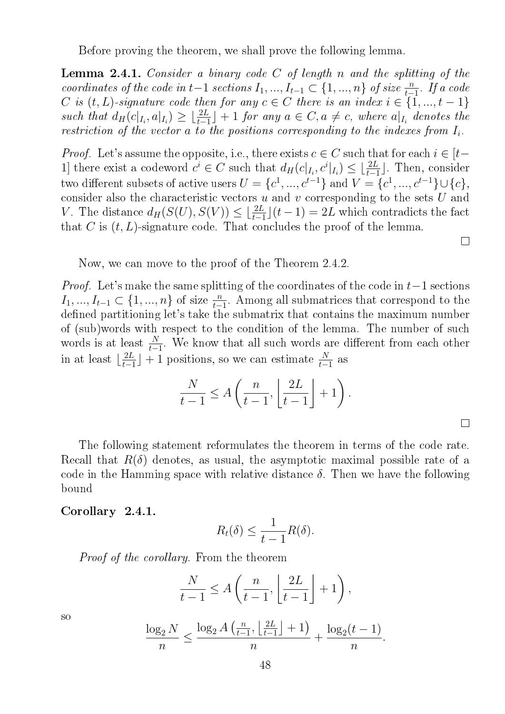Before proving the theorem, we shall prove the following lemma.

**Lemma 2.4.1.** Consider a binary code  $C$  of length n and the splitting of the coordinates of the code in t-1 sections  $I_1, ..., I_{t-1} \subset \{1, ..., n\}$  of size  $\frac{n}{t-1}$ . If a code C is  $(t, L)$ -signature code then for any  $c \in C$  there is an index  $i \in \{1, ..., t-1\}$ such that  $d_H(c|_{I_i}, a|_{I_i}) \geq \lfloor \frac{2L}{t-1} \rfloor + 1$  for any  $a \in C, a \neq c$ , where  $a|_{I_i}$  denotes the restriction of the vector  $a$  to the positions corresponding to the indexes from  $I_i$ .

*Proof.* Let's assume the opposite, i.e., there exists  $c \in C$  such that for each  $i \in [t-\delta]$ 1] there exist a codeword  $c^i \in C$  such that  $d_H(c|_{I_i}, c^i|_{I_i}) \leq \lfloor \frac{2L}{t-1} \rfloor$ . Then, consider two different subsets of active users  $U = \{c^1, ..., c^{t-1}\}$  and  $V = \{c^1, ..., c^{t-1}\} \cup \{c\}$ , consider also the characteristic vectors  $u$  and  $v$  corresponding to the sets  $U$  and V. The distance  $d_H(S(U), S(V)) \leq \lfloor \frac{2L}{t-1} \rfloor (t-1) = 2L$  which contradicts the fact that C is  $(t, L)$ -signature code. That concludes the proof of the lemma.

Now, we can move to the proof of the Theorem 2.4.2.

*Proof.* Let's make the same splitting of the coordinates of the code in  $t-1$  sections  $I_1, ..., I_{t-1} \subset \{1, ..., n\}$  of size  $\frac{n}{t-1}$ . Among all submatrices that correspond to the defined partitioning let's take the submatrix that contains the maximum number of (sub)words with respect to the condition of the lemma. The number of such words is at least  $\frac{N}{t-1}$ . We know that all such words are different from each other in at least  $\lfloor \frac{2L}{t-1} \rfloor$  $\frac{2L}{t-1}$  + 1 positions, so we can estimate  $\frac{N}{t-1}$  as

$$
\frac{N}{t-1} \le A\left(\frac{n}{t-1}, \left\lfloor \frac{2L}{t-1} \right\rfloor + 1\right).
$$

 $\Box$ 

The following statement reformulates the theorem in terms of the code rate. Recall that  $R(\delta)$  denotes, as usual, the asymptotic maximal possible rate of a code in the Hamming space with relative distance  $\delta$ . Then we have the following bound

#### Corollary 2.4.1.

$$
R_t(\delta) \leq \frac{1}{t-1}R(\delta).
$$

Proof of the corollary. From the theorem

$$
\frac{N}{t-1} \le A\left(\frac{n}{t-1}, \left\lfloor \frac{2L}{t-1} \right\rfloor + 1\right),\,
$$

$$
\frac{\log_2 N}{n} \le \frac{\log_2 A\left(\frac{n}{t-1}, \left\lfloor \frac{2L}{t-1} \right\rfloor + 1\right)}{n} + \frac{\log_2 (t-1)}{n}.
$$

so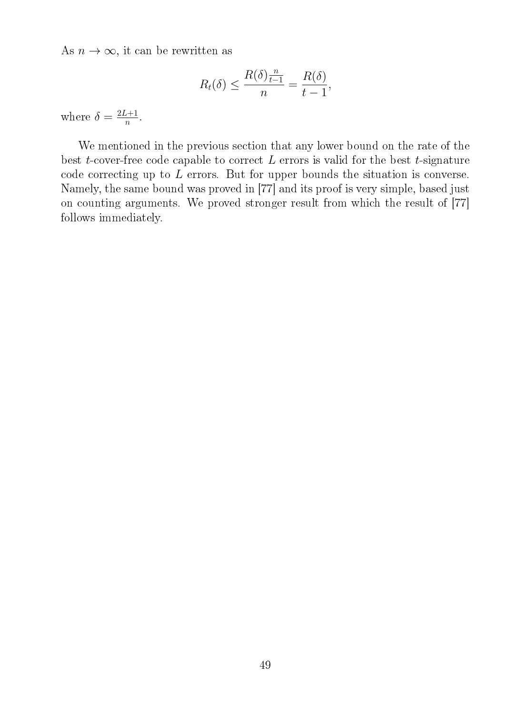As  $n \to \infty$ , it can be rewritten as

$$
R_t(\delta) \le \frac{R(\delta)\frac{n}{t-1}}{n} = \frac{R(\delta)}{t-1},
$$

where  $\delta = \frac{2L+1}{n}$  $\frac{n+1}{n}$ .

We mentioned in the previous section that any lower bound on the rate of the best  $t$ -cover-free code capable to correct  $L$  errors is valid for the best  $t$ -signature code correcting up to L errors. But for upper bounds the situation is converse. Namely, the same bound was proved in [77] and its proof is very simple, based just on counting arguments. We proved stronger result from which the result of [77] follows immediately.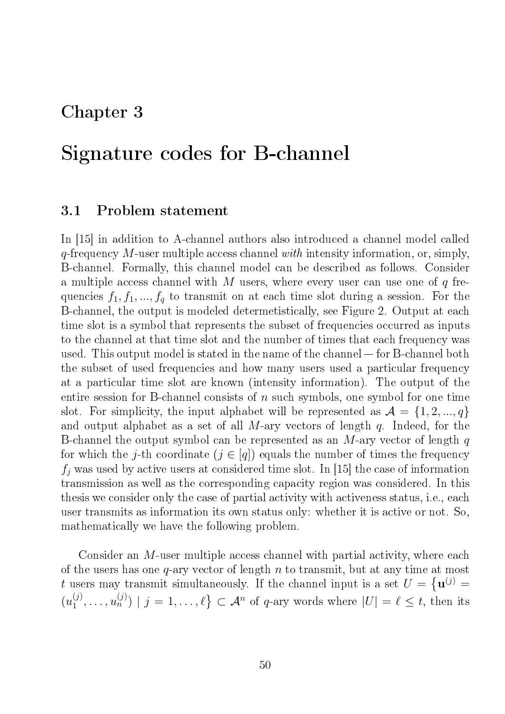## Chapter 3

# Signature codes for B-channel

### 3.1 Problem statement

In [15] in addition to A-channel authors also introduced a channel model called  $q$ -frequency M-user multiple access channel with intensity information, or, simply, B-channel. Formally, this channel model can be described as follows. Consider a multiple access channel with M users, where every user can use one of  $q$  frequencies  $f_1, f_1, ..., f_q$  to transmit on at each time slot during a session. For the B-channel, the output is modeled determetistically, see Figure 2. Output at each time slot is a symbol that represents the subset of frequencies occurred as inputs to the channel at that time slot and the number of times that each frequency was used. This output model is stated in the name of the channel  $-$  for B-channel both the subset of used frequencies and how many users used a particular frequency at a particular time slot are known (intensity information). The output of the entire session for B-channel consists of  $n$  such symbols, one symbol for one time slot. For simplicity, the input alphabet will be represented as  $\mathcal{A} = \{1, 2, ..., q\}$ and output alphabet as a set of all M-ary vectors of length  $q$ . Indeed, for the B-channel the output symbol can be represented as an  $M$ -ary vector of length q for which the j-th coordinate  $(j \in [q])$  equals the number of times the frequency  $f_i$  was used by active users at considered time slot. In [15] the case of information transmission as well as the corresponding capacity region was considered. In this thesis we consider only the case of partial activity with activeness status, i.e., each user transmits as information its own status only: whether it is active or not. So, mathematically we have the following problem.

Consider an M-user multiple access channel with partial activity, where each of the users has one  $q$ -ary vector of length n to transmit, but at any time at most t users may transmit simultaneously. If the channel input is a set  $U = \{$ **u**<sup>(j)</sup> =  $(u_1^{(j)}$  $\{a_1^{(j)},\ldots,a_n^{(j)})\mid j=1,\ldots,\ell\}\subset \mathcal{A}^n$  of  $q$ -ary words where  $|U|=\ell\leq t,$  then its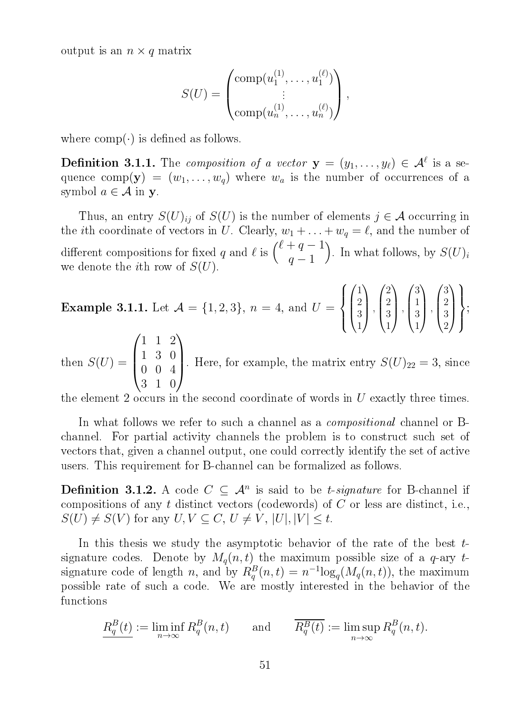output is an  $n \times q$  matrix

$$
S(U) = \begin{pmatrix} \text{comp}(u_1^{(1)}, \dots, u_1^{(\ell)}) \\ \vdots \\ \text{comp}(u_n^{(1)}, \dots, u_n^{(\ell)}) \end{pmatrix},
$$

where  $comp(\cdot)$  is defined as follows.

**Definition 3.1.1.** The composition of a vector  $\mathbf{y} = (y_1, \ldots, y_\ell) \in \mathcal{A}^\ell$  is a sequence comp(y) =  $(w_1, \ldots, w_q)$  where  $w_a$  is the number of occurrences of a symbol  $a \in \mathcal{A}$  in y.

Thus, an entry  $S(U)_{ij}$  of  $S(U)$  is the number of elements  $j \in \mathcal{A}$  occurring in the *i*th coordinate of vectors in U. Clearly,  $w_1 + \ldots + w_q = \ell$ , and the number of different compositions for fixed q and  $\ell$  is  $\binom{\ell+q-1}{\ell+q-1}$  $q-1$ ). In what follows, by  $S(U)_i$ we denote the *i*<sup>th</sup> row of  $S(U)$ .

**Example 3.1.1.** Let  $\mathcal{A} = \{1, 2, 3\}$ ,  $n = 4$ , and  $U =$  $\sqrt{ }$  $\int$  $\overline{\mathcal{L}}$  $\sqrt{ }$  $\vert$ 1 2 3 1  $\setminus$  $\cdot \cdot$  $\sqrt{ }$  $\overline{\phantom{a}}$ 2 2 3 1  $\setminus$  $\cdot \cdot$  $\sqrt{ }$  $\vert$ 3 1 3 1  $\setminus$  $\left| \right|$  $\sqrt{ }$  $\vert$ 3 2 3 2  $\setminus$  $\overline{\phantom{a}}$  $\mathcal{L}$  $\overline{\mathcal{L}}$  $\int$ ;  $\sqrt{ }$ 1 1 2  $\setminus$ 

then  $S(U)$  =  $\overline{\phantom{a}}$ 1 3 0 0 0 4 3 1 0 . Here, for example, the matrix entry  $S(U)_{22} = 3$ , since

the element 2 occurs in the second coordinate of words in U exactly three times.

In what follows we refer to such a channel as a *compositional* channel or Bchannel. For partial activity channels the problem is to construct such set of vectors that, given a channel output, one could correctly identify the set of active users. This requirement for B-channel can be formalized as follows.

**Definition 3.1.2.** A code  $C \subseteq \mathcal{A}^n$  is said to be *t*-signature for B-channel if compositions of any  $t$  distinct vectors (codewords) of  $C$  or less are distinct, i.e.,  $S(U) \neq S(V)$  for any  $U, V \subseteq C, U \neq V, |U|, |V| \leq t$ .

In this thesis we study the asymptotic behavior of the rate of the best  $t$ signature codes. Denote by  $M_q(n, t)$  the maximum possible size of a q-ary tsignature code of length n, and by  $R_q^B(n,t) = n^{-1} \log_q(M_q(n,t))$ , the maximum possible rate of such a code. We are mostly interested in the behavior of the functions

$$
\underline{R_q^B(t)} := \liminf_{n \to \infty} R_q^B(n, t) \quad \text{and} \quad \overline{R_q^B(t)} := \limsup_{n \to \infty} R_q^B(n, t).
$$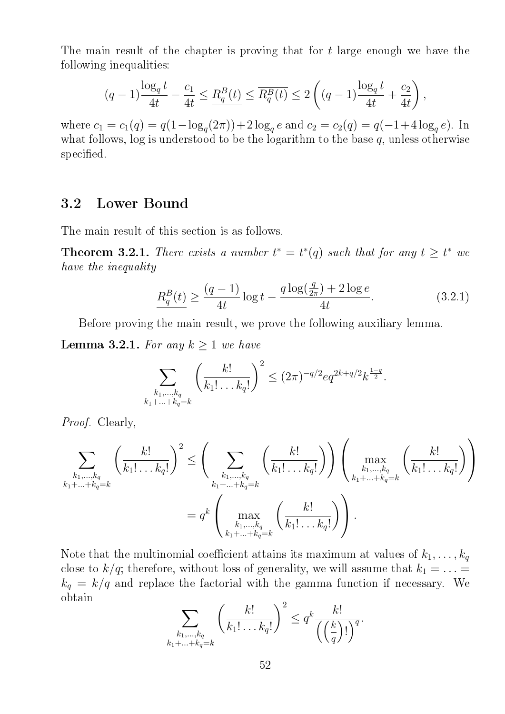The main result of the chapter is proving that for t large enough we have the following inequalities:

$$
(q-1)\frac{\log_q t}{4t} - \frac{c_1}{4t} \le \frac{R_q^B(t)}{4t} \le \overline{R_q^B(t)} \le 2\left((q-1)\frac{\log_q t}{4t} + \frac{c_2}{4t}\right),
$$

where  $c_1 = c_1(q) = q(1 - \log_q(2\pi)) + 2\log_q e$  and  $c_2 = c_2(q) = q(-1 + 4\log_q e)$ . In what follows, log is understood to be the logarithm to the base  $q$ , unless otherwise specified.

## 3.2 Lower Bound

The main result of this section is as follows.

**Theorem 3.2.1.** There exists a number  $t^* = t^*(q)$  such that for any  $t \geq t^*$  we have the inequality

$$
\frac{R_q^B(t)}{4t} \ge \frac{(q-1)}{4t} \log t - \frac{q \log(\frac{q}{2\pi}) + 2 \log e}{4t}.
$$
\n(3.2.1)

Before proving the main result, we prove the following auxiliary lemma.

**Lemma 3.2.1.** For any  $k \geq 1$  we have

$$
\sum_{\substack{k_1,\ldots,k_q\\k_1+\ldots+k_q=k}} \left(\frac{k!}{k_1!\ldots k_q!}\right)^2 \le (2\pi)^{-q/2}eq^{2k+q/2}k^{\frac{1-q}{2}}.
$$

Proof. Clearly,

$$
\sum_{\substack{k_1,\ldots,k_q\\k_1+\ldots+k_q=k}} \left(\frac{k!}{k_1!\ldots k_q!}\right)^2 \le \left(\sum_{\substack{k_1,\ldots,k_q\\k_1+\ldots+k_q=k}} \left(\frac{k!}{k_1!\ldots k_q!}\right)\right) \left(\max_{\substack{k_1,\ldots,k_q\\k_1+\ldots+k_q=k}} \left(\frac{k!}{k_1!\ldots k_q!}\right)\right)
$$

$$
= q^k \left(\max_{\substack{k_1,\ldots,k_q\\k_1+\ldots+k_q=k}} \left(\frac{k!}{k_1!\ldots k_q!}\right)\right).
$$

Note that the multinomial coefficient attains its maximum at values of  $k_1, \ldots, k_q$ close to  $k/q$ ; therefore, without loss of generality, we will assume that  $k_1 = \ldots =$  $k_q = k/q$  and replace the factorial with the gamma function if necessary. We obtain

$$
\sum_{\substack{k_1,\ldots,k_q\\k_1+\ldots+k_q=k}}\left(\frac{k!}{k_1!\ldots k_q!}\right)^2\le q^k\frac{k!}{\left(\left(\frac{k}{q}\right)!\right)^q}.
$$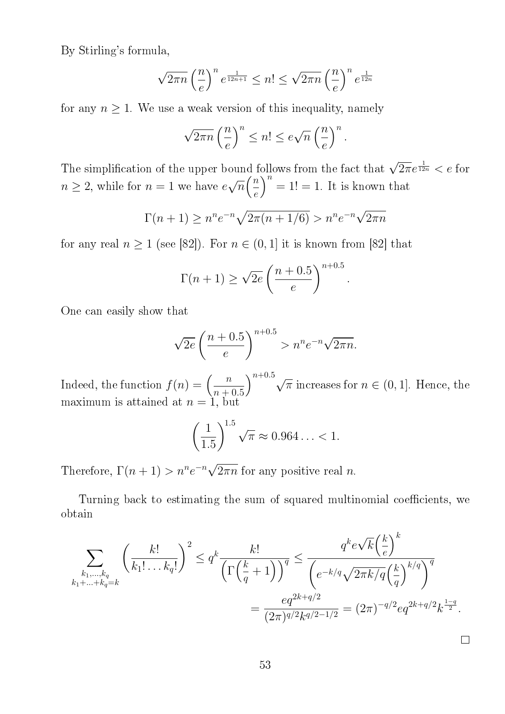By Stirling's formula,

$$
\sqrt{2\pi n} \left(\frac{n}{e}\right)^n e^{\frac{1}{12n+1}} \le n! \le \sqrt{2\pi n} \left(\frac{n}{e}\right)^n e^{\frac{1}{12n}}
$$

for any  $n \geq 1$ . We use a weak version of this inequality, namely

$$
\sqrt{2\pi n} \left(\frac{n}{e}\right)^n \le n! \le e\sqrt{n} \left(\frac{n}{e}\right)^n.
$$

The simplification of the upper bound follows from the fact that  $\sqrt{2\pi}e^{\frac{1}{12n}} < e$  for  $n \geq 2$ , while for  $n = 1$  we have e √  $\overline{n}$  $\left(\frac{n}{2}\right)$ e  $n = 1! = 1$ . It is known that

$$
\Gamma(n+1) \ge n^n e^{-n} \sqrt{2\pi(n+1/6)} > n^n e^{-n} \sqrt{2\pi n}
$$

for any real  $n \geq 1$  (see [82]). For  $n \in (0,1]$  it is known from [82] that

$$
\Gamma(n+1) \ge \sqrt{2e} \left(\frac{n+0.5}{e}\right)^{n+0.5}
$$

.

One can easily show that

$$
\sqrt{2e} \left(\frac{n+0.5}{e}\right)^{n+0.5} > n^n e^{-n} \sqrt{2\pi n}.
$$

Indeed, the function  $f(n) = \left(\frac{n}{n+1}\right)^n$  $n + 0.5$  $\bigg\}^{n+0.5}$  $\overline{\pi}$  increases for  $n \in (0,1]$ . Hence, the maximum is attained at  $n = 1$ , but

$$
\left(\frac{1}{1.5}\right)^{1.5} \sqrt{\pi} \approx 0.964\ldots < 1.
$$

Therefore,  $\Gamma(n+1) > n^n e^{-n} \sqrt{\frac{n!}{n}}$  $2\pi n$  for any positive real n.

Turning back to estimating the sum of squared multinomial coefficients, we obtain

$$
\sum_{\substack{k_1,\dots,k_q\\k_1+\dots+k_q=k}} \left(\frac{k!}{k_1!\dots k_q!}\right)^2 \le q^k \frac{k!}{\left(\Gamma\left(\frac{k}{q}+1\right)\right)^q} \le \frac{q^k e^{\sqrt{k}\left(\frac{k}{e}\right)^k}}{\left(e^{-k/q}\sqrt{2\pi k/q}\left(\frac{k}{q}\right)^{k/q}\right)^q}
$$

$$
= \frac{eq^{2k+q/2}}{(2\pi)^{q/2}k^{q/2-1/2}} = (2\pi)^{-q/2}eq^{2k+q/2}k^{\frac{1-q}{2}}.
$$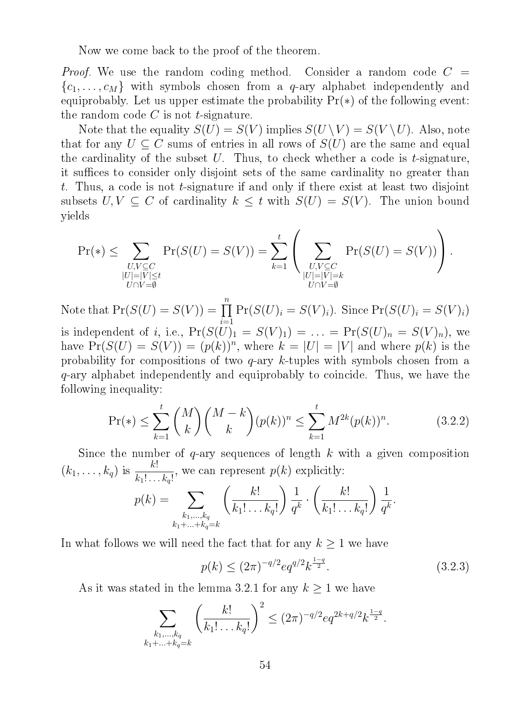Now we come back to the proof of the theorem.

*Proof.* We use the random coding method. Consider a random code  $C =$  ${c_1, \ldots, c_M}$  with symbols chosen from a *q*-ary alphabet independently and equiprobably. Let us upper estimate the probability  $Pr(*)$  of the following event: the random code  $C$  is not t-signature.

Note that the equality  $S(U) = S(V)$  implies  $S(U \setminus V) = S(V \setminus U)$ . Also, note that for any  $U \subseteq C$  sums of entries in all rows of  $S(U)$  are the same and equal the cardinality of the subset  $U$ . Thus, to check whether a code is  $t$ -signature, it suffices to consider only disjoint sets of the same cardinality no greater than t. Thus, a code is not t-signature if and only if there exist at least two disjoint subsets  $U, V \subseteq C$  of cardinality  $k \leq t$  with  $S(U) = S(V)$ . The union bound yields

$$
\Pr(\mathcal{F}) \leq \sum_{\substack{U,V \subseteq C \\ |U| = |V| \leq t \\ U \cap V = \emptyset}} \Pr(S(U) = S(V)) = \sum_{k=1}^t \left( \sum_{\substack{U,V \subseteq C \\ |U| = |V| = k \\ U \cap V = \emptyset}} \Pr(S(U) = S(V)) \right).
$$

Note that  $Pr(S(U) = S(V)) = \prod$ n  $i=1$  $Pr(S(U)_i = S(V)_i)$ . Since  $Pr(S(U)_i = S(V)_i)$ is independent of *i*, i.e.,  $Pr(S(\overline{U})_1 = S(V)_1) = ... = Pr(S(U)_n = S(V)_n)$ , we have  $Pr(S(U) = S(V)) = (p(k))^n$ , where  $k = |U| = |V|$  and where  $p(k)$  is the probability for compositions of two q-ary k-tuples with symbols chosen from a q-ary alphabet independently and equiprobably to coincide. Thus, we have the following inequality:

$$
\Pr(*) \le \sum_{k=1}^{t} \binom{M}{k} \binom{M-k}{k} (p(k))^n \le \sum_{k=1}^{t} M^{2k} (p(k))^n. \tag{3.2.2}
$$

Since the number of  $q$ -ary sequences of length  $k$  with a given composition  $(k_1, ..., k_q)$  is  $\frac{k!}{k_1!...k_q!}$ , we can represent  $p(k)$  explicitly:

$$
p(k) = \sum_{\substack{k_1,\ldots,k_q\\k_1+\ldots+k_q=k}} \left(\frac{k!}{k_1!\ldots k_q!}\right) \frac{1}{q^k} \cdot \left(\frac{k!}{k_1!\ldots k_q!}\right) \frac{1}{q^k}.
$$

In what follows we will need the fact that for any  $k \geq 1$  we have

$$
p(k) \le (2\pi)^{-q/2} e q^{q/2} k^{\frac{1-q}{2}}.
$$
\n(3.2.3)

As it was stated in the lemma 3.2.1 for any  $k \geq 1$  we have

$$
\sum_{\substack{k_1,\ldots,k_q\\k_1+\ldots+k_q=k}} \left(\frac{k!}{k_1!\ldots k_q!}\right)^2 \le (2\pi)^{-q/2}eq^{2k+q/2}k^{\frac{1-q}{2}}.
$$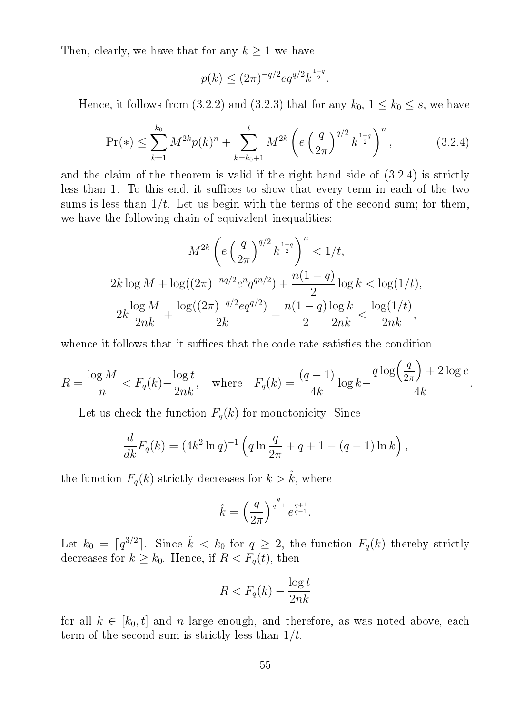Then, clearly, we have that for any  $k \geq 1$  we have

$$
p(k) \le (2\pi)^{-q/2} e q^{q/2} k^{\frac{1-q}{2}}.
$$

Hence, it follows from (3.2.2) and (3.2.3) that for any  $k_0$ ,  $1 \leq k_0 \leq s$ , we have

$$
\Pr(*) \le \sum_{k=1}^{k_0} M^{2k} p(k)^n + \sum_{k=k_0+1}^t M^{2k} \left( e \left( \frac{q}{2\pi} \right)^{q/2} k^{\frac{1-q}{2}} \right)^n, \tag{3.2.4}
$$

and the claim of the theorem is valid if the right-hand side of (3.2.4) is strictly less than 1. To this end, it suffices to show that every term in each of the two sums is less than  $1/t$ . Let us begin with the terms of the second sum; for them, we have the following chain of equivalent inequalities:

$$
M^{2k} \left( e \left( \frac{q}{2\pi} \right)^{q/2} k^{\frac{1-q}{2}} \right)^n < 1/t,
$$
  
\n
$$
2k \log M + \log((2\pi)^{-nq/2} e^n q^{qn/2}) + \frac{n(1-q)}{2} \log k < \log(1/t),
$$
  
\n
$$
2k \frac{\log M}{2nk} + \frac{\log((2\pi)^{-q/2} e q^{q/2})}{2k} + \frac{n(1-q) \log k}{2} \frac{\log(1/t)}{2nk},
$$

whence it follows that it suffices that the code rate satisfies the condition

$$
R = \frac{\log M}{n} < F_q(k) - \frac{\log t}{2nk}, \quad \text{where} \quad F_q(k) = \frac{(q-1)}{4k} \log k - \frac{q \log \left(\frac{q}{2\pi}\right) + 2 \log e}{4k}.
$$

Let us check the function  $F_q(k)$  for monotonicity. Since

$$
\frac{d}{dk}F_q(k) = (4k^2 \ln q)^{-1} \left( q \ln \frac{q}{2\pi} + q + 1 - (q - 1) \ln k \right),
$$

the function  $F_q(k)$  strictly decreases for  $k > \hat{k}$ , where

$$
\hat{k} = \left(\frac{q}{2\pi}\right)^{\frac{q}{q-1}} e^{\frac{q+1}{q-1}}.
$$

Let  $k_0 = \lceil q^{3/2} \rceil$ . Since  $\hat{k} < k_0$  for  $q \geq 2$ , the function  $F_q(k)$  thereby strictly decreases for  $k \geq k_0$ . Hence, if  $R < F_q(t)$ , then

$$
R < F_q(k) - \frac{\log t}{2nk}
$$

for all  $k \in [k_0, t]$  and n large enough, and therefore, as was noted above, each term of the second sum is strictly less than  $1/t$ .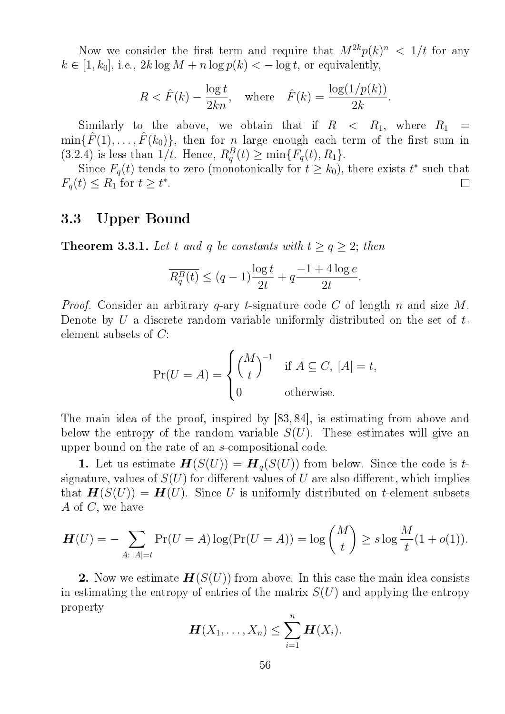Now we consider the first term and require that  $M^{2k}p(k)^n < 1/t$  for any  $k \in [1, k_0]$ , i.e.,  $2k \log M + n \log p(k) < -\log t$ , or equivalently,

$$
R < \hat{F}(k) - \frac{\log t}{2kn}, \quad \text{where} \quad \hat{F}(k) = \frac{\log(1/p(k))}{2k}.
$$

Similarly to the above, we obtain that if  $R < R_1$ , where  $R_1$  $\min{\{\hat{F}(1),\ldots,\hat{F}(k_0)\}}$ , then for *n* large enough each term of the first sum in (3.2.4) is less than  $1/t$ . Hence,  $R_q^B(t) \ge \min\{F_q(t), R_1\}$ .

Since  $F_q(t)$  tends to zero (monotonically for  $t \geq k_0$ ), there exists  $t^*$  such that  $F_q(t) \leq R_1$  for  $t \geq t^*$ .  $\Box$ 

## 3.3 Upper Bound

**Theorem 3.3.1.** Let t and q be constants with  $t \ge q \ge 2$ ; then

$$
\overline{R_q^B(t)} \le (q-1)\frac{\log t}{2t} + q\frac{-1+4\log e}{2t}.
$$

*Proof.* Consider an arbitrary q-ary t-signature code C of length n and size M. Denote by U a discrete random variable uniformly distributed on the set of  $t$ element subsets of C:

$$
\Pr(U = A) = \begin{cases} {M \choose t}^{-1} & \text{if } A \subseteq C, |A| = t, \\ 0 & \text{otherwise.} \end{cases}
$$

The main idea of the proof, inspired by [83, 84], is estimating from above and below the entropy of the random variable  $S(U)$ . These estimates will give an upper bound on the rate of an s-compositional code.

1. Let us estimate  $\mathbf{H}(S(U)) = \mathbf{H}_q(S(U))$  from below. Since the code is tsignature, values of  $S(U)$  for different values of U are also different, which implies that  $\mathbf{H}(S(U)) = \mathbf{H}(U)$ . Since U is uniformly distributed on t-element subsets A of  $C$ , we have

$$
\mathbf{H}(U) = -\sum_{A:\,|A|=t} \Pr(U = A) \log(\Pr(U = A)) = \log \binom{M}{t} \ge s \log \frac{M}{t} (1 + o(1)).
$$

2. Now we estimate  $\mathbf{H}(S(U))$  from above. In this case the main idea consists in estimating the entropy of entries of the matrix  $S(U)$  and applying the entropy property

$$
\boldsymbol{H}(X_1,\ldots,X_n)\leq \sum_{i=1}^n \boldsymbol{H}(X_i).
$$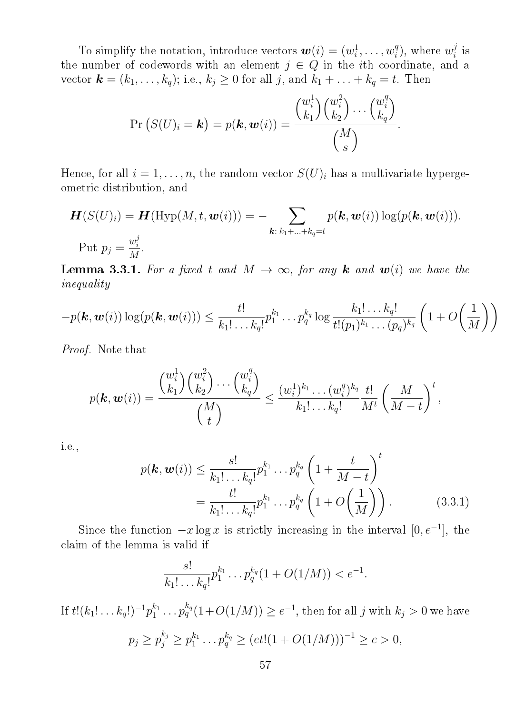To simplify the notation, introduce vectors  $\boldsymbol{w}(i) = (w_i^1)$  $i^1, \ldots, w_i^q$  $i^q$ ), where  $w_i^j$  $\frac{j}{i}$  is the number of codewords with an element  $j \in Q$  in the *i*th coordinate, and a vector  $\mathbf{k} = (k_1, \ldots, k_q)$ ; i.e.,  $k_j \geq 0$  for all j, and  $k_1 + \ldots + k_q = t$ . Then

$$
\Pr(S(U)_i = \mathbf{k}) = p(\mathbf{k}, \mathbf{w}(i)) = \frac{\binom{w_i^1}{k_1}\binom{w_i^2}{k_2}\cdots\binom{w_i^q}{k_q}}{\binom{M}{s}}.
$$

Hence, for all  $i = 1, \ldots, n$ , the random vector  $S(U)_i$  has a multivariate hypergeometric distribution, and

$$
\mathbf{H}(S(U)_i) = \mathbf{H}(\mathrm{Hyp}(M, t, \mathbf{w}(i))) = -\sum_{\mathbf{k}: \, k_1 + \ldots + k_q = t} p(\mathbf{k}, \mathbf{w}(i)) \log(p(\mathbf{k}, \mathbf{w}(i))).
$$
  
Put  $p_j = \frac{w_i^j}{M}$ .

**Lemma 3.3.1.** For a fixed t and  $M \to \infty$ , for any **k** and  $w(i)$  we have the inequality

$$
-p(\boldsymbol{k},\boldsymbol{w}(i))\log(p(\boldsymbol{k},\boldsymbol{w}(i)))\leq \frac{t!}{k_1!\ldots k_q!}p_1^{k_1}\ldots p_q^{k_q}\log\frac{k_1!\ldots k_q!}{t!(p_1)^{k_1}\ldots (p_q)^{k_q}}\left(1+O\!\left(\frac{1}{M}\right)\right)
$$

Proof. Note that

$$
p(\mathbf{k}, \mathbf{w}(i)) = \frac{\binom{w_i^1}{k_1} \binom{w_i^2}{k_2} \cdots \binom{w_i^q}{k_q}}{\binom{M}{t}} \le \frac{(w_i^1)^{k_1} \cdots (w_i^q)^{k_q}}{k_1! \cdots k_q!} \frac{t!}{M^t} \left(\frac{M}{M-t}\right)^t,
$$

i.e.,

$$
p(\mathbf{k}, \mathbf{w}(i)) \le \frac{s!}{k_1! \dots k_q!} p_1^{k_1} \dots p_q^{k_q} \left( 1 + \frac{t}{M - t} \right)^t
$$
  
= 
$$
\frac{t!}{k_1! \dots k_q!} p_1^{k_1} \dots p_q^{k_q} \left( 1 + O\left(\frac{1}{M}\right) \right).
$$
 (3.3.1)

Since the function  $-x \log x$  is strictly increasing in the interval  $[0, e^{-1}]$ , the claim of the lemma is valid if

$$
\frac{s!}{k_1! \dots k_q!} p_1^{k_1} \dots p_q^{k_q} (1 + O(1/M)) < e^{-1}.
$$

If  $t!(k_1!\ldots k_q!)^{-1}p_1^{k_1}$  $i_1^{k_1} \ldots p_q^{k_q} (1+O(1/M)) \ge e^{-1}$ , then for all j with  $k_j > 0$  we have

$$
p_j \ge p_j^{k_j} \ge p_1^{k_1} \dots p_q^{k_q} \ge (et!(1 + O(1/M)))^{-1} \ge c > 0,
$$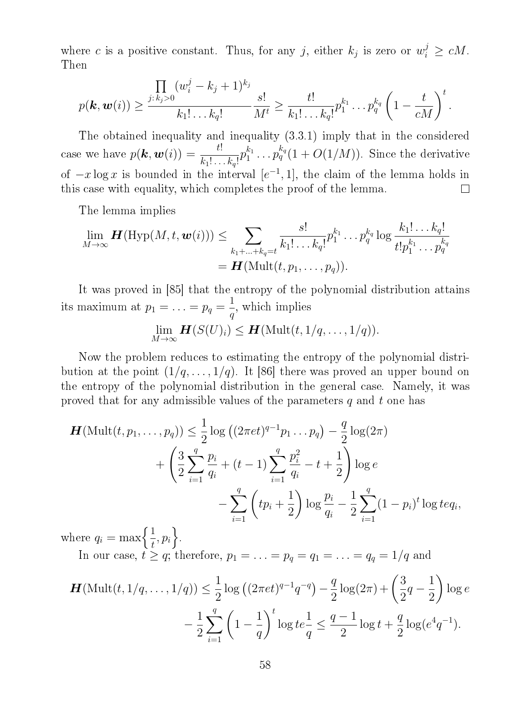where c is a positive constant. Thus, for any j, either  $k_j$  is zero or  $w_i^j \ge cM$ . Then

$$
p(\mathbf{k}, \mathbf{w}(i)) \geq \frac{\prod\limits_{j: k_j > 0} (w_i^j - k_j + 1)^{k_j}}{k_1! \dots k_q!} \frac{s!}{M^t} \geq \frac{t!}{k_1! \dots k_q!} p_1^{k_1} \dots p_q^{k_q} \left(1 - \frac{t}{cM}\right)^t.
$$

The obtained inequality and inequality (3.3.1) imply that in the considered case we have  $p(\mathbf{k}, \mathbf{w}(i)) = \frac{t!}{t!}$  $i_1^{k_1} \ldots p_q^{k_q} (1 + O(1/M))$ . Since the derivative  $p_1^{k_1}$  $k_1! \ldots k_q!$ of  $-x \log x$  is bounded in the interval  $[e^{-1}, 1]$ , the claim of the lemma holds in this case with equality, which completes the proof of the lemma.  $\Box$ 

The lemma implies

$$
\lim_{M\to\infty}\mathbf{H}(\mathrm{Hyp}(M,t,\mathbf{w}(i)))\leq \sum_{k_1+\ldots+k_q=t}\frac{s!}{k_1!\ldots k_q!}p_1^{k_1}\ldots p_q^{k_q}\log\frac{k_1!\ldots k_q!}{t!p_1^{k_1}\ldots p_q^{k_q}}
$$
\n
$$
=\mathbf{H}(\mathrm{Mult}(t,p_1,\ldots,p_q)).
$$

It was proved in [85] that the entropy of the polynomial distribution attains its maximum at  $p_1 = \ldots = p_q = \frac{1}{q}$  $\frac{1}{q}$ , which implies

lim  $\lim_{M\to\infty}$   $\boldsymbol{H}(S(U)_i) \leq \boldsymbol{H}(\text{Mult}(t,1/q,\ldots,1/q)).$ 

Now the problem reduces to estimating the entropy of the polynomial distribution at the point  $(1/q, \ldots, 1/q)$ . It [86] there was proved an upper bound on the entropy of the polynomial distribution in the general case. Namely, it was proved that for any admissible values of the parameters  $q$  and  $t$  one has

$$
\mathbf{H}(\text{Mult}(t, p_1, \dots, p_q)) \leq \frac{1}{2} \log ((2\pi e t)^{q-1} p_1 \dots p_q) - \frac{q}{2} \log (2\pi)
$$
  
+ 
$$
\left(\frac{3}{2} \sum_{i=1}^q \frac{p_i}{q_i} + (t-1) \sum_{i=1}^q \frac{p_i^2}{q_i} - t + \frac{1}{2}\right) \log e
$$
  
- 
$$
\sum_{i=1}^q \left(tp_i + \frac{1}{2}\right) \log \frac{p_i}{q_i} - \frac{1}{2} \sum_{i=1}^q (1-p_i)^t \log t e q_i,
$$

where  $q_i = \max\left\{\frac{1}{t}\right\}$  $\frac{1}{t}, p_i\bigg\}$ .

In our case,  $t \geq q$ ; therefore,  $p_1 = \ldots = p_q = q_1 = \ldots = q_q = 1/q$  and

$$
\mathbf{H}(\text{Mult}(t, 1/q, \dots, 1/q)) \le \frac{1}{2} \log ((2\pi e t)^{q-1} q^{-q}) - \frac{q}{2} \log (2\pi) + \left(\frac{3}{2}q - \frac{1}{2}\right) \log e
$$

$$
- \frac{1}{2} \sum_{i=1}^{q} \left(1 - \frac{1}{q}\right)^t \log t e \frac{1}{q} \le \frac{q-1}{2} \log t + \frac{q}{2} \log(e^4 q^{-1}).
$$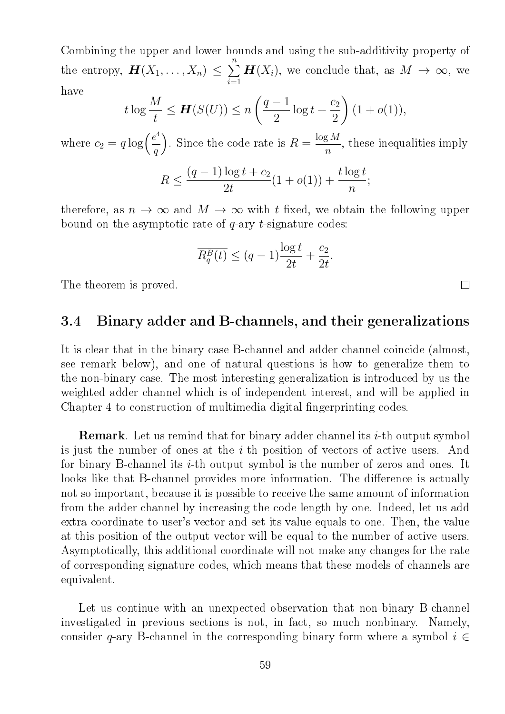Combining the upper and lower bounds and using the sub-additivity property of the entropy,  $\boldsymbol{H}(X_1,\ldots,X_n) \leq \sum$ n  $i=1$  $\boldsymbol{H}(X_i)$ , we conclude that, as  $M \to \infty$ , we have

$$
t \log \frac{M}{t} \le \mathbf{H}(S(U)) \le n \left(\frac{q-1}{2}\log t + \frac{c_2}{2}\right) (1 + o(1)),
$$

where  $c_2 = q \log \left( \frac{e^4}{q} \right)$ q ). Since the code rate is  $R = \frac{\log M}{\log M}$  $\frac{1}{n}$ , these inequalities imply

$$
R \le \frac{(q-1)\log t + c_2}{2t} (1 + o(1)) + \frac{t\log t}{n};
$$

therefore, as  $n \to \infty$  and  $M \to \infty$  with t fixed, we obtain the following upper bound on the asymptotic rate of  $q$ -ary  $t$ -signature codes:

$$
\overline{R_q^B(t)} \le (q-1)\frac{\log t}{2t} + \frac{c_2}{2t}.
$$

 $\Box$ 

The theorem is proved.

## 3.4 Binary adder and B-channels, and their generalizations

It is clear that in the binary case B-channel and adder channel coincide (almost, see remark below), and one of natural questions is how to generalize them to the non-binary case. The most interesting generalization is introduced by us the weighted adder channel which is of independent interest, and will be applied in Chapter 4 to construction of multimedia digital fingerprinting codes.

**Remark**. Let us remind that for binary adder channel its  $i$ -th output symbol is just the number of ones at the  $i$ -th position of vectors of active users. And for binary B-channel its *i*-th output symbol is the number of zeros and ones. It looks like that B-channel provides more information. The difference is actually not so important, because it is possible to receive the same amount of information from the adder channel by increasing the code length by one. Indeed, let us add extra coordinate to user's vector and set its value equals to one. Then, the value at this position of the output vector will be equal to the number of active users. Asymptotically, this additional coordinate will not make any changes for the rate of corresponding signature codes, which means that these models of channels are equivalent.

Let us continue with an unexpected observation that non-binary B-channel investigated in previous sections is not, in fact, so much nonbinary. Namely, consider q-ary B-channel in the corresponding binary form where a symbol  $i \in$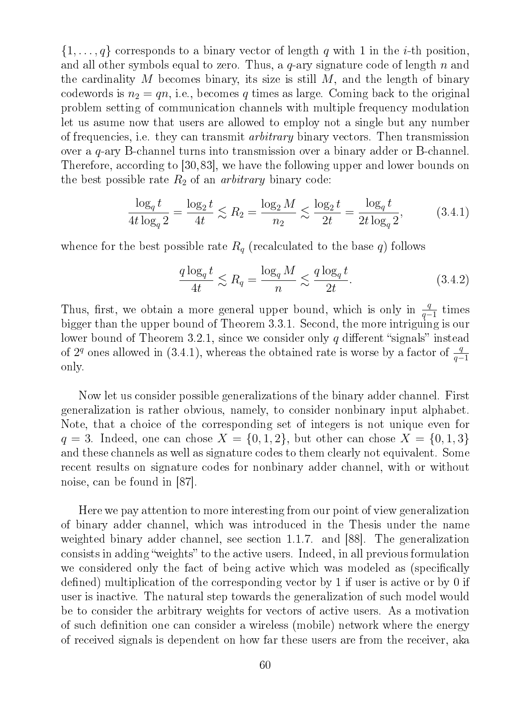$\{1,\ldots,q\}$  corresponds to a binary vector of length q with 1 in the *i*-th position, and all other symbols equal to zero. Thus, a  $q$ -ary signature code of length n and the cardinality M becomes binary, its size is still  $M$ , and the length of binary codewords is  $n_2 = qn$ , i.e., becomes q times as large. Coming back to the original problem setting of communication channels with multiple frequency modulation let us asume now that users are allowed to employ not a single but any number of frequencies, i.e. they can transmit arbitrary binary vectors. Then transmission over a q-ary B-channel turns into transmission over a binary adder or B-channel. Therefore, according to [30,83], we have the following upper and lower bounds on the best possible rate  $R_2$  of an *arbitrary* binary code:

$$
\frac{\log_q t}{4t \log_q 2} = \frac{\log_2 t}{4t} \lesssim R_2 = \frac{\log_2 M}{n_2} \lesssim \frac{\log_2 t}{2t} = \frac{\log_q t}{2t \log_q 2},\tag{3.4.1}
$$

whence for the best possible rate  $R_q$  (recalculated to the base q) follows

$$
\frac{q \log_q t}{4t} \lesssim R_q = \frac{\log_q M}{n} \lesssim \frac{q \log_q t}{2t}.\tag{3.4.2}
$$

Thus, first, we obtain a more general upper bound, which is only in  $\frac{q}{q-1}$  times bigger than the upper bound of Theorem 3.3.1. Second, the more intriguing is our lower bound of Theorem 3.2.1, since we consider only q different "signals" instead of 2<sup>q</sup> ones allowed in (3.4.1), whereas the obtained rate is worse by a factor of  $\frac{q}{q-1}$ only.

Now let us consider possible generalizations of the binary adder channel. First generalization is rather obvious, namely, to consider nonbinary input alphabet. Note, that a choice of the corresponding set of integers is not unique even for  $q = 3$ . Indeed, one can chose  $X = \{0, 1, 2\}$ , but other can chose  $X = \{0, 1, 3\}$ and these channels as well as signature codes to them clearly not equivalent. Some recent results on signature codes for nonbinary adder channel, with or without noise, can be found in [87].

Here we pay attention to more interesting from our point of view generalization of binary adder channel, which was introduced in the Thesis under the name weighted binary adder channel, see section 1.1.7. and [88]. The generalization consists in adding "weights" to the active users. Indeed, in all previous formulation we considered only the fact of being active which was modeled as (specifically defined) multiplication of the corresponding vector by 1 if user is active or by 0 if user is inactive. The natural step towards the generalization of such model would be to consider the arbitrary weights for vectors of active users. As a motivation of such definition one can consider a wireless (mobile) network where the energy of received signals is dependent on how far these users are from the receiver, aka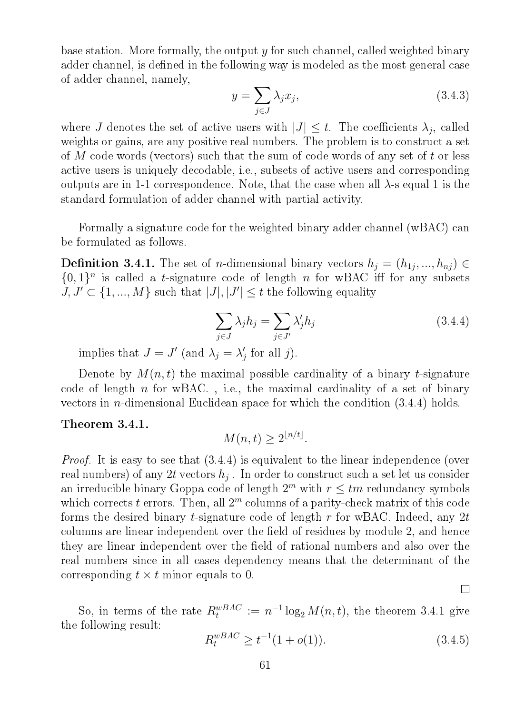base station. More formally, the output  $y$  for such channel, called weighted binary adder channel, is defined in the following way is modeled as the most general case of adder channel, namely,

$$
y = \sum_{j \in J} \lambda_j x_j,\tag{3.4.3}
$$

where J denotes the set of active users with  $|J| \leq t$ . The coefficients  $\lambda_j$ , called weights or gains, are any positive real numbers. The problem is to construct a set of M code words (vectors) such that the sum of code words of any set of t or less active users is uniquely decodable, i.e., subsets of active users and corresponding outputs are in 1-1 correspondence. Note, that the case when all  $\lambda$ -s equal 1 is the standard formulation of adder channel with partial activity.

Formally a signature code for the weighted binary adder channel (wBAC) can be formulated as follows.

**Definition 3.4.1.** The set of *n*-dimensional binary vectors  $h_j = (h_{1j}, ..., h_{nj}) \in$  $\{0,1\}$ <sup>n</sup> is called a t-signature code of length n for wBAC iff for any subsets  $J, J' \subset \{1, ..., M\}$  such that  $|J|, |J'| \leq t$  the following equality

$$
\sum_{j \in J} \lambda_j h_j = \sum_{j \in J'} \lambda'_j h_j \tag{3.4.4}
$$

implies that  $J = J'$  (and  $\lambda_j = \lambda'_j$  $'_{j}$  for all  $j$ ).

Denote by  $M(n, t)$  the maximal possible cardinality of a binary t-signature code of length  $n$  for wBAC., i.e., the maximal cardinality of a set of binary vectors in n-dimensional Euclidean space for which the condition (3.4.4) holds.

#### Theorem 3.4.1.

$$
M(n,t) \ge 2^{\lfloor n/t \rfloor}.
$$

Proof. It is easy to see that (3.4.4) is equivalent to the linear independence (over  $\mathop{\mathrm{real\, numbers}}\nolimits)$  of any  $2t$  vectors  $h_j$  . In order to construct such a set let us consider an irreducible binary Goppa code of length  $2^m$  with  $r \leq tm$  redundancy symbols which corrects  $t$  errors. Then, all  $2<sup>m</sup>$  columns of a parity-check matrix of this code forms the desired binary *t*-signature code of length  $r$  for wBAC. Indeed, any 2t columns are linear independent over the field of residues by module 2, and hence they are linear independent over the field of rational numbers and also over the real numbers since in all cases dependency means that the determinant of the corresponding  $t \times t$  minor equals to 0.

So, in terms of the rate  $R_t^{wBAC} := n^{-1} \log_2 M(n, t)$ , the theorem 3.4.1 give the following result:

$$
R_t^{wBAC} \ge t^{-1}(1 + o(1)).\tag{3.4.5}
$$

 $\Box$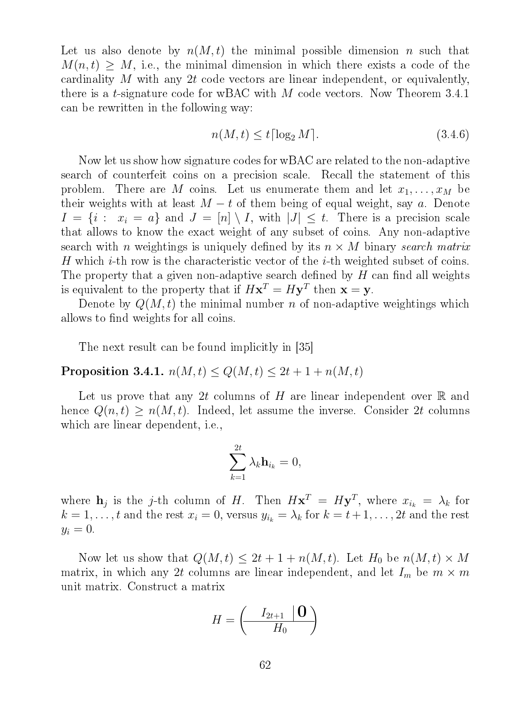Let us also denote by  $n(M, t)$  the minimal possible dimension n such that  $M(n, t) \geq M$ , i.e., the minimal dimension in which there exists a code of the cardinality M with any 2t code vectors are linear independent, or equivalently, there is a *t*-signature code for wBAC with M code vectors. Now Theorem 3.4.1 can be rewritten in the following way:

$$
n(M, t) \le t \lceil \log_2 M \rceil. \tag{3.4.6}
$$

Now let us show how signature codes for wBAC are related to the non-adaptive search of counterfeit coins on a precision scale. Recall the statement of this problem. There are M coins. Let us enumerate them and let  $x_1, \ldots, x_M$  be their weights with at least  $M - t$  of them being of equal weight, say a. Denote  $I = \{i : x_i = a\}$  and  $J = [n] \setminus I$ , with  $|J| \leq t$ . There is a precision scale that allows to know the exact weight of any subset of coins. Any non-adaptive search with *n* weightings is uniquely defined by its  $n \times M$  binary search matrix H which  $i$ -th row is the characteristic vector of the  $i$ -th weighted subset of coins. The property that a given non-adaptive search defined by  $H$  can find all weights is equivalent to the property that if  $H\mathbf{x}^T = H\mathbf{y}^T$  then  $\mathbf{x} = \mathbf{y}$ .

Denote by  $Q(M, t)$  the minimal number n of non-adaptive weightings which allows to find weights for all coins.

The next result can be found implicitly in [35]

Proposition 3.4.1.  $n(M, t) \le Q(M, t) \le 2t + 1 + n(M, t)$ 

Let us prove that any 2t columns of H are linear independent over  $\mathbb R$  and hence  $Q(n, t) \geq n(M, t)$ . Indeed, let assume the inverse. Consider 2t columns which are linear dependent, i.e.,

$$
\sum_{k=1}^{2t} \lambda_k \mathbf{h}_{i_k} = 0,
$$

where  $\mathbf{h}_j$  is the j-th column of H. Then  $H\mathbf{x}^T = H\mathbf{y}^T$ , where  $x_{i_k} = \lambda_k$  for  $k = 1, \ldots, t$  and the rest  $x_i = 0$ , versus  $y_{i_k} = \lambda_k$  for  $k = t + 1, \ldots, 2t$  and the rest  $y_i = 0.$ 

Now let us show that  $Q(M, t) \leq 2t + 1 + n(M, t)$ . Let  $H_0$  be  $n(M, t) \times M$ matrix, in which any 2t columns are linear independent, and let  $I_m$  be  $m \times m$ unit matrix. Construct a matrix

$$
H = \left(\begin{array}{c|c} I_{2t+1} & \mathbf{0} \\ \hline H_0 & \end{array}\right)
$$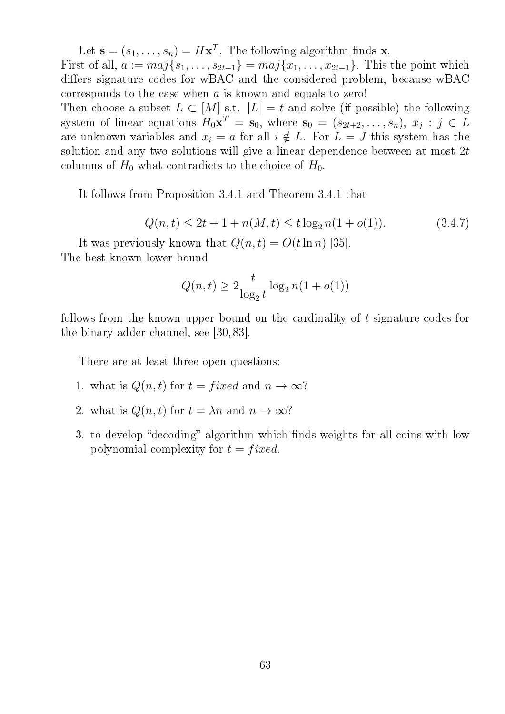Let  $\mathbf{s} = (s_1, \dots, s_n) = H\mathbf{x}^T$ . The following algorithm finds **x**.

First of all,  $a := maj\{s_1, \ldots, s_{2t+1}\} = maj\{x_1, \ldots, x_{2t+1}\}.$  This the point which differs signature codes for wBAC and the considered problem, because wBAC corresponds to the case when  $a$  is known and equals to zero!

Then choose a subset  $L \subset [M]$  s.t.  $|L| = t$  and solve (if possible) the following system of linear equations  $H_0 \mathbf{x}^T = \mathbf{s}_0$ , where  $\mathbf{s}_0 = (s_{2t+2}, \ldots, s_n)$ ,  $x_j : j \in L$ are unknown variables and  $x_i = a$  for all  $i \notin L$ . For  $L = J$  this system has the solution and any two solutions will give a linear dependence between at most 2t columns of  $H_0$  what contradicts to the choice of  $H_0$ .

It follows from Proposition 3.4.1 and Theorem 3.4.1 that

$$
Q(n,t) \le 2t + 1 + n(M,t) \le t \log_2 n(1 + o(1)).
$$
\n(3.4.7)

It was previously known that  $Q(n, t) = O(t \ln n)$  [35]. The best known lower bound

$$
Q(n,t) \ge 2\frac{t}{\log_2 t} \log_2 n(1 + o(1))
$$

follows from the known upper bound on the cardinality of t-signature codes for the binary adder channel, see [30, 83].

There are at least three open questions:

- 1. what is  $Q(n, t)$  for  $t = fixed$  and  $n \to \infty$ ?
- 2. what is  $Q(n, t)$  for  $t = \lambda n$  and  $n \to \infty$ ?
- 3. to develop "decoding" algorithm which finds weights for all coins with low polynomial complexity for  $t = fixed$ .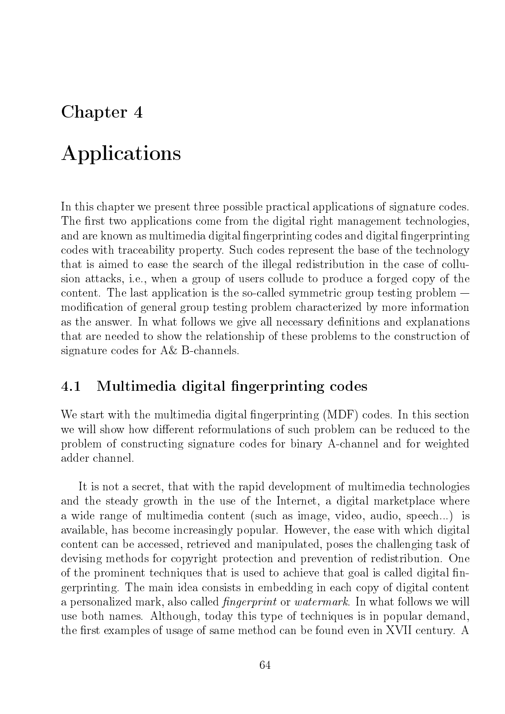# Chapter 4

# Applications

In this chapter we present three possible practical applications of signature codes. The first two applications come from the digital right management technologies, and are known as multimedia digital fingerprinting codes and digital fingerprinting codes with traceability property. Such codes represent the base of the technology that is aimed to ease the search of the illegal redistribution in the case of collusion attacks, i.e., when a group of users collude to produce a forged copy of the content. The last application is the so-called symmetric group testing problem  $$ modification of general group testing problem characterized by more information as the answer. In what follows we give all necessary definitions and explanations that are needed to show the relationship of these problems to the construction of signature codes for A& B-channels.

## 4.1 Multimedia digital fingerprinting codes

We start with the multimedia digital fingerprinting (MDF) codes. In this section we will show how different reformulations of such problem can be reduced to the problem of constructing signature codes for binary A-channel and for weighted adder channel.

It is not a secret, that with the rapid development of multimedia technologies and the steady growth in the use of the Internet, a digital marketplace where a wide range of multimedia content (such as image, video, audio, speech...) is available, has become increasingly popular. However, the ease with which digital content can be accessed, retrieved and manipulated, poses the challenging task of devising methods for copyright protection and prevention of redistribution. One of the prominent techniques that is used to achieve that goal is called digital fingerprinting. The main idea consists in embedding in each copy of digital content a personalized mark, also called *fingerprint* or *watermark*. In what follows we will use both names. Although, today this type of techniques is in popular demand, the first examples of usage of same method can be found even in XVII century. A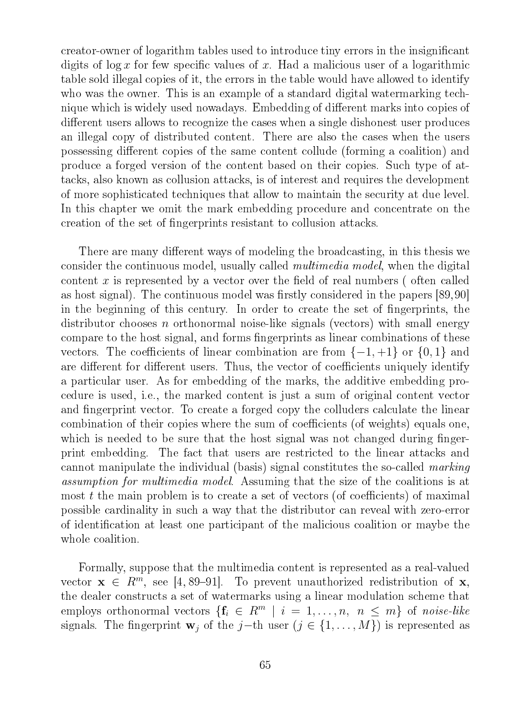creator-owner of logarithm tables used to introduce tiny errors in the insignicant digits of  $\log x$  for few specific values of x. Had a malicious user of a logarithmic table sold illegal copies of it, the errors in the table would have allowed to identify who was the owner. This is an example of a standard digital watermarking technique which is widely used nowadays. Embedding of different marks into copies of different users allows to recognize the cases when a single dishonest user produces an illegal copy of distributed content. There are also the cases when the users possessing different copies of the same content collude (forming a coalition) and produce a forged version of the content based on their copies. Such type of attacks, also known as collusion attacks, is of interest and requires the development of more sophisticated techniques that allow to maintain the security at due level. In this chapter we omit the mark embedding procedure and concentrate on the creation of the set of ngerprints resistant to collusion attacks.

There are many different ways of modeling the broadcasting, in this thesis we consider the continuous model, usually called multimedia model, when the digital content x is represented by a vector over the field of real numbers (often called as host signal). The continuous model was firstly considered in the papers  $[89,90]$ in the beginning of this century. In order to create the set of fingerprints, the distributor chooses n orthonormal noise-like signals (vectors) with small energy compare to the host signal, and forms fingerprints as linear combinations of these vectors. The coefficients of linear combination are from  $\{-1, +1\}$  or  $\{0, 1\}$  and are different for different users. Thus, the vector of coefficients uniquely identify a particular user. As for embedding of the marks, the additive embedding procedure is used, i.e., the marked content is just a sum of original content vector and fingerprint vector. To create a forged copy the colluders calculate the linear combination of their copies where the sum of coefficients (of weights) equals one, which is needed to be sure that the host signal was not changed during fingerprint embedding. The fact that users are restricted to the linear attacks and cannot manipulate the individual (basis) signal constitutes the so-called marking assumption for multimedia model. Assuming that the size of the coalitions is at most  $t$  the main problem is to create a set of vectors (of coefficients) of maximal possible cardinality in such a way that the distributor can reveal with zero-error of identification at least one participant of the malicious coalition or maybe the whole coalition.

Formally, suppose that the multimedia content is represented as a real-valued vector  $\mathbf{x} \in R^m$ , see [4, 89–91]. To prevent unauthorized redistribution of  $\mathbf{x}$ , the dealer constructs a set of watermarks using a linear modulation scheme that employs orthonormal vectors  $\{\mathbf{f}_i \in R^m \mid i = 1, \ldots, n, n \leq m\}$  of noise-like signals. The fingerprint  $\mathbf{w}_i$  of the j−th user  $(j \in \{1, ..., M\})$  is represented as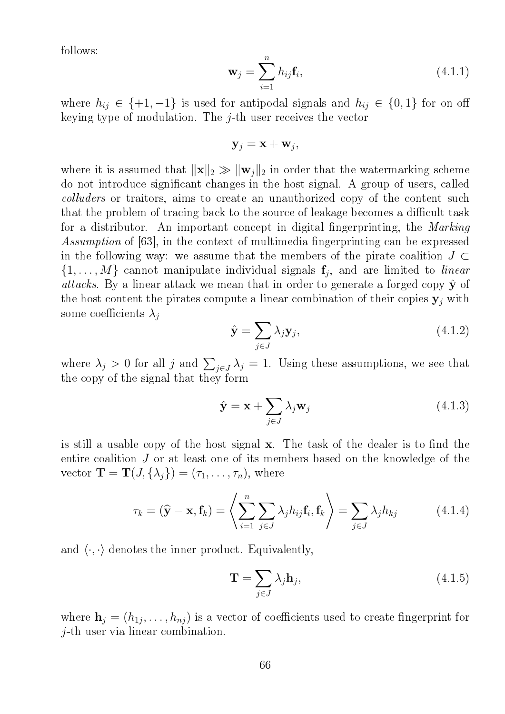follows:

$$
\mathbf{w}_j = \sum_{i=1}^n h_{ij} \mathbf{f}_i, \tag{(4.1.1)}
$$

where  $h_{ij} \in \{+1, -1\}$  is used for antipodal signals and  $h_{ij} \in \{0, 1\}$  for on-off keying type of modulation. The  $i$ -th user receives the vector

$$
\mathbf{y}_j = \mathbf{x} + \mathbf{w}_j,
$$

where it is assumed that  $\|\mathbf{x}\|_2 \gg \|\mathbf{w}_i\|_2$  in order that the watermarking scheme do not introduce signicant changes in the host signal. A group of users, called colluders or traitors, aims to create an unauthorized copy of the content such that the problem of tracing back to the source of leakage becomes a difficult task for a distributor. An important concept in digital fingerprinting, the Marking Assumption of [63], in the context of multimedia fingerprinting can be expressed in the following way: we assume that the members of the pirate coalition  $J \subset$  $\{1, \ldots, M\}$  cannot manipulate individual signals  $f_j$ , and are limited to *linear* attacks. By a linear attack we mean that in order to generate a forged copy  $\hat{y}$  of the host content the pirates compute a linear combination of their copies  $y_j$  with some coefficients  $\lambda_i$ 

$$
\hat{\mathbf{y}} = \sum_{j \in J} \lambda_j \mathbf{y}_j,\tag{4.1.2}
$$

where  $\lambda_j > 0$  for all j and  $\sum_{j \in J} \lambda_j = 1$ . Using these assumptions, we see that the copy of the signal that they form

$$
\hat{\mathbf{y}} = \mathbf{x} + \sum_{j \in J} \lambda_j \mathbf{w}_j \tag{4.1.3}
$$

is still a usable copy of the host signal  $x$ . The task of the dealer is to find the entire coalition J or at least one of its members based on the knowledge of the vector  $\mathbf{T} = \mathbf{T}(J, \{\lambda_i\}) = (\tau_1, \ldots, \tau_n)$ , where

$$
\tau_k = (\widehat{\mathbf{y}} - \mathbf{x}, \mathbf{f}_k) = \left\langle \sum_{i=1}^n \sum_{j \in J} \lambda_j h_{ij} \mathbf{f}_i, \mathbf{f}_k \right\rangle = \sum_{j \in J} \lambda_j h_{kj} \tag{4.1.4}
$$

and  $\langle \cdot, \cdot \rangle$  denotes the inner product. Equivalently,

$$
\mathbf{T} = \sum_{j \in J} \lambda_j \mathbf{h}_j,\tag{4.1.5}
$$

where  $\mathbf{h}_j = (h_{1j}, \dots, h_{nj})$  is a vector of coefficients used to create fingerprint for j-th user via linear combination.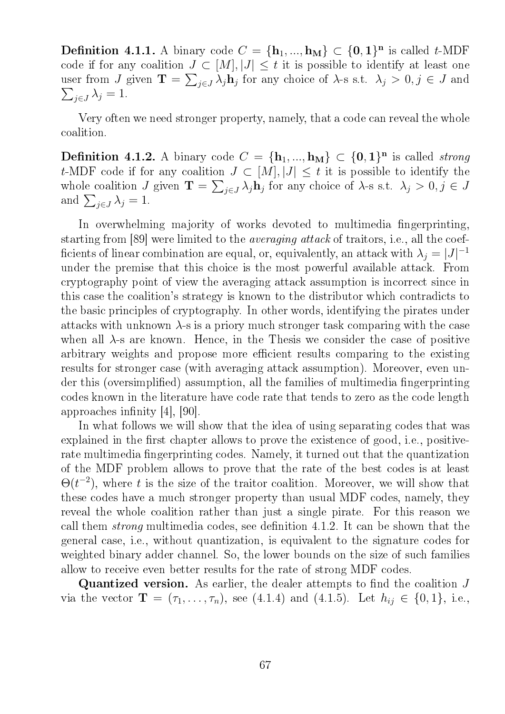**Definition 4.1.1.** A binary code  $C = {\mathbf{h}_1, ..., \mathbf{h}_M} \subset {\mathbf{0}, \mathbf{1}}^n$  is called t-MDF code if for any coalition  $J \subset [M], |J| \leq t$  it is possible to identify at least one user from J given  $\mathbf{T} = \sum_{j\in J} \lambda_j \mathbf{h}_j$  for any choice of  $\lambda$ -s s.t.  $\lambda_j > 0, j \in J$  and  $\sum_{j\in J}\lambda_j=1.$ 

Very often we need stronger property, namely, that a code can reveal the whole coalition.

**Definition 4.1.2.** A binary code  $C = {\mathbf{h}_1, ..., \mathbf{h}_M} \subset {\mathbf{0}, \mathbf{1}}^n$  is called *strong* t-MDF code if for any coalition  $J \subset [M], |J| \leq t$  it is possible to identify the whole coalition J given  $\mathbf{T} = \sum_{j \in J} \lambda_j \mathbf{h}_j$  for any choice of  $\lambda$ -s s.t.  $\lambda_j > 0, j \in J$ and  $\sum_{j\in J}\lambda_j=1$ .

In overwhelming majority of works devoted to multimedia fingerprinting. starting from [89] were limited to the averaging attack of traitors, i.e., all the coef ficients of linear combination are equal, or, equivalently, an attack with  $\lambda_j = |J|^{-1}$ under the premise that this choice is the most powerful available attack. From cryptography point of view the averaging attack assumption is incorrect since in this case the coalition's strategy is known to the distributor which contradicts to the basic principles of cryptography. In other words, identifying the pirates under attacks with unknown  $\lambda$ -s is a priory much stronger task comparing with the case when all  $\lambda$ -s are known. Hence, in the Thesis we consider the case of positive arbitrary weights and propose more efficient results comparing to the existing results for stronger case (with averaging attack assumption). Moreover, even under this (oversimplified) assumption, all the families of multimedia fingerprinting codes known in the literature have code rate that tends to zero as the code length approaches infinity  $|4|, |90|$ .

In what follows we will show that the idea of using separating codes that was explained in the first chapter allows to prove the existence of good, i.e., positiverate multimedia fingerprinting codes. Namely, it turned out that the quantization of the MDF problem allows to prove that the rate of the best codes is at least  $\Theta(t^{-2})$ , where t is the size of the traitor coalition. Moreover, we will show that these codes have a much stronger property than usual MDF codes, namely, they reveal the whole coalition rather than just a single pirate. For this reason we call them *strong* multimedia codes, see definition 4.1.2. It can be shown that the general case, i.e., without quantization, is equivalent to the signature codes for weighted binary adder channel. So, the lower bounds on the size of such families allow to receive even better results for the rate of strong MDF codes.

**Quantized version.** As earlier, the dealer attempts to find the coalition  $J$ via the vector  $\mathbf{T} = (\tau_1, \ldots, \tau_n)$ , see (4.1.4) and (4.1.5). Let  $h_{ij} \in \{0, 1\}$ , i.e.,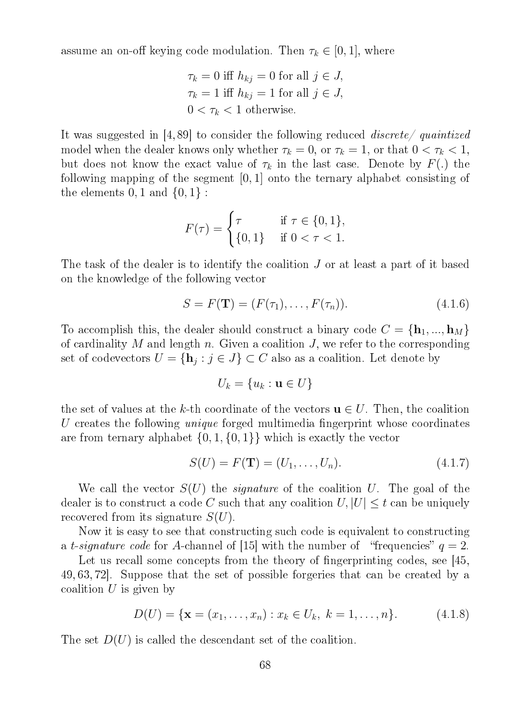assume an on-off keying code modulation. Then  $\tau_k \in [0, 1]$ , where

$$
\tau_k = 0 \text{ iff } h_{kj} = 0 \text{ for all } j \in J,
$$
  

$$
\tau_k = 1 \text{ iff } h_{kj} = 1 \text{ for all } j \in J,
$$
  

$$
0 < \tau_k < 1 \text{ otherwise.}
$$

It was suggested in [4, 89] to consider the following reduced discrete/ quaintized model when the dealer knows only whether  $\tau_k = 0$ , or  $\tau_k = 1$ , or that  $0 < \tau_k < 1$ , but does not know the exact value of  $\tau_k$  in the last case. Denote by  $F(.)$  the following mapping of the segment [0, 1] onto the ternary alphabet consisting of the elements  $0, 1$  and  $\{0, 1\}$ :

$$
F(\tau) = \begin{cases} \tau & \text{if } \tau \in \{0, 1\}, \\ \{0, 1\} & \text{if } 0 < \tau < 1. \end{cases}
$$

The task of the dealer is to identify the coalition J or at least a part of it based on the knowledge of the following vector

$$
S = F(\mathbf{T}) = (F(\tau_1), \dots, F(\tau_n)). \tag{4.1.6}
$$

To accomplish this, the dealer should construct a binary code  $C = {\bf h}_1, ..., {\bf h}_M$ of cardinality M and length n. Given a coalition  $J$ , we refer to the corresponding set of codevectors  $U = \{ \mathbf{h}_j : j \in J \} \subset C$  also as a coalition. Let denote by

$$
U_k = \{u_k : \mathbf{u} \in U\}
$$

the set of values at the k-th coordinate of the vectors  $\mathbf{u} \in U$ . Then, the coalition U creates the following *unique* forged multimedia fingerprint whose coordinates are from ternary alphabet  $\{0, 1, \{0, 1\}\}\$  which is exactly the vector

$$
S(U) = F(\mathbf{T}) = (U_1, \dots, U_n).
$$
 (4.1.7)

We call the vector  $S(U)$  the *signature* of the coalition U. The goal of the dealer is to construct a code C such that any coalition  $U, |U| \leq t$  can be uniquely recovered from its signature  $S(U)$ .

Now it is easy to see that constructing such code is equivalent to constructing a t-signature code for A-channel of [15] with the number of "frequencies"  $q = 2$ .

Let us recall some concepts from the theory of fingerprinting codes, see [45, 49, 63, 72]. Suppose that the set of possible forgeries that can be created by a coalition  $U$  is given by

$$
D(U) = \{ \mathbf{x} = (x_1, \dots, x_n) : x_k \in U_k, \ k = 1, \dots, n \}. \tag{4.1.8}
$$

The set  $D(U)$  is called the descendant set of the coalition.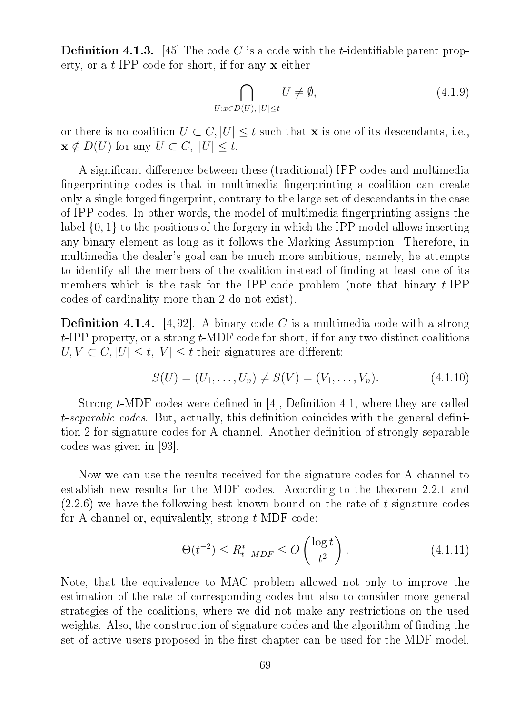**Definition 4.1.3.** [45] The code C is a code with the *t*-identifiable parent property, or a  $t$ -IPP code for short, if for any  $x$  either

$$
\bigcap_{U:x\in D(U),\;|U|\leq t} U\neq\emptyset,\tag{4.1.9}
$$

or there is no coalition  $U \subset C, |U| \leq t$  such that **x** is one of its descendants, i.e.,  $\mathbf{x} \notin D(U)$  for any  $U \subset C$ ,  $|U| \leq t$ .

A significant difference between these (traditional) IPP codes and multimedia fingerprinting codes is that in multimedia fingerprinting a coalition can create only a single forged fingerprint, contrary to the large set of descendants in the case of IPP-codes. In other words, the model of multimedia fingerprinting assigns the label {0, 1} to the positions of the forgery in which the IPP model allows inserting any binary element as long as it follows the Marking Assumption. Therefore, in multimedia the dealer's goal can be much more ambitious, namely, he attempts to identify all the members of the coalition instead of finding at least one of its members which is the task for the IPP-code problem (note that binary  $t$ -IPP codes of cardinality more than 2 do not exist).

**Definition 4.1.4.** [4,92]. A binary code C is a multimedia code with a strong  $t$ -IPP property, or a strong  $t$ -MDF code for short, if for any two distinct coalitions  $U, V \subset C, |U| \leq t, |V| \leq t$  their signatures are different:

$$
S(U) = (U_1, \dots, U_n) \neq S(V) = (V_1, \dots, V_n). \tag{4.1.10}
$$

Strong  $t$ -MDF codes were defined in [4], Definition 4.1, where they are called t-separable codes. But, actually, this definition coincides with the general definition 2 for signature codes for A-channel. Another definition of strongly separable codes was given in [93].

Now we can use the results received for the signature codes for A-channel to establish new results for the MDF codes. According to the theorem 2.2.1 and  $(2.2.6)$  we have the following best known bound on the rate of t-signature codes for A-channel or, equivalently, strong t-MDF code:

$$
\Theta(t^{-2}) \le R_{t-MDF}^* \le O\left(\frac{\log t}{t^2}\right). \tag{4.1.11}
$$

Note, that the equivalence to MAC problem allowed not only to improve the estimation of the rate of corresponding codes but also to consider more general strategies of the coalitions, where we did not make any restrictions on the used weights. Also, the construction of signature codes and the algorithm of finding the set of active users proposed in the first chapter can be used for the MDF model.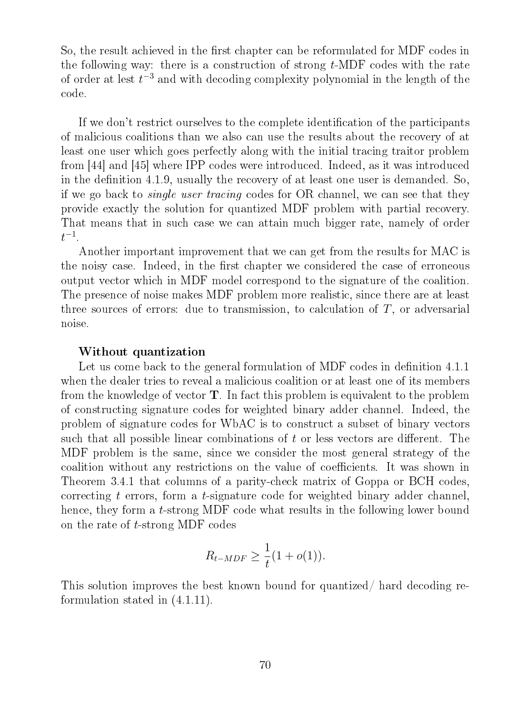So, the result achieved in the first chapter can be reformulated for MDF codes in the following way: there is a construction of strong  $t$ -MDF codes with the rate of order at lest  $t^{-3}$  and with decoding complexity polynomial in the length of the code.

If we don't restrict ourselves to the complete identification of the participants of malicious coalitions than we also can use the results about the recovery of at least one user which goes perfectly along with the initial tracing traitor problem from [44] and [45] where IPP codes were introduced. Indeed, as it was introduced in the definition 4.1.9, usually the recovery of at least one user is demanded. So, if we go back to single user tracing codes for OR channel, we can see that they provide exactly the solution for quantized MDF problem with partial recovery. That means that in such case we can attain much bigger rate, namely of order  $t^{-1}$ .

Another important improvement that we can get from the results for MAC is the noisy case. Indeed, in the first chapter we considered the case of erroneous output vector which in MDF model correspond to the signature of the coalition. The presence of noise makes MDF problem more realistic, since there are at least three sources of errors: due to transmission, to calculation of  $T$ , or adversarial noise.

#### Without quantization

Let us come back to the general formulation of MDF codes in definition 4.1.1 when the dealer tries to reveal a malicious coalition or at least one of its members from the knowledge of vector  $T$ . In fact this problem is equivalent to the problem of constructing signature codes for weighted binary adder channel. Indeed, the problem of signature codes for WbAC is to construct a subset of binary vectors such that all possible linear combinations of  $t$  or less vectors are different. The MDF problem is the same, since we consider the most general strategy of the coalition without any restrictions on the value of coefficients. It was shown in Theorem 3.4.1 that columns of a parity-check matrix of Goppa or BCH codes, correcting t errors, form a t-signature code for weighted binary adder channel, hence, they form a t-strong MDF code what results in the following lower bound on the rate of t-strong MDF codes

$$
R_{t-MDF} \geq \frac{1}{t}(1+o(1)).
$$

This solution improves the best known bound for quantized/ hard decoding reformulation stated in (4.1.11).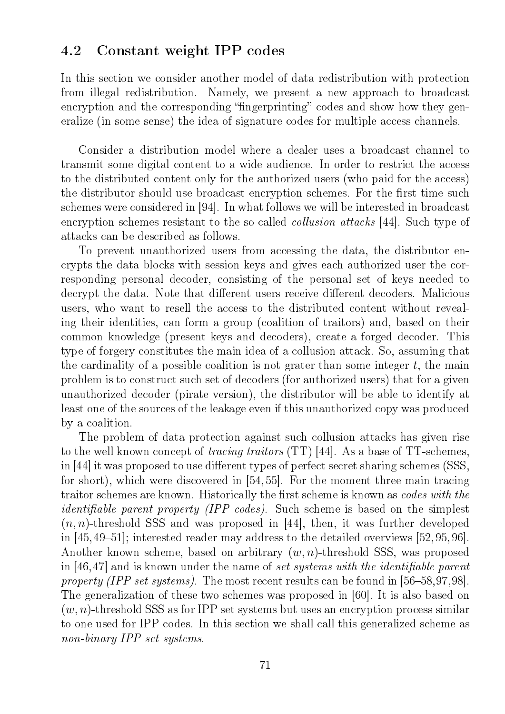## 4.2 Constant weight IPP codes

In this section we consider another model of data redistribution with protection from illegal redistribution. Namely, we present a new approach to broadcast encryption and the corresponding "fingerprinting" codes and show how they generalize (in some sense) the idea of signature codes for multiple access channels.

Consider a distribution model where a dealer uses a broadcast channel to transmit some digital content to a wide audience. In order to restrict the access to the distributed content only for the authorized users (who paid for the access) the distributor should use broadcast encryption schemes. For the first time such schemes were considered in [94]. In what follows we will be interested in broadcast encryption schemes resistant to the so-called *collusion attacks* [44]. Such type of attacks can be described as follows.

To prevent unauthorized users from accessing the data, the distributor encrypts the data blocks with session keys and gives each authorized user the corresponding personal decoder, consisting of the personal set of keys needed to decrypt the data. Note that different users receive different decoders. Malicious users, who want to resell the access to the distributed content without revealing their identities, can form a group (coalition of traitors) and, based on their common knowledge (present keys and decoders), create a forged decoder. This type of forgery constitutes the main idea of a collusion attack. So, assuming that the cardinality of a possible coalition is not grater than some integer  $t$ , the main problem is to construct such set of decoders (for authorized users) that for a given unauthorized decoder (pirate version), the distributor will be able to identify at least one of the sources of the leakage even if this unauthorized copy was produced by a coalition.

The problem of data protection against such collusion attacks has given rise to the well known concept of tracing traitors (TT) [44]. As a base of TT-schemes, in [44] it was proposed to use different types of perfect secret sharing schemes (SSS, for short), which were discovered in [54, 55]. For the moment three main tracing traitor schemes are known. Historically the first scheme is known as *codes with the identifiable parent property (IPP codes)*. Such scheme is based on the simplest  $(n, n)$ -threshold SSS and was proposed in [44], then, it was further developed in  $[45, 49-51]$ ; interested reader may address to the detailed overviews  $[52, 95, 96]$ . Another known scheme, based on arbitrary  $(w, n)$ -threshold SSS, was proposed in  $[46, 47]$  and is known under the name of set systems with the identifiable parent property (IPP set systems). The most recent results can be found in  $[56-58,97,98]$ . The generalization of these two schemes was proposed in [60]. It is also based on  $(w, n)$ -threshold SSS as for IPP set systems but uses an encryption process similar to one used for IPP codes. In this section we shall call this generalized scheme as non-binary IPP set systems.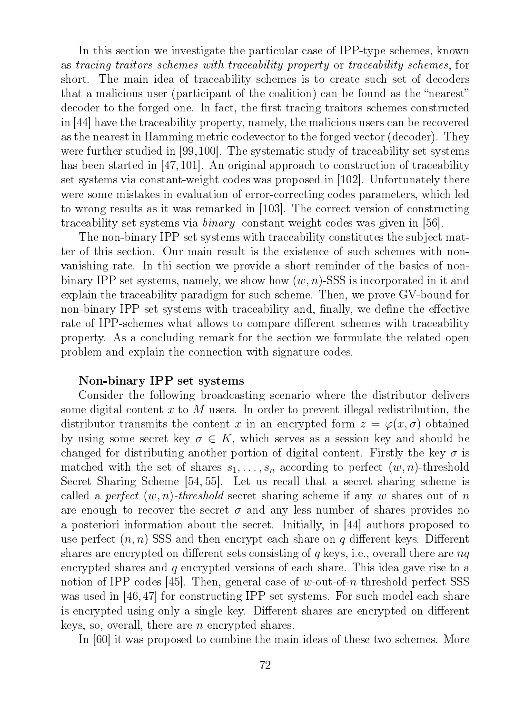In this section we investigate the particular case of IPP-type schemes, known as tracing traitors schemes with traceability property or traceability schemes, for short. The main idea of traceability schemes is to create such set of decoders that a malicious user (participant of the coalition) can be found as the "nearest" decoder to the forged one. In fact, the first tracing traitors schemes constructed in [44] have the traceability property, namely, the malicious users can be recovered as the nearest in Hamming metric codevector to the forged vector (decoder). They were further studied in [99,100]. The systematic study of traceability set systems has been started in [47,101]. An original approach to construction of traceability set systems via constant-weight codes was proposed in [102]. Unfortunately there were some mistakes in evaluation of error-correcting codes parameters, which led to wrong results as it was remarked in [103]. The correct version of constructing traceability set systems via binary constant-weight codes was given in [56].

The non-binary IPP set systems with traceability constitutes the subject matter of this section. Our main result is the existence of such schemes with nonvanishing rate. In thi section we provide a short reminder of the basics of nonbinary IPP set systems, namely, we show how  $(w, n)$ -SSS is incorporated in it and explain the traceability paradigm for such scheme. Then, we prove GV-bound for non-binary IPP set systems with traceability and, finally, we define the effective rate of IPP-schemes what allows to compare different schemes with traceability property. As a concluding remark for the section we formulate the related open problem and explain the connection with signature codes.

#### Non-binary IPP set systems

Consider the following broadcasting scenario where the distributor delivers some digital content x to M users. In order to prevent illegal redistribution, the distributor transmits the content x in an encrypted form  $z = \varphi(x, \sigma)$  obtained by using some secret key  $\sigma \in K$ , which serves as a session key and should be changed for distributing another portion of digital content. Firstly the key  $\sigma$  is matched with the set of shares  $s_1, \ldots, s_n$  according to perfect  $(w, n)$ -threshold Secret Sharing Scheme [54, 55]. Let us recall that a secret sharing scheme is called a *perfect*  $(w, n)$ -threshold secret sharing scheme if any w shares out of n are enough to recover the secret  $\sigma$  and any less number of shares provides no a posteriori information about the secret. Initially, in [44] authors proposed to use perfect  $(n, n)$ -SSS and then encrypt each share on q different keys. Different shares are encrypted on different sets consisting of q keys, i.e., overall there are  $nq$ encrypted shares and q encrypted versions of each share. This idea gave rise to a notion of IPP codes [45]. Then, general case of w-out-of-n threshold perfect SSS was used in [46, 47] for constructing IPP set systems. For such model each share is encrypted using only a single key. Different shares are encrypted on different keys, so, overall, there are  $n$  encrypted shares.

In [60] it was proposed to combine the main ideas of these two schemes. More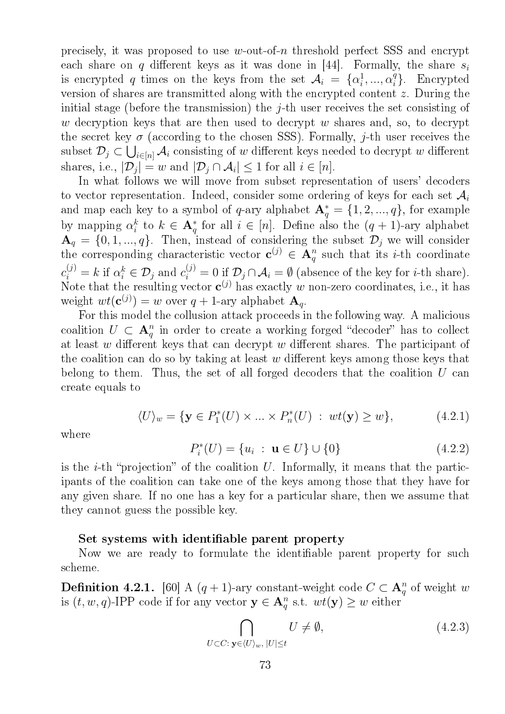precisely, it was proposed to use w-out-of-n threshold perfect SSS and encrypt each share on q different keys as it was done in [44]. Formally, the share  $s_i$ is encrypted q times on the keys from the set  $\mathcal{A}_i = \{ \alpha_i^1 \}$  $i^1, ..., \alpha_i^q$  $i$ <sup>q</sup>}. Encrypted version of shares are transmitted along with the encrypted content z. During the initial stage (before the transmission) the  $j$ -th user receives the set consisting of w decryption keys that are then used to decrypt  $w$  shares and, so, to decrypt the secret key  $\sigma$  (according to the chosen SSS). Formally, j-th user receives the subset  $\mathcal{D}_j\subset\bigcup_{i\in[n]}\mathcal{A}_i$  consisting of  $w$  different keys needed to decrypt  $w$  different shares, i.e.,  $|\mathcal{D}_j| = w$  and  $|\mathcal{D}_j \cap \mathcal{A}_i| \leq 1$  for all  $i \in [n]$ .

In what follows we will move from subset representation of users' decoders to vector representation. Indeed, consider some ordering of keys for each set  $\mathcal{A}_i$ and map each key to a symbol of q-ary alphabet  $\mathbf{A}_q^* = \{1, 2, ..., q\}$ , for example by mapping  $\alpha_i^k$  $i<sup>k</sup>$  to  $k \in \mathbf{A}^*_q$  for all  $i \in [n]$ . Define also the  $(q + 1)$ -ary alphabet  $\mathbf{A}_q = \{0, 1, ..., q\}$ . Then, instead of considering the subset  $\mathcal{D}_j$  we will consider the corresponding characteristic vector  $c^{(j)} \in A_q^n$  such that its *i*-th coordinate  $c_i^{(j)} = k$  if  $\alpha_i^k \in \mathcal{D}_j$  and  $c_i^{(j)} = 0$  if  $\mathcal{D}_j \cap \mathcal{A}_i = \emptyset$  (absence of the key for *i*-th share). Note that the resulting vector  $c^{(j)}$  has exactly w non-zero coordinates, i.e., it has weight  $wt(\mathbf{c}^{(j)}) = w$  over  $q + 1$ -ary alphabet  $\mathbf{A}_q$ .

For this model the collusion attack proceeds in the following way. A malicious coalition  $U \subset \mathbf{A}_q^n$  in order to create a working forged "decoder" has to collect at least  $w$  different keys that can decrypt  $w$  different shares. The participant of the coalition can do so by taking at least  $w$  different keys among those keys that belong to them. Thus, the set of all forged decoders that the coalition  $U$  can create equals to

$$
\langle U \rangle_w = \{ \mathbf{y} \in P_1^*(U) \times \dots \times P_n^*(U) \; : \; wt(\mathbf{y}) \ge w \},\tag{4.2.1}
$$

where

$$
P_i^*(U) = \{u_i : \mathbf{u} \in U\} \cup \{0\}
$$
 (4.2.2)

is the *i*-th "projection" of the coalition  $U$ . Informally, it means that the participants of the coalition can take one of the keys among those that they have for any given share. If no one has a key for a particular share, then we assume that they cannot guess the possible key.

#### Set systems with identifiable parent property

Now we are ready to formulate the identifiable parent property for such scheme.

**Definition 4.2.1.** [60] A  $(q + 1)$ -ary constant-weight code  $C \subset \mathbf{A}_q^n$  of weight w is  $(t, w, q)$ -IPP code if for any vector  $y \in A_q^n$  s.t.  $wt(y) \geq w$  either

$$
\bigcap_{U \subset C: \mathbf{y} \in \langle U \rangle_w, \; |U| \le t} U \ne \emptyset,
$$
\n(4.2.3)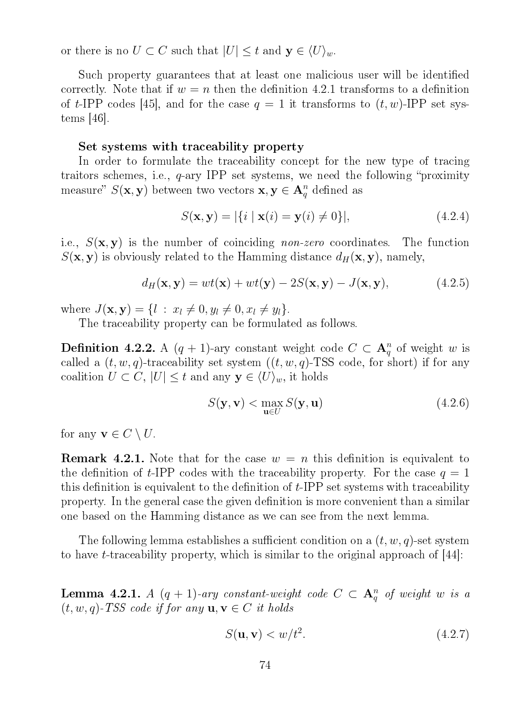or there is no  $U \subset C$  such that  $|U| \leq t$  and  $y \in \langle U \rangle_w$ .

Such property guarantees that at least one malicious user will be identified correctly. Note that if  $w = n$  then the definition 4.2.1 transforms to a definition of t-IPP codes [45], and for the case  $q = 1$  it transforms to  $(t, w)$ -IPP set systems [46].

#### Set systems with traceability property

In order to formulate the traceability concept for the new type of tracing traitors schemes, i.e.,  $q$ -ary IPP set systems, we need the following "proximity" measure"  $S(\mathbf{x}, \mathbf{y})$  between two vectors  $\mathbf{x}, \mathbf{y} \in \mathbf{A}_q^n$  defined as

$$
S(\mathbf{x}, \mathbf{y}) = |\{i \mid \mathbf{x}(i) = \mathbf{y}(i) \neq 0\}|,
$$
\n(4.2.4)

i.e.,  $S(\mathbf{x}, \mathbf{y})$  is the number of coinciding non-zero coordinates. The function  $S(\mathbf{x}, \mathbf{y})$  is obviously related to the Hamming distance  $d_H(\mathbf{x}, \mathbf{y})$ , namely,

$$
d_H(\mathbf{x}, \mathbf{y}) = wt(\mathbf{x}) + wt(\mathbf{y}) - 2S(\mathbf{x}, \mathbf{y}) - J(\mathbf{x}, \mathbf{y}),
$$
(4.2.5)

where  $J(\mathbf{x}, \mathbf{y}) = \{l : x_l \neq 0, y_l \neq 0, x_l \neq y_l\}.$ 

The traceability property can be formulated as follows.

**Definition 4.2.2.** A  $(q + 1)$ -ary constant weight code  $C \subset \mathbf{A}_q^n$  of weight w is called a  $(t, w, q)$ -traceability set system  $((t, w, q)$ -TSS code, for short) if for any coalition  $U \subset C$ ,  $|U| \leq t$  and any  $y \in \langle U \rangle_w$ , it holds

$$
S(\mathbf{y}, \mathbf{v}) < \max_{\mathbf{u} \in U} S(\mathbf{y}, \mathbf{u}) \tag{4.2.6}
$$

for any  $\mathbf{v} \in C \setminus U$ .

**Remark 4.2.1.** Note that for the case  $w = n$  this definition is equivalent to the definition of t-IPP codes with the traceability property. For the case  $q = 1$ this definition is equivalent to the definition of  $t$ -IPP set systems with traceability property. In the general case the given definition is more convenient than a similar one based on the Hamming distance as we can see from the next lemma.

The following lemma establishes a sufficient condition on a  $(t, w, q)$ -set system to have *t*-traceability property, which is similar to the original approach of  $|44|$ :

**Lemma 4.2.1.** A  $(q + 1)$ -ary constant-weight code  $C \subset \mathbf{A}_q^n$  of weight w is a  $(t, w, q)$ -TSS code if for any  $u, v \in C$  it holds

$$
S(\mathbf{u}, \mathbf{v}) < w/t^2. \tag{4.2.7}
$$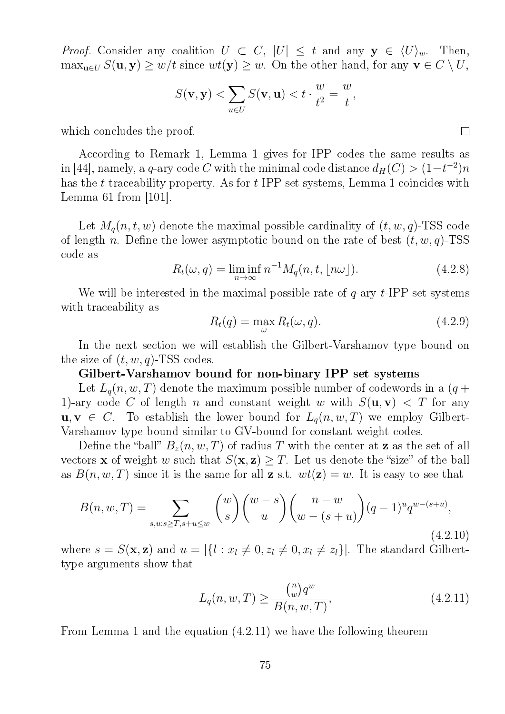*Proof.* Consider any coalition  $U \subset C$ ,  $|U| \leq t$  and any  $y \in \langle U \rangle_w$ . Then,  $\max_{\mathbf{u}\in U} S(\mathbf{u}, \mathbf{y}) \geq w/t$  since  $wt(\mathbf{y}) \geq w$ . On the other hand, for any  $\mathbf{v} \in C \setminus U$ ,

$$
S(\mathbf{v}, \mathbf{y}) < \sum_{u \in U} S(\mathbf{v}, \mathbf{u}) < t \cdot \frac{w}{t^2} = \frac{w}{t},
$$

which concludes the proof.

According to Remark 1, Lemma 1 gives for IPP codes the same results as in [44], namely, a q-ary code  $C$  with the minimal code distance  $d_H(C) > (1-t^{-2})n$ has the *t*-traceability property. As for *t*-IPP set systems, Lemma 1 coincides with Lemma 61 from  $|101|$ .

Let  $M_q(n, t, w)$  denote the maximal possible cardinality of  $(t, w, q)$ -TSS code of length n. Define the lower asymptotic bound on the rate of best  $(t, w, q)$ -TSS code as

$$
R_t(\omega, q) = \liminf_{n \to \infty} n^{-1} M_q(n, t, \lfloor n\omega \rfloor). \tag{4.2.8}
$$

We will be interested in the maximal possible rate of  $q$ -ary  $t$ -IPP set systems with traceability as

$$
R_t(q) = \max_{\omega} R_t(\omega, q). \tag{4.2.9}
$$

In the next section we will establish the Gilbert-Varshamov type bound on the size of  $(t, w, q)$ -TSS codes.

#### Gilbert-Varshamov bound for non-binary IPP set systems

Let  $L_q(n, w, T)$  denote the maximum possible number of codewords in a  $(q +$ 1)-ary code C of length n and constant weight w with  $S(\mathbf{u}, \mathbf{v}) < T$  for any  $u, v \in C$ . To establish the lower bound for  $L_q(n, w, T)$  we employ Gilbert-Varshamov type bound similar to GV-bound for constant weight codes.

Define the "ball"  $B_z(n, w, T)$  of radius T with the center at **z** as the set of all vectors **x** of weight w such that  $S(\mathbf{x}, \mathbf{z}) \geq T$ . Let us denote the "size" of the ball as  $B(n, w, T)$  since it is the same for all **z** s.t.  $wt(\mathbf{z}) = w$ . It is easy to see that

$$
B(n, w, T) = \sum_{s, w: s \ge T, s + u \le w} \binom{w}{s} \binom{w - s}{u} \binom{n - w}{w - (s + u)} (q - 1)^u q^{w - (s + u)},
$$
\n(4.2.10)

where  $s = S(\mathbf{x}, \mathbf{z})$  and  $u = |\{l : x_l \neq 0, z_l \neq 0, x_l \neq z_l\}|$ . The standard Gilberttype arguments show that

$$
L_q(n, w, T) \ge \frac{\binom{n}{w}q^w}{B(n, w, T)},
$$
\n(4.2.11)

From Lemma 1 and the equation (4.2.11) we have the following theorem

 $\Box$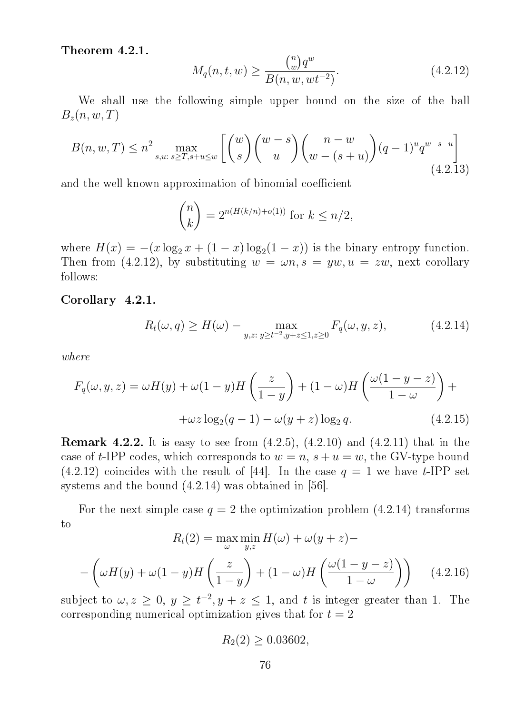Theorem 4.2.1.

$$
M_q(n, t, w) \ge \frac{\binom{n}{w}q^w}{B(n, w, wt^{-2})}.
$$
\n(4.2.12)

We shall use the following simple upper bound on the size of the ball  $B_z(n, w, T)$ 

$$
B(n, w, T) \le n^2 \max_{s, w, s \ge T, s + u \le w} \left[ \binom{w}{s} \binom{w - s}{u} \binom{n - w}{w - (s + u)} (q - 1)^u q^{w - s - u} \right]
$$
(4.2.13)

and the well known approximation of binomial coefficient

$$
\binom{n}{k} = 2^{n(H(k/n) + o(1))} \text{ for } k \le n/2,
$$

where  $H(x) = -(x \log_2 x + (1 - x) \log_2(1 - x))$  is the binary entropy function. Then from (4.2.12), by substituting  $w = \omega n$ ,  $s = yw$ ,  $u = zw$ , next corollary follows:

Corollary 4.2.1.

$$
R_t(\omega, q) \ge H(\omega) - \max_{y, z: y \ge t^{-2}, y+z \le 1, z \ge 0} F_q(\omega, y, z), \tag{4.2.14}
$$

where

$$
F_q(\omega, y, z) = \omega H(y) + \omega (1 - y)H\left(\frac{z}{1 - y}\right) + (1 - \omega)H\left(\frac{\omega (1 - y - z)}{1 - \omega}\right) +
$$

$$
+\omega z \log_2(q - 1) - \omega(y + z) \log_2 q.
$$
(4.2.15)

**Remark 4.2.2.** It is easy to see from  $(4.2.5)$ ,  $(4.2.10)$  and  $(4.2.11)$  that in the case of t-IPP codes, which corresponds to  $w = n$ ,  $s + u = w$ , the GV-type bound  $(4.2.12)$  coincides with the result of [44]. In the case  $q = 1$  we have t-IPP set systems and the bound (4.2.14) was obtained in [56].

For the next simple case  $q = 2$  the optimization problem (4.2.14) transforms to

$$
R_t(2) = \max_{\omega} \min_{y,z} H(\omega) + \omega(y+z) -
$$

$$
-\left(\omega H(y) + \omega (1-y)H\left(\frac{z}{1-y}\right) + (1-\omega)H\left(\frac{\omega(1-y-z)}{1-\omega}\right)\right) \quad (4.2.16)
$$

subject to  $\omega, z \geq 0, y \geq t^{-2}, y + z \leq 1$ , and t is integer greater than 1. The corresponding numerical optimization gives that for  $t = 2$ 

$$
R_2(2) \ge 0.03602,
$$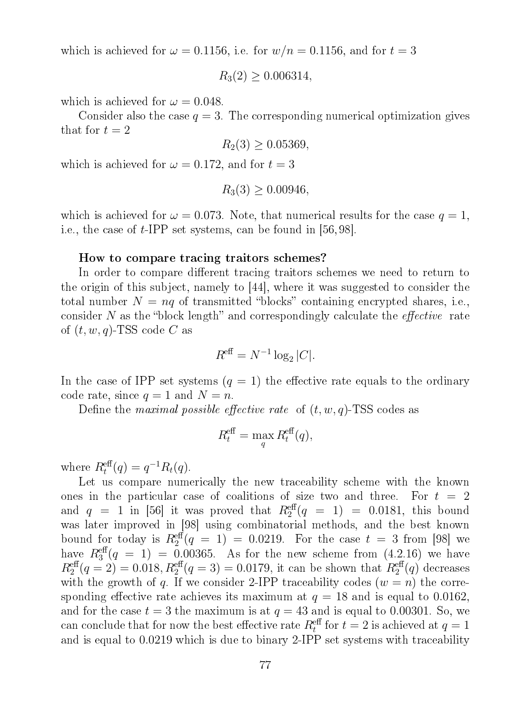which is achieved for  $\omega = 0.1156$ , i.e. for  $w/n = 0.1156$ , and for  $t = 3$ 

 $R_3(2) \geq 0.006314$ ,

which is achieved for  $\omega = 0.048$ .

Consider also the case  $q = 3$ . The corresponding numerical optimization gives that for  $t = 2$ 

$$
R_2(3) \ge 0.05369,
$$

which is achieved for  $\omega = 0.172$ , and for  $t = 3$ 

$$
R_3(3) \ge 0.00946,
$$

which is achieved for  $\omega = 0.073$ . Note, that numerical results for the case  $q = 1$ , i.e., the case of t-IPP set systems, can be found in [56, 98].

#### How to compare tracing traitors schemes?

In order to compare different tracing traitors schemes we need to return to the origin of this subject, namely to [44], where it was suggested to consider the total number  $N = nq$  of transmitted "blocks" containing encrypted shares, i.e., consider N as the "block length" and correspondingly calculate the *effective* rate of  $(t, w, q)$ -TSS code C as

$$
R^{\text{eff}} = N^{-1} \log_2 |C|.
$$

In the case of IPP set systems  $(q = 1)$  the effective rate equals to the ordinary code rate, since  $q = 1$  and  $N = n$ .

Define the *maximal possible effective rate* of  $(t, w, q)$ -TSS codes as

$$
R_t^{\text{eff}} = \max_{q} R_t^{\text{eff}}(q),
$$

where  $R_t^{\text{eff}}(q) = q^{-1} R_t(q)$ .

Let us compare numerically the new traceability scheme with the known ones in the particular case of coalitions of size two and three. For  $t = 2$ and  $q = 1$  in [56] it was proved that  $R_2^{\text{eff}}(q = 1) = 0.0181$ , this bound was later improved in [98] using combinatorial methods, and the best known bound for today is  $R_2^{\text{eff}}(q = 1) = 0.0219$ . For the case  $t = 3$  from [98] we have  $R_3^{\text{eff}}(q = 1) = 0.00365$ . As for the new scheme from  $(4.2.16)$  we have  $R_2^{\text{eff}}(q=2) = 0.018, R_2^{\text{eff}}(q=3) = 0.0179$ , it can be shown that  $R_2^{\text{eff}}(q)$  decreases with the growth of q. If we consider 2-IPP traceability codes  $(w = n)$  the corresponding effective rate achieves its maximum at  $q = 18$  and is equal to 0.0162, and for the case  $t = 3$  the maximum is at  $q = 43$  and is equal to 0.00301. So, we can conclude that for now the best effective rate  $R_t^{\text{eff}}$  for  $t = 2$  is achieved at  $q = 1$ and is equal to 0.0219 which is due to binary 2-IPP set systems with traceability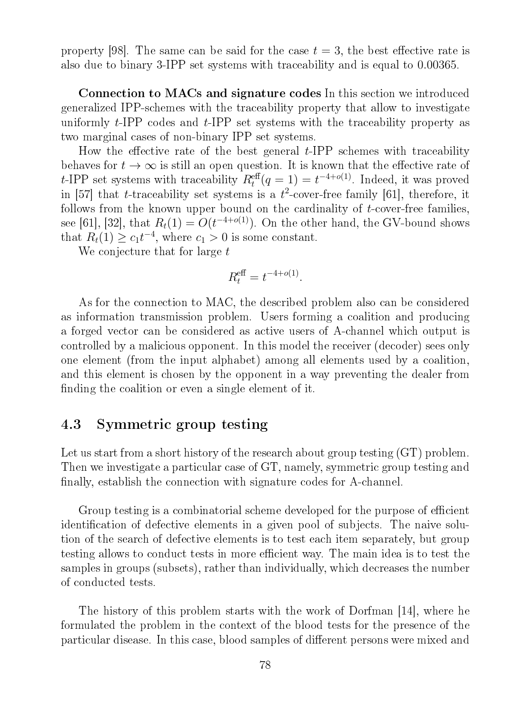property [98]. The same can be said for the case  $t = 3$ , the best effective rate is also due to binary 3-IPP set systems with traceability and is equal to 0.00365.

Connection to MACs and signature codes In this section we introduced generalized IPP-schemes with the traceability property that allow to investigate uniformly  $t$ -IPP codes and  $t$ -IPP set systems with the traceability property as two marginal cases of non-binary IPP set systems.

How the effective rate of the best general  $t$ -IPP schemes with traceability behaves for  $t \to \infty$  is still an open question. It is known that the effective rate of t-IPP set systems with traceability  $R_t^{\text{eff}}(q=1) = t^{-4+o(1)}$ . Indeed, it was proved in [57] that *t*-traceability set systems is a  $t^2$ -cover-free family [61], therefore, it follows from the known upper bound on the cardinality of t-cover-free families, see [61], [32], that  $R_t(1) = O(t^{-4+o(1)})$ . On the other hand, the GV-bound shows that  $R_t(1) \geq c_1 t^{-4}$ , where  $c_1 > 0$  is some constant.

We conjecture that for large t

$$
R_t^{\text{eff}} = t^{-4+o(1)}.
$$

As for the connection to MAC, the described problem also can be considered as information transmission problem. Users forming a coalition and producing a forged vector can be considered as active users of A-channel which output is controlled by a malicious opponent. In this model the receiver (decoder) sees only one element (from the input alphabet) among all elements used by a coalition, and this element is chosen by the opponent in a way preventing the dealer from finding the coalition or even a single element of it.

### 4.3 Symmetric group testing

Let us start from a short history of the research about group testing  $(T)$  problem. Then we investigate a particular case of GT, namely, symmetric group testing and finally, establish the connection with signature codes for A-channel.

Group testing is a combinatorial scheme developed for the purpose of efficient identification of defective elements in a given pool of subjects. The naive solution of the search of defective elements is to test each item separately, but group testing allows to conduct tests in more efficient way. The main idea is to test the samples in groups (subsets), rather than individually, which decreases the number of conducted tests.

The history of this problem starts with the work of Dorfman [14], where he formulated the problem in the context of the blood tests for the presence of the particular disease. In this case, blood samples of different persons were mixed and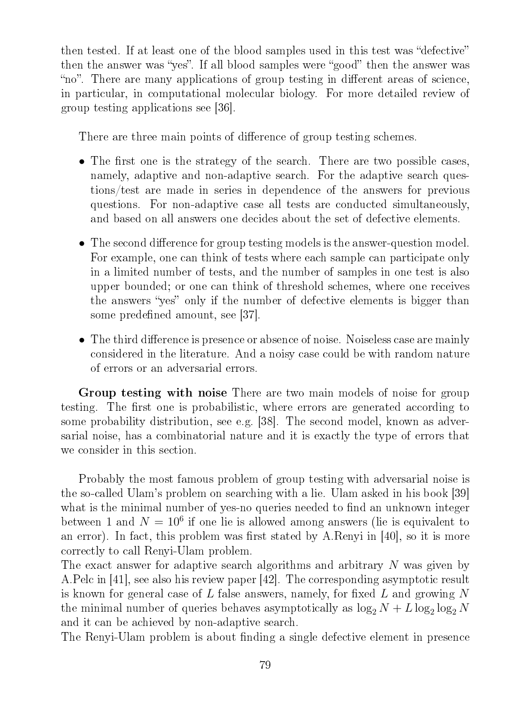then tested. If at least one of the blood samples used in this test was "defective" then the answer was "yes". If all blood samples were "good" then the answer was "no". There are many applications of group testing in different areas of science, in particular, in computational molecular biology. For more detailed review of group testing applications see [36].

There are three main points of difference of group testing schemes.

- The first one is the strategy of the search. There are two possible cases, namely, adaptive and non-adaptive search. For the adaptive search questions/test are made in series in dependence of the answers for previous questions. For non-adaptive case all tests are conducted simultaneously, and based on all answers one decides about the set of defective elements.
- The second difference for group testing models is the answer-question model. For example, one can think of tests where each sample can participate only in a limited number of tests, and the number of samples in one test is also upper bounded; or one can think of threshold schemes, where one receives the answers "yes" only if the number of defective elements is bigger than some predefined amount, see [37].
- The third difference is presence or absence of noise. Noiseless case are mainly considered in the literature. And a noisy case could be with random nature of errors or an adversarial errors.

Group testing with noise There are two main models of noise for group testing. The first one is probabilistic, where errors are generated according to some probability distribution, see e.g. [38]. The second model, known as adversarial noise, has a combinatorial nature and it is exactly the type of errors that we consider in this section.

Probably the most famous problem of group testing with adversarial noise is the so-called Ulam's problem on searching with a lie. Ulam asked in his book [39] what is the minimal number of yes-no queries needed to find an unknown integer between 1 and  $N = 10^6$  if one lie is allowed among answers (lie is equivalent to an error). In fact, this problem was first stated by A.Renyi in  $[40]$ , so it is more correctly to call Renyi-Ulam problem.

The exact answer for adaptive search algorithms and arbitrary N was given by A.Pelc in [41], see also his review paper [42]. The corresponding asymptotic result is known for general case of L false answers, namely, for fixed L and growing  $N$ the minimal number of queries behaves asymptotically as  $\log_2 N + L \log_2 \log_2 N$ and it can be achieved by non-adaptive search.

The Renyi-Ulam problem is about finding a single defective element in presence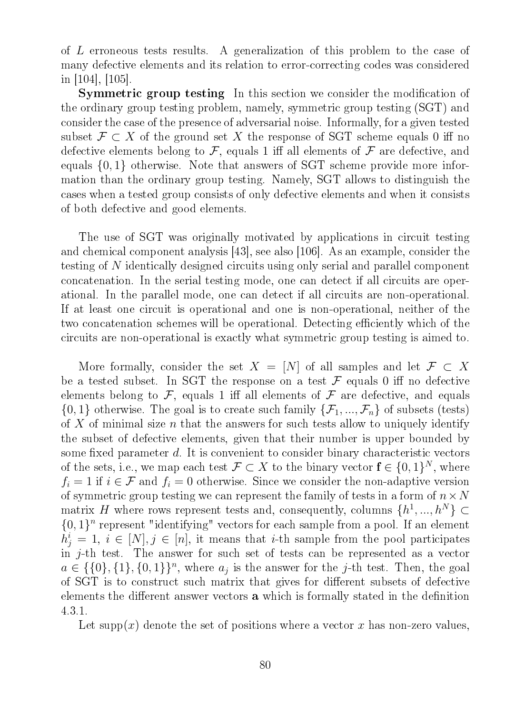of L erroneous tests results. A generalization of this problem to the case of many defective elements and its relation to error-correcting codes was considered in [104], [105].

**Symmetric group testing** In this section we consider the modification of the ordinary group testing problem, namely, symmetric group testing (SGT) and consider the case of the presence of adversarial noise. Informally, for a given tested subset  $\mathcal{F} \subset X$  of the ground set X the response of SGT scheme equals 0 iff no defective elements belong to  $\mathcal F$ , equals 1 iff all elements of  $\mathcal F$  are defective, and equals {0, 1} otherwise. Note that answers of SGT scheme provide more information than the ordinary group testing. Namely, SGT allows to distinguish the cases when a tested group consists of only defective elements and when it consists of both defective and good elements.

The use of SGT was originally motivated by applications in circuit testing and chemical component analysis [43], see also [106]. As an example, consider the testing of N identically designed circuits using only serial and parallel component concatenation. In the serial testing mode, one can detect if all circuits are operational. In the parallel mode, one can detect if all circuits are non-operational. If at least one circuit is operational and one is non-operational, neither of the two concatenation schemes will be operational. Detecting efficiently which of the circuits are non-operational is exactly what symmetric group testing is aimed to.

More formally, consider the set  $X = [N]$  of all samples and let  $\mathcal{F} \subset X$ be a tested subset. In SGT the response on a test  $\mathcal F$  equals 0 iff no defective elements belong to  $\mathcal F$ , equals 1 iff all elements of  $\mathcal F$  are defective, and equals  $\{0,1\}$  otherwise. The goal is to create such family  $\{\mathcal{F}_1, ..., \mathcal{F}_n\}$  of subsets (tests) of X of minimal size n that the answers for such tests allow to uniquely identify the subset of defective elements, given that their number is upper bounded by some fixed parameter  $d$ . It is convenient to consider binary characteristic vectors of the sets, i.e., we map each test  $\mathcal{F} \subset X$  to the binary vector  $\mathbf{f} \in \{0,1\}^N$ , where  $f_i = 1$  if  $i \in \mathcal{F}$  and  $f_i = 0$  otherwise. Since we consider the non-adaptive version of symmetric group testing we can represent the family of tests in a form of  $n \times N$ matrix H where rows represent tests and, consequently, columns  $\{h^1, ..., h^N\} \subset$  $\{0,1\}^n$  represent "identifying" vectors for each sample from a pool. If an element  $h_j^i = 1, i \in [N], j \in [n]$ , it means that *i*-th sample from the pool participates in j-th test. The answer for such set of tests can be represented as a vector  $a \in \{\{0\}, \{1\}, \{0,1\}\}^n$ , where  $a_j$  is the answer for the j-th test. Then, the goal of SGT is to construct such matrix that gives for different subsets of defective elements the different answer vectors **a** which is formally stated in the definition 4.3.1.

Let supp(x) denote the set of positions where a vector x has non-zero values,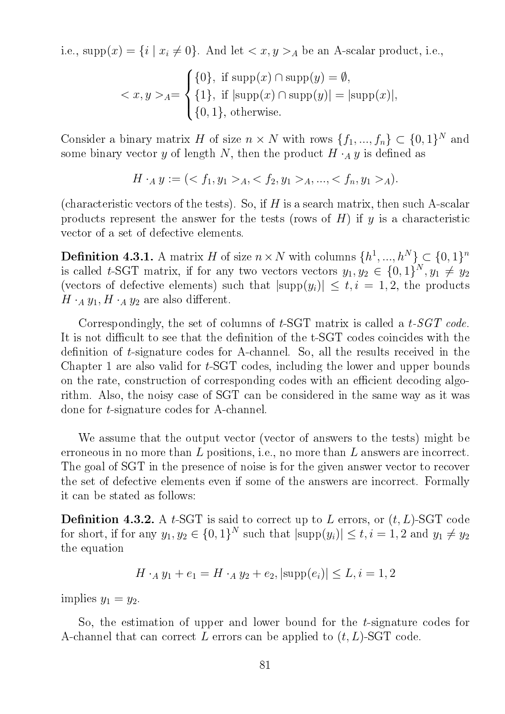i.e.,  $\text{supp}(x) = \{i \mid x_i \neq 0\}$ . And let  $\langle x, y \rangle_A$  be an A-scalar product, i.e.,

$$
\langle x, y \rangle_{A} = \begin{cases} \{0\}, & \text{if } \text{supp}(x) \cap \text{supp}(y) = \emptyset, \\ \{1\}, & \text{if } |\text{supp}(x) \cap \text{supp}(y)| = |\text{supp}(x)|, \\ \{0, 1\}, & \text{otherwise.} \end{cases}
$$

Consider a binary matrix H of size  $n \times N$  with rows  $\{f_1, ..., f_n\} \subset \{0, 1\}^N$  and some binary vector y of length N, then the product  $H \cdot_A y$  is defined as

$$
H \cdot_A y := \{ \langle f_1, y_1 \rangle_A, \langle f_2, y_1 \rangle_A, \dots, \langle f_n, y_1 \rangle_A \}.
$$

(characteristic vectors of the tests). So, if  $H$  is a search matrix, then such A-scalar products represent the answer for the tests (rows of  $H$ ) if  $y$  is a characteristic vector of a set of defective elements.

**Definition 4.3.1.** A matrix H of size  $n \times N$  with columns  $\{h^1, ..., h^N\} \subset \{0, 1\}^n$ is called t-SGT matrix, if for any two vectors vectors  $y_1, y_2 \in \{0, 1\}^N, y_1 \neq y_2$ (vectors of defective elements) such that  $|\text{supp}(y_i)| \leq t, i = 1, 2$ , the products  $H \cdot_A y_1, H \cdot_A y_2$  are also different.

Correspondingly, the set of columns of t-SGT matrix is called a t-SGT code. It is not difficult to see that the definition of the t-SGT codes coincides with the definition of  $t$ -signature codes for A-channel. So, all the results received in the Chapter 1 are also valid for t-SGT codes, including the lower and upper bounds on the rate, construction of corresponding codes with an efficient decoding algorithm. Also, the noisy case of SGT can be considered in the same way as it was done for t-signature codes for A-channel.

We assume that the output vector (vector of answers to the tests) might be erroneous in no more than L positions, i.e., no more than L answers are incorrect. The goal of SGT in the presence of noise is for the given answer vector to recover the set of defective elements even if some of the answers are incorrect. Formally it can be stated as follows:

**Definition 4.3.2.** A t-SGT is said to correct up to L errors, or  $(t, L)$ -SGT code for short, if for any  $y_1, y_2 \in \{0, 1\}^N$  such that  $|\text{supp}(y_i)| \le t, i = 1, 2$  and  $y_1 \ne y_2$ the equation

$$
H \cdot_A y_1 + e_1 = H \cdot_A y_2 + e_2, |\text{supp}(e_i)| \le L, i = 1, 2
$$

implies  $y_1 = y_2$ .

So, the estimation of upper and lower bound for the *t*-signature codes for A-channel that can correct L errors can be applied to  $(t, L)$ -SGT code.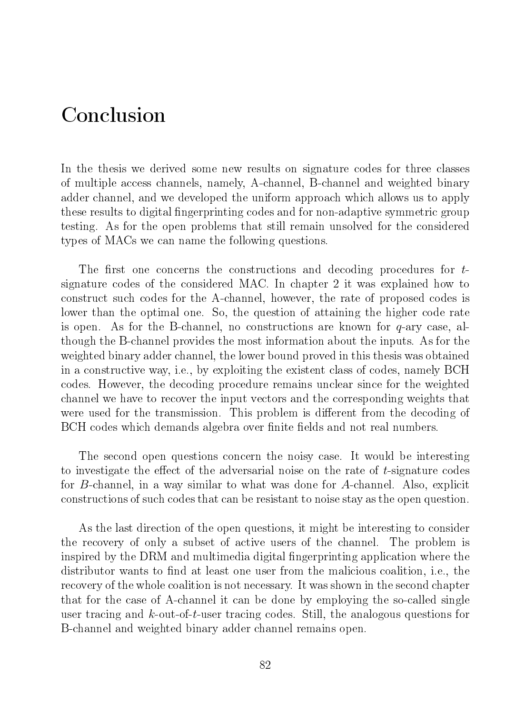## Conclusion

In the thesis we derived some new results on signature codes for three classes of multiple access channels, namely, A-channel, B-channel and weighted binary adder channel, and we developed the uniform approach which allows us to apply these results to digital fingerprinting codes and for non-adaptive symmetric group testing. As for the open problems that still remain unsolved for the considered types of MACs we can name the following questions.

The first one concerns the constructions and decoding procedures for  $t$ signature codes of the considered MAC. In chapter 2 it was explained how to construct such codes for the A-channel, however, the rate of proposed codes is lower than the optimal one. So, the question of attaining the higher code rate is open. As for the B-channel, no constructions are known for  $q$ -ary case, although the B-channel provides the most information about the inputs. As for the weighted binary adder channel, the lower bound proved in this thesis was obtained in a constructive way, i.e., by exploiting the existent class of codes, namely BCH codes. However, the decoding procedure remains unclear since for the weighted channel we have to recover the input vectors and the corresponding weights that were used for the transmission. This problem is different from the decoding of BCH codes which demands algebra over finite fields and not real numbers.

The second open questions concern the noisy case. It would be interesting to investigate the effect of the adversarial noise on the rate of  $t$ -signature codes for B-channel, in a way similar to what was done for A-channel. Also, explicit constructions of such codes that can be resistant to noise stay as the open question.

As the last direction of the open questions, it might be interesting to consider the recovery of only a subset of active users of the channel. The problem is inspired by the DRM and multimedia digital fingerprinting application where the distributor wants to find at least one user from the malicious coalition, i.e., the recovery of the whole coalition is not necessary. It was shown in the second chapter that for the case of A-channel it can be done by employing the so-called single user tracing and k-out-of-t-user tracing codes. Still, the analogous questions for B-channel and weighted binary adder channel remains open.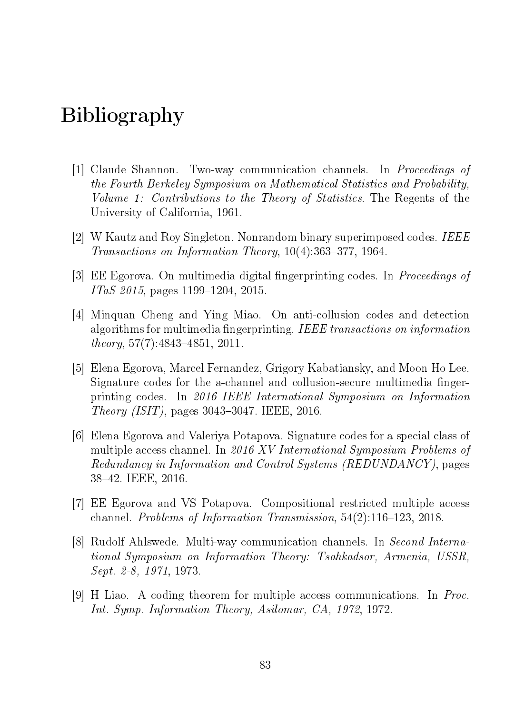# Bibliography

- [1] Claude Shannon. Two-way communication channels. In Proceedings of the Fourth Berkeley Symposium on Mathematical Statistics and Probability, Volume 1: Contributions to the Theory of Statistics. The Regents of the University of California, 1961.
- [2] W Kautz and Roy Singleton. Nonrandom binary superimposed codes. IEEE Transactions on Information Theory,  $10(4)$ :363-377, 1964.
- [3] EE Egorova. On multimedia digital fingerprinting codes. In *Proceedings of*  $ITaS$  2015, pages 1199–1204, 2015.
- [4] Minquan Cheng and Ying Miao. On anti-collusion codes and detection algorithms for multimedia fingerprinting. IEEE transactions on information  $theory, 57(7):4843-4851, 2011.$
- [5] Elena Egorova, Marcel Fernandez, Grigory Kabatiansky, and Moon Ho Lee. Signature codes for the a-channel and collusion-secure multimedia fingerprinting codes. In 2016 IEEE International Symposium on Information *Theory (ISIT)*, pages  $3043-3047$ . IEEE,  $2016$ .
- [6] Elena Egorova and Valeriya Potapova. Signature codes for a special class of multiple access channel. In 2016 XV International Symposium Problems of Redundancy in Information and Control Systems (REDUNDANCY), pages 3842. IEEE, 2016.
- [7] EE Egorova and VS Potapova. Compositional restricted multiple access channel. Problems of Information Transmission,  $54(2)$ :116-123, 2018.
- [8] Rudolf Ahlswede. Multi-way communication channels. In Second International Symposium on Information Theory: Tsahkadsor, Armenia, USSR, Sept. 2-8, 1971, 1973.
- [9] H Liao. A coding theorem for multiple access communications. In Proc. Int. Symp. Information Theory, Asilomar, CA, 1972, 1972.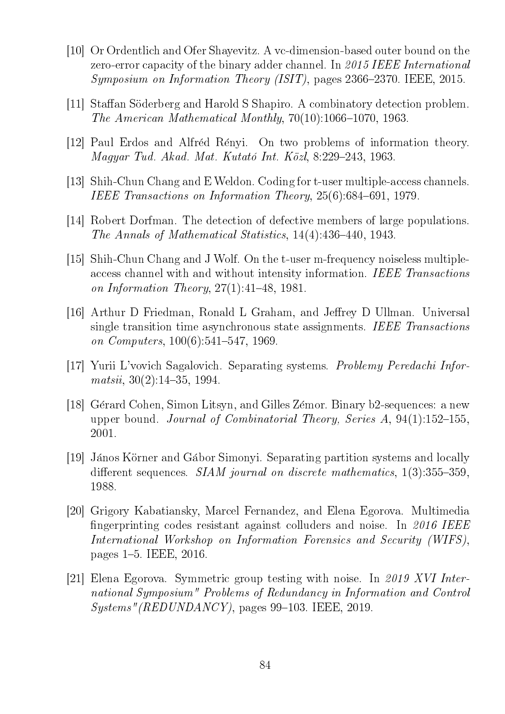- [10] Or Ordentlich and Ofer Shayevitz. A vc-dimension-based outer bound on the zero-error capacity of the binary adder channel. In 2015 IEEE International  $Symposing on Information Theory (ISIT)$ , pages 2366-2370. IEEE, 2015.
- [11] Staffan Söderberg and Harold S Shapiro. A combinatory detection problem. The American Mathematical Monthly,  $70(10):1066-1070$ , 1963.
- [12] Paul Erdos and Alfred Renyi. On two problems of information theory.  $Magger$  Tud. Akad. Mat. Kutató Int. Közl, 8:229-243, 1963.
- [13] Shih-Chun Chang and E Weldon. Coding for t-user multiple-access channels. IEEE Transactions on Information Theory,  $25(6)$ :684-691, 1979.
- [14] Robert Dorfman. The detection of defective members of large populations. The Annals of Mathematical Statistics,  $14(4)$ : $436-440$ ,  $1943$ .
- [15] Shih-Chun Chang and J Wolf. On the t-user m-frequency noiseless multipleaccess channel with and without intensity information. IEEE Transactions on Information Theory,  $27(1):41-48$ , 1981.
- [16] Arthur D Friedman, Ronald L Graham, and Jeffrey D Ullman. Universal single transition time asynchronous state assignments. IEEE Transactions on Computers,  $100(6):541-547$ , 1969.
- [17] Yurii L'vovich Sagalovich. Separating systems. Problemy Peredachi Infor $matsii, 30(2):14-35, 1994.$
- [18] Gérard Cohen, Simon Litsyn, and Gilles Zémor. Binary b2-sequences: a new upper bound. Journal of Combinatorial Theory, Series  $A$ , 94(1):152-155, 2001.
- [19] Janos Korner and Gabor Simonyi. Separating partition systems and locally different sequences. *SIAM journal on discrete mathematics*,  $1(3):355-359$ , 1988.
- [20] Grigory Kabatiansky, Marcel Fernandez, and Elena Egorova. Multimedia fingerprinting codes resistant against colluders and noise. In 2016 IEEE International Workshop on Information Forensics and Security (WIFS), pages 1–5. IEEE, 2016.
- [21] Elena Egorova. Symmetric group testing with noise. In 2019 XVI International Symposium" Problems of Redundancy in Information and Control  $Systems''(REDUNDANCY)$ , pages 99–103. IEEE, 2019.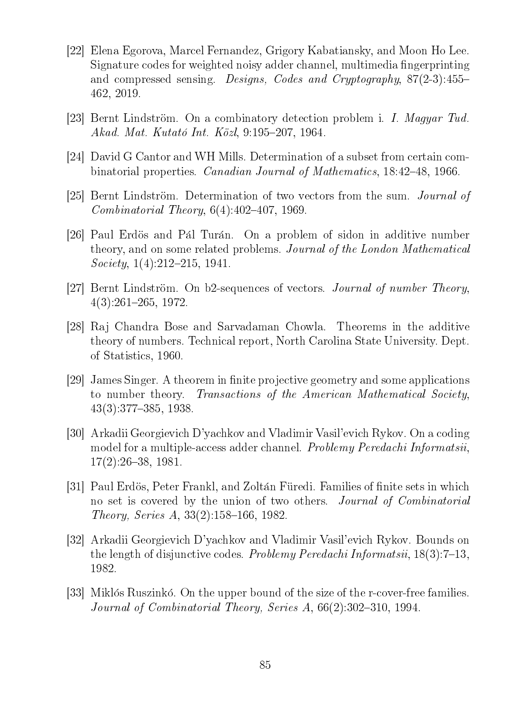- [22] Elena Egorova, Marcel Fernandez, Grigory Kabatiansky, and Moon Ho Lee. Signature codes for weighted noisy adder channel, multimedia fingerprinting and compressed sensing. Designs, Codes and Cryptography, 87(2-3):455 462, 2019.
- [23] Bernt Lindström. On a combinatory detection problem i. I. Magyar Tud. Akad. Mat. Kutató Int. Közl, 9:195–207, 1964.
- [24] David G Cantor and WH Mills. Determination of a subset from certain combinatorial properties. *Canadian Journal of Mathematics*, 18:42–48, 1966.
- [25] Bernt Lindström. Determination of two vectors from the sum. *Journal of Combinatorial Theory,*  $6(4):402-407$ , 1969.
- [26] Paul Erdös and Pál Turán. On a problem of sidon in additive number theory, and on some related problems. Journal of the London Mathematical  $Society, 1(4):212-215, 1941.$
- [27] Bernt Lindström. On b2-sequences of vectors. *Journal of number Theory*,  $4(3):261-265, 1972.$
- [28] Raj Chandra Bose and Sarvadaman Chowla. Theorems in the additive theory of numbers. Technical report, North Carolina State University. Dept. of Statistics, 1960.
- [29] James Singer. A theorem in finite projective geometry and some applications to number theory. Transactions of the American Mathematical Society,  $43(3):377-385, 1938.$
- [30] Arkadii Georgievich D'yachkov and Vladimir Vasil'evich Rykov. On a coding model for a multiple-access adder channel. *Problemy Peredachi Informatsii*,  $17(2):26-38, 1981.$
- [31] Paul Erdös, Peter Frankl, and Zoltán Füredi. Families of finite sets in which no set is covered by the union of two others. *Journal of Combinatorial* Theory, Series A,  $33(2):158-166$ , 1982.
- [32] Arkadii Georgievich D'yachkov and Vladimir Vasil'evich Rykov. Bounds on the length of disjunctive codes. *Problemy Peredachi Informatsii*,  $18(3)$ :  $7-13$ , 1982.
- [33] Miklós Ruszinkó. On the upper bound of the size of the r-cover-free families. Journal of Combinatorial Theory, Series  $A, 66(2):302-310, 1994.$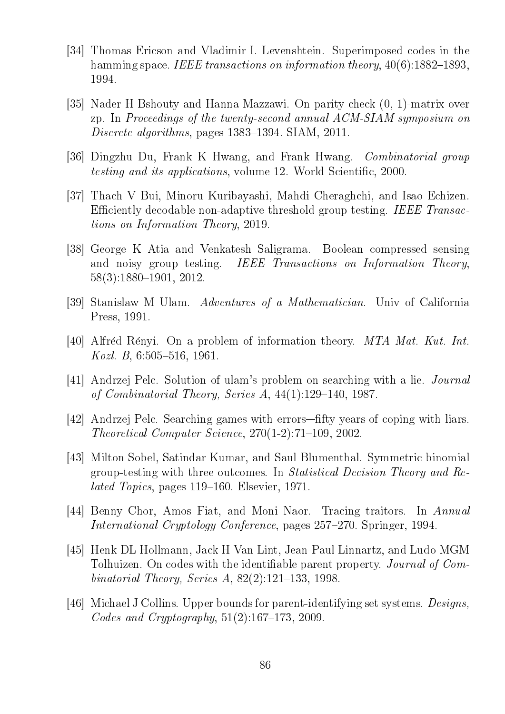- [34] Thomas Ericson and Vladimir I. Levenshtein. Superimposed codes in the hamming space. IEEE transactions on information theory,  $40(6)$ : 1882–1893, 1994.
- [35] Nader H Bshouty and Hanna Mazzawi. On parity check (0, 1)-matrix over zp. In Proceedings of the twenty-second annual ACM-SIAM symposium on Discrete algorithms, pages  $1383-1394$ . SIAM,  $2011$ .
- [36] Dingzhu Du, Frank K Hwang, and Frank Hwang. Combinatorial group testing and its applications, volume 12. World Scientific, 2000.
- [37] Thach V Bui, Minoru Kuribayashi, Mahdi Cheraghchi, and Isao Echizen. Efficiently decodable non-adaptive threshold group testing. IEEE Transactions on Information Theory, 2019.
- [38] George K Atia and Venkatesh Saligrama. Boolean compressed sensing and noisy group testing. IEEE Transactions on Information Theory,  $58(3):1880-1901, 2012.$
- [39] Stanislaw M Ulam. Adventures of a Mathematician. Univ of California Press, 1991.
- [40] Alfred Renyi. On a problem of information theory. MTA Mat. Kut. Int. Kozl. B,  $6:505-516$ , 1961.
- [41] Andrzej Pelc. Solution of ulam's problem on searching with a lie. Journal of Combinatorial Theory, Series A,  $44(1):129-140$ , 1987.
- [42] Andrzej Pelc. Searching games with errors—fifty years of coping with liars.  $Theoretical Computer Science, 270(1-2):71-109, 2002.$
- [43] Milton Sobel, Satindar Kumar, and Saul Blumenthal. Symmetric binomial group-testing with three outcomes. In Statistical Decision Theory and Re*lated Topics*, pages  $119-160$ . Elsevier, 1971.
- [44] Benny Chor, Amos Fiat, and Moni Naor. Tracing traitors. In Annual International Cryptology Conference, pages 257–270. Springer, 1994.
- [45] Henk DL Hollmann, Jack H Van Lint, Jean-Paul Linnartz, and Ludo MGM Tolhuizen. On codes with the identifiable parent property. *Journal of Com*binatorial Theory, Series A,  $82(2):121-133$ , 1998.
- [46] Michael J Collins. Upper bounds for parent-identifying set systems. Designs, Codes and Cryptography,  $51(2):167-173$ , 2009.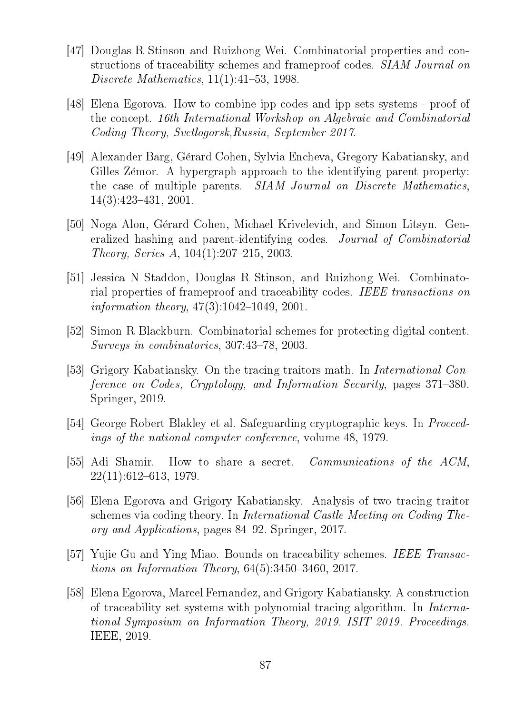- [47] Douglas R Stinson and Ruizhong Wei. Combinatorial properties and constructions of traceability schemes and frameproof codes. *SIAM Journal on* Discrete Mathematics,  $11(1):41-53$ , 1998.
- [48] Elena Egorova. How to combine ipp codes and ipp sets systems proof of the concept. 16th International Workshop on Algebraic and Combinatorial Coding Theory, Svetlogorsk,Russia, September 2017.
- [49] Alexander Barg, Gerard Cohen, Sylvia Encheva, Gregory Kabatiansky, and Gilles Zémor. A hypergraph approach to the identifying parent property: the case of multiple parents. SIAM Journal on Discrete Mathematics,  $14(3):423-431, 2001.$
- [50] Noga Alon, Gerard Cohen, Michael Krivelevich, and Simon Litsyn. Generalized hashing and parent-identifying codes. Journal of Combinatorial Theory, Series A,  $104(1):207-215$ , 2003.
- [51] Jessica N Staddon, Douglas R Stinson, and Ruizhong Wei. Combinatorial properties of frameproof and traceability codes. IEEE transactions on information theory,  $47(3):1042-1049$ , 2001.
- [52] Simon R Blackburn. Combinatorial schemes for protecting digital content.  $Surveys$  in combinatorics,  $307:43-78$ ,  $2003$ .
- [53] Grigory Kabatiansky. On the tracing traitors math. In *International Con*ference on Codes, Cryptology, and Information Security, pages 371–380. Springer, 2019.
- [54] George Robert Blakley et al. Safeguarding cryptographic keys. In Proceedings of the national computer conference, volume 48, 1979.
- [55] Adi Shamir. How to share a secret. Communications of the ACM,  $22(11):612-613, 1979.$
- [56] Elena Egorova and Grigory Kabatiansky. Analysis of two tracing traitor schemes via coding theory. In International Castle Meeting on Coding Theory and Applications, pages 84–92. Springer, 2017.
- [57] Yujie Gu and Ying Miao. Bounds on traceability schemes. IEEE Transactions on Information Theory,  $64(5):3450-3460, 2017$ .
- [58] Elena Egorova, Marcel Fernandez, and Grigory Kabatiansky. A construction of traceability set systems with polynomial tracing algorithm. In International Symposium on Information Theory, 2019. ISIT 2019. Proceedings. IEEE, 2019.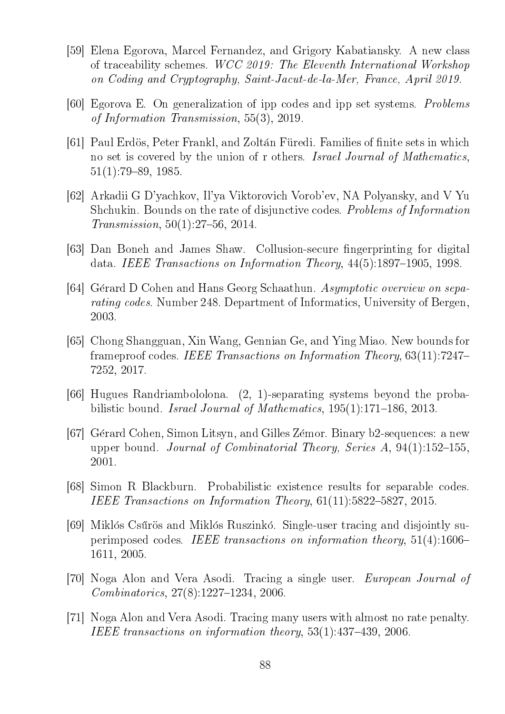- [59] Elena Egorova, Marcel Fernandez, and Grigory Kabatiansky. A new class of traceability schemes. WCC 2019: The Eleventh International Workshop on Coding and Cryptography, Saint-Jacut-de-la-Mer, France, April 2019.
- [60] Egorova E. On generalization of ipp codes and ipp set systems. Problems of Information Transmission, 55(3), 2019.
- [61] Paul Erdös, Peter Frankl, and Zoltán Füredi. Families of finite sets in which no set is covered by the union of r others. Israel Journal of Mathematics,  $51(1):79-89, 1985.$
- [62] Arkadii G D'yachkov, Il'ya Viktorovich Vorob'ev, NA Polyansky, and V Yu Shchukin. Bounds on the rate of disjunctive codes. Problems of Information  $Transmission, 50(1):27-56, 2014.$
- [63] Dan Boneh and James Shaw. Collusion-secure fingerprinting for digital data. IEEE Transactions on Information Theory,  $44(5):1897-1905$ , 1998.
- [64] Gérard D Cohen and Hans Georg Schaathun. Asymptotic overview on separating codes. Number 248. Department of Informatics, University of Bergen, 2003.
- [65] Chong Shangguan, Xin Wang, Gennian Ge, and Ying Miao. New bounds for frameproof codes. IEEE Transactions on Information Theory, 63(11):7247 7252, 2017.
- [66] Hugues Randriambololona. (2, 1)-separating systems beyond the probabilistic bound. Israel Journal of Mathematics,  $195(1):171-186$ ,  $2013$ .
- [67] Gerard Cohen, Simon Litsyn, and Gilles Zemor. Binary b2-sequences: a new upper bound. *Journal of Combinatorial Theory, Series A*,  $94(1):152-155$ , 2001.
- [68] Simon R Blackburn. Probabilistic existence results for separable codes. IEEE Transactions on Information Theory,  $61(11):5822-5827$ , 2015.
- [69] Miklós Csűrös and Miklós Ruszinkó. Single-user tracing and disjointly superimposed codes. IEEE transactions on information theory, 51(4):1606 1611, 2005.
- [70] Noga Alon and Vera Asodi. Tracing a single user. European Journal of  $Combinatorics, 27(8):1227-1234, 2006.$
- [71] Noga Alon and Vera Asodi. Tracing many users with almost no rate penalty. IEEE transactions on information theory,  $53(1):437-439$ , 2006.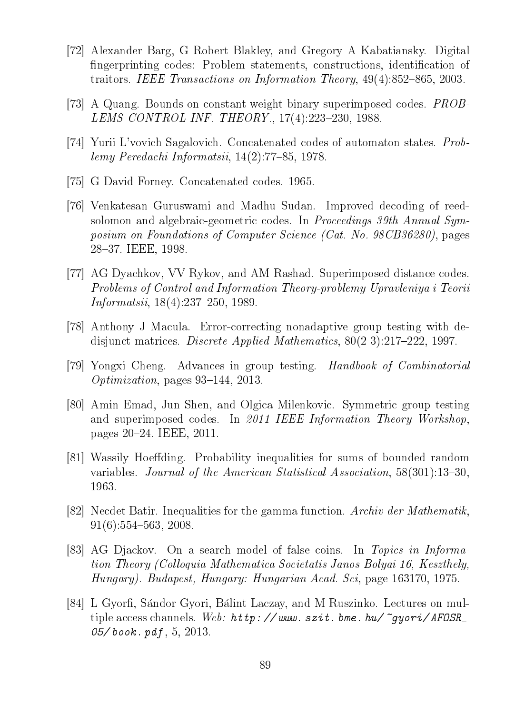- [72] Alexander Barg, G Robert Blakley, and Gregory A Kabatiansky. Digital fingerprinting codes: Problem statements, constructions, identification of traitors. IEEE Transactions on Information Theory,  $49(4):852-865$ , 2003.
- [73] A Quang. Bounds on constant weight binary superimposed codes. PROB-LEMS CONTROL INF. THEORY.,  $17(4):223-230, 1988$ .
- [74] Yurii L'vovich Sagalovich. Concatenated codes of automaton states. Problemy Peredachi Informatsii,  $14(2)$ :77-85, 1978.
- [75] G David Forney. Concatenated codes. 1965.
- [76] Venkatesan Guruswami and Madhu Sudan. Improved decoding of reedsolomon and algebraic-geometric codes. In *Proceedings 39th Annual Sym*posium on Foundations of Computer Science (Cat. No. 98CB36280), pages 28-37. IEEE, 1998.
- [77] AG Dyachkov, VV Rykov, and AM Rashad. Superimposed distance codes. Problems of Control and Information Theory-problemy Upravleniya i Teorii  $Information 18(4): 237-250, 1989.$
- [78] Anthony J Macula. Error-correcting nonadaptive group testing with dedisjunct matrices. *Discrete Applied Mathematics*,  $80(2-3):217-222$ , 1997.
- [79] Yongxi Cheng. Advances in group testing. Handbook of Combinatorial *Optimization*, pages  $93-144$ , 2013.
- [80] Amin Emad, Jun Shen, and Olgica Milenkovic. Symmetric group testing and superimposed codes. In 2011 IEEE Information Theory Workshop, pages 2024. IEEE, 2011.
- [81] Wassily Hoeffding. Probability inequalities for sums of bounded random variables. Journal of the American Statistical Association,  $58(301):13-30$ , 1963.
- [82] Necdet Batir. Inequalities for the gamma function. Archiv der Mathematik,  $91(6):554-563, 2008.$
- [83] AG Djackov. On a search model of false coins. In Topics in Information Theory (Colloquia Mathematica Societatis Janos Bolyai 16, Keszthely, Hungary). Budapest, Hungary: Hungarian Acad. Sci, page 163170, 1975.
- [84] L Gyorfi, Sándor Gyori, Bálint Laczay, and M Ruszinko. Lectures on multiple access channels. Web:  $http://www.szit.bme.hu/~quori/AFOSR_$ 05/book.  $pdf, 5, 2013$ .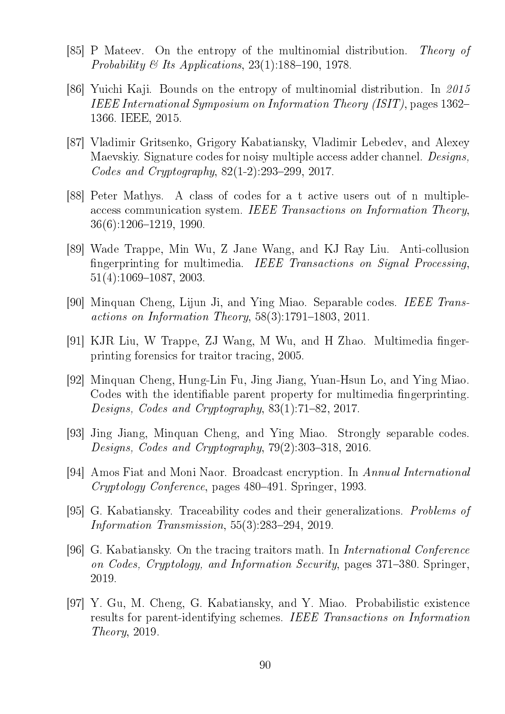- [85] P Mateev. On the entropy of the multinomial distribution. Theory of Probability & Its Applications,  $23(1)$ :188-190, 1978.
- [86] Yuichi Kaji. Bounds on the entropy of multinomial distribution. In  $2015$ IEEE International Symposium on Information Theory (ISIT), pages 1362 1366. IEEE, 2015.
- [87] Vladimir Gritsenko, Grigory Kabatiansky, Vladimir Lebedev, and Alexey Maevskiy. Signature codes for noisy multiple access adder channel. Designs, Codes and Cryptography,  $82(1-2):293-299$ , 2017.
- [88] Peter Mathys. A class of codes for a t active users out of n multipleaccess communication system. IEEE Transactions on Information Theory,  $36(6):1206-1219, 1990.$
- [89] Wade Trappe, Min Wu, Z Jane Wang, and KJ Ray Liu. Anti-collusion ngerprinting for multimedia. IEEE Transactions on Signal Processing,  $51(4):1069-1087, 2003.$
- [90] Minquan Cheng, Lijun Ji, and Ying Miao. Separable codes. IEEE Transactions on Information Theory,  $58(3):1791-1803$ , 2011.
- [91] KJR Liu, W Trappe, ZJ Wang, M Wu, and H Zhao. Multimedia fingerprinting forensics for traitor tracing, 2005.
- [92] Minquan Cheng, Hung-Lin Fu, Jing Jiang, Yuan-Hsun Lo, and Ying Miao. Codes with the identifiable parent property for multimedia fingerprinting. Designs, Codes and Cryptography,  $83(1)$ :71-82, 2017.
- [93] Jing Jiang, Minquan Cheng, and Ying Miao. Strongly separable codes. Designs, Codes and Cryptography,  $79(2):303-318$ , 2016.
- [94] Amos Fiat and Moni Naor. Broadcast encryption. In Annual International Cryptology Conference, pages 480–491. Springer, 1993.
- [95] G. Kabatiansky. Traceability codes and their generalizations. Problems of Information Transmission,  $55(3):283-294$ ,  $2019$ .
- [96] G. Kabatiansky. On the tracing traitors math. In International Conference on Codes, Cryptology, and Information Security, pages 371–380. Springer, 2019.
- [97] Y. Gu, M. Cheng, G. Kabatiansky, and Y. Miao. Probabilistic existence results for parent-identifying schemes. IEEE Transactions on Information Theory, 2019.